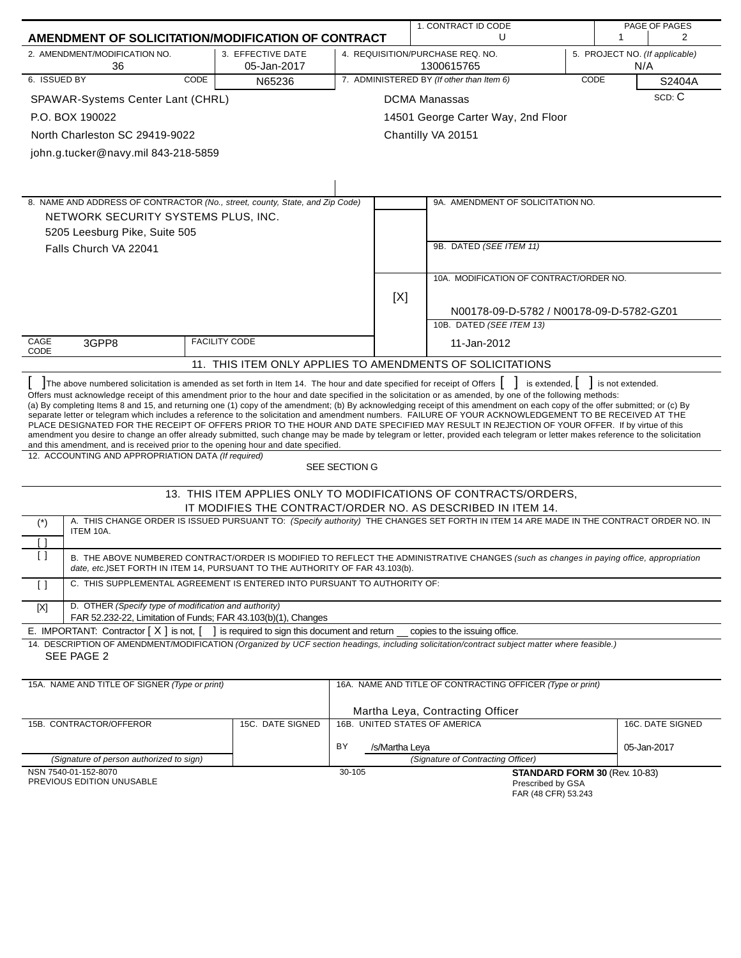|                                       |                                                                                                                                                                                                                                                                                                                                                                                                                                                                                                                                                                                                                                                                                                                                                                                                                                                                                                                                                                                    |                                              |               | 1. CONTRACT ID CODE                | PAGE OF PAGES                                                                                                                           |      |                                       |                  |
|---------------------------------------|------------------------------------------------------------------------------------------------------------------------------------------------------------------------------------------------------------------------------------------------------------------------------------------------------------------------------------------------------------------------------------------------------------------------------------------------------------------------------------------------------------------------------------------------------------------------------------------------------------------------------------------------------------------------------------------------------------------------------------------------------------------------------------------------------------------------------------------------------------------------------------------------------------------------------------------------------------------------------------|----------------------------------------------|---------------|------------------------------------|-----------------------------------------------------------------------------------------------------------------------------------------|------|---------------------------------------|------------------|
|                                       | AMENDMENT OF SOLICITATION/MODIFICATION OF CONTRACT                                                                                                                                                                                                                                                                                                                                                                                                                                                                                                                                                                                                                                                                                                                                                                                                                                                                                                                                 |                                              |               |                                    | U                                                                                                                                       |      | 1                                     | 2                |
|                                       | 2. AMENDMENT/MODIFICATION NO.<br>36                                                                                                                                                                                                                                                                                                                                                                                                                                                                                                                                                                                                                                                                                                                                                                                                                                                                                                                                                | 3. EFFECTIVE DATE<br>05-Jan-2017             |               |                                    | 4. REQUISITION/PURCHASE REQ. NO.<br>1300615765                                                                                          |      | 5. PROJECT NO. (If applicable)<br>N/A |                  |
| 6. ISSUED BY                          | CODE                                                                                                                                                                                                                                                                                                                                                                                                                                                                                                                                                                                                                                                                                                                                                                                                                                                                                                                                                                               | N65236                                       |               |                                    | 7. ADMINISTERED BY (If other than Item 6)                                                                                               | CODE |                                       | S2404A           |
|                                       | SPAWAR-Systems Center Lant (CHRL)                                                                                                                                                                                                                                                                                                                                                                                                                                                                                                                                                                                                                                                                                                                                                                                                                                                                                                                                                  |                                              |               |                                    | <b>DCMA Manassas</b>                                                                                                                    |      |                                       | SCD: C           |
|                                       | P.O. BOX 190022                                                                                                                                                                                                                                                                                                                                                                                                                                                                                                                                                                                                                                                                                                                                                                                                                                                                                                                                                                    |                                              |               |                                    | 14501 George Carter Way, 2nd Floor                                                                                                      |      |                                       |                  |
|                                       | North Charleston SC 29419-9022                                                                                                                                                                                                                                                                                                                                                                                                                                                                                                                                                                                                                                                                                                                                                                                                                                                                                                                                                     |                                              |               |                                    | Chantilly VA 20151                                                                                                                      |      |                                       |                  |
|                                       | john.g.tucker@navy.mil 843-218-5859                                                                                                                                                                                                                                                                                                                                                                                                                                                                                                                                                                                                                                                                                                                                                                                                                                                                                                                                                |                                              |               |                                    |                                                                                                                                         |      |                                       |                  |
|                                       |                                                                                                                                                                                                                                                                                                                                                                                                                                                                                                                                                                                                                                                                                                                                                                                                                                                                                                                                                                                    |                                              |               |                                    |                                                                                                                                         |      |                                       |                  |
|                                       | 8. NAME AND ADDRESS OF CONTRACTOR (No., street, county, State, and Zip Code)                                                                                                                                                                                                                                                                                                                                                                                                                                                                                                                                                                                                                                                                                                                                                                                                                                                                                                       |                                              |               |                                    | 9A. AMENDMENT OF SOLICITATION NO.                                                                                                       |      |                                       |                  |
|                                       | NETWORK SECURITY SYSTEMS PLUS, INC.                                                                                                                                                                                                                                                                                                                                                                                                                                                                                                                                                                                                                                                                                                                                                                                                                                                                                                                                                |                                              |               |                                    |                                                                                                                                         |      |                                       |                  |
|                                       | 5205 Leesburg Pike, Suite 505                                                                                                                                                                                                                                                                                                                                                                                                                                                                                                                                                                                                                                                                                                                                                                                                                                                                                                                                                      |                                              |               |                                    |                                                                                                                                         |      |                                       |                  |
|                                       | Falls Church VA 22041                                                                                                                                                                                                                                                                                                                                                                                                                                                                                                                                                                                                                                                                                                                                                                                                                                                                                                                                                              |                                              |               |                                    | 9B. DATED (SEE ITEM 11)                                                                                                                 |      |                                       |                  |
|                                       |                                                                                                                                                                                                                                                                                                                                                                                                                                                                                                                                                                                                                                                                                                                                                                                                                                                                                                                                                                                    |                                              |               |                                    | 10A. MODIFICATION OF CONTRACT/ORDER NO.                                                                                                 |      |                                       |                  |
|                                       |                                                                                                                                                                                                                                                                                                                                                                                                                                                                                                                                                                                                                                                                                                                                                                                                                                                                                                                                                                                    |                                              |               | [X]                                |                                                                                                                                         |      |                                       |                  |
|                                       |                                                                                                                                                                                                                                                                                                                                                                                                                                                                                                                                                                                                                                                                                                                                                                                                                                                                                                                                                                                    |                                              |               |                                    | N00178-09-D-5782 / N00178-09-D-5782-GZ01<br>10B. DATED (SEE ITEM 13)                                                                    |      |                                       |                  |
| <b>FACILITY CODE</b><br>CAGE<br>3GPP8 |                                                                                                                                                                                                                                                                                                                                                                                                                                                                                                                                                                                                                                                                                                                                                                                                                                                                                                                                                                                    |                                              |               |                                    | 11-Jan-2012                                                                                                                             |      |                                       |                  |
| CODE                                  |                                                                                                                                                                                                                                                                                                                                                                                                                                                                                                                                                                                                                                                                                                                                                                                                                                                                                                                                                                                    |                                              |               |                                    |                                                                                                                                         |      |                                       |                  |
|                                       |                                                                                                                                                                                                                                                                                                                                                                                                                                                                                                                                                                                                                                                                                                                                                                                                                                                                                                                                                                                    |                                              |               |                                    | 11. THIS ITEM ONLY APPLIES TO AMENDMENTS OF SOLICITATIONS                                                                               |      |                                       |                  |
|                                       | Offers must acknowledge receipt of this amendment prior to the hour and date specified in the solicitation or as amended, by one of the following methods:<br>(a) By completing Items 8 and 15, and returning one (1) copy of the amendment; (b) By acknowledging receipt of this amendment on each copy of the offer submitted; or (c) By<br>separate letter or telegram which includes a reference to the solicitation and amendment numbers. FAILURE OF YOUR ACKNOWLEDGEMENT TO BE RECEIVED AT THE<br>PLACE DESIGNATED FOR THE RECEIPT OF OFFERS PRIOR TO THE HOUR AND DATE SPECIFIED MAY RESULT IN REJECTION OF YOUR OFFER. If by virtue of this<br>amendment you desire to change an offer already submitted, such change may be made by telegram or letter, provided each telegram or letter makes reference to the solicitation<br>and this amendment, and is received prior to the opening hour and date specified.<br>12. ACCOUNTING AND APPROPRIATION DATA (If required) |                                              | SEE SECTION G |                                    |                                                                                                                                         |      |                                       |                  |
|                                       |                                                                                                                                                                                                                                                                                                                                                                                                                                                                                                                                                                                                                                                                                                                                                                                                                                                                                                                                                                                    |                                              |               |                                    |                                                                                                                                         |      |                                       |                  |
|                                       |                                                                                                                                                                                                                                                                                                                                                                                                                                                                                                                                                                                                                                                                                                                                                                                                                                                                                                                                                                                    |                                              |               |                                    | 13. THIS ITEM APPLIES ONLY TO MODIFICATIONS OF CONTRACTS/ORDERS,<br>IT MODIFIES THE CONTRACT/ORDER NO. AS DESCRIBED IN ITEM 14.         |      |                                       |                  |
| $(*)$                                 |                                                                                                                                                                                                                                                                                                                                                                                                                                                                                                                                                                                                                                                                                                                                                                                                                                                                                                                                                                                    |                                              |               |                                    | A. THIS CHANGE ORDER IS ISSUED PURSUANT TO: (Specify authority) THE CHANGES SET FORTH IN ITEM 14 ARE MADE IN THE CONTRACT ORDER NO. IN  |      |                                       |                  |
| [ ]                                   | ITEM 10A.                                                                                                                                                                                                                                                                                                                                                                                                                                                                                                                                                                                                                                                                                                                                                                                                                                                                                                                                                                          |                                              |               |                                    |                                                                                                                                         |      |                                       |                  |
| $\Box$                                | date, etc.)SET FORTH IN ITEM 14, PURSUANT TO THE AUTHORITY OF FAR 43.103(b).                                                                                                                                                                                                                                                                                                                                                                                                                                                                                                                                                                                                                                                                                                                                                                                                                                                                                                       |                                              |               |                                    | B. THE ABOVE NUMBERED CONTRACT/ORDER IS MODIFIED TO REFLECT THE ADMINISTRATIVE CHANGES (such as changes in paying office, appropriation |      |                                       |                  |
| $\lceil$ $\rceil$                     | C. THIS SUPPLEMENTAL AGREEMENT IS ENTERED INTO PURSUANT TO AUTHORITY OF:                                                                                                                                                                                                                                                                                                                                                                                                                                                                                                                                                                                                                                                                                                                                                                                                                                                                                                           |                                              |               |                                    |                                                                                                                                         |      |                                       |                  |
| $[{\sf X}]$                           | D. OTHER (Specify type of modification and authority)<br>FAR 52.232-22, Limitation of Funds; FAR 43.103(b)(1), Changes                                                                                                                                                                                                                                                                                                                                                                                                                                                                                                                                                                                                                                                                                                                                                                                                                                                             |                                              |               |                                    |                                                                                                                                         |      |                                       |                  |
|                                       | E. IMPORTANT: Contractor $[X]$ is not, $[$                                                                                                                                                                                                                                                                                                                                                                                                                                                                                                                                                                                                                                                                                                                                                                                                                                                                                                                                         | is required to sign this document and return |               |                                    | copies to the issuing office.                                                                                                           |      |                                       |                  |
|                                       | 14. DESCRIPTION OF AMENDMENT/MODIFICATION (Organized by UCF section headings, including solicitation/contract subject matter where feasible.)<br>SEE PAGE 2                                                                                                                                                                                                                                                                                                                                                                                                                                                                                                                                                                                                                                                                                                                                                                                                                        |                                              |               |                                    |                                                                                                                                         |      |                                       |                  |
|                                       |                                                                                                                                                                                                                                                                                                                                                                                                                                                                                                                                                                                                                                                                                                                                                                                                                                                                                                                                                                                    |                                              |               |                                    |                                                                                                                                         |      |                                       |                  |
|                                       | 15A. NAME AND TITLE OF SIGNER (Type or print)                                                                                                                                                                                                                                                                                                                                                                                                                                                                                                                                                                                                                                                                                                                                                                                                                                                                                                                                      |                                              |               |                                    | 16A. NAME AND TITLE OF CONTRACTING OFFICER (Type or print)                                                                              |      |                                       |                  |
|                                       |                                                                                                                                                                                                                                                                                                                                                                                                                                                                                                                                                                                                                                                                                                                                                                                                                                                                                                                                                                                    |                                              |               |                                    | Martha Leya, Contracting Officer                                                                                                        |      |                                       |                  |
|                                       | 15B. CONTRACTOR/OFFEROR                                                                                                                                                                                                                                                                                                                                                                                                                                                                                                                                                                                                                                                                                                                                                                                                                                                                                                                                                            | 15C. DATE SIGNED                             |               |                                    | 16B. UNITED STATES OF AMERICA                                                                                                           |      |                                       | 16C. DATE SIGNED |
|                                       |                                                                                                                                                                                                                                                                                                                                                                                                                                                                                                                                                                                                                                                                                                                                                                                                                                                                                                                                                                                    |                                              | BY            | /s/Martha Leya                     |                                                                                                                                         |      |                                       | 05-Jan-2017      |
|                                       | (Signature of person authorized to sign)                                                                                                                                                                                                                                                                                                                                                                                                                                                                                                                                                                                                                                                                                                                                                                                                                                                                                                                                           |                                              |               | (Signature of Contracting Officer) |                                                                                                                                         |      |                                       |                  |
|                                       | NSN 7540-01-152-8070                                                                                                                                                                                                                                                                                                                                                                                                                                                                                                                                                                                                                                                                                                                                                                                                                                                                                                                                                               |                                              | 30-105        |                                    |                                                                                                                                         |      | STANDARD FORM 30 (Rev. 10-83)         |                  |
|                                       | PREVIOUS EDITION UNUSABLE                                                                                                                                                                                                                                                                                                                                                                                                                                                                                                                                                                                                                                                                                                                                                                                                                                                                                                                                                          |                                              |               |                                    | Prescribed by GSA<br>FAR (48 CFR) 53.243                                                                                                |      |                                       |                  |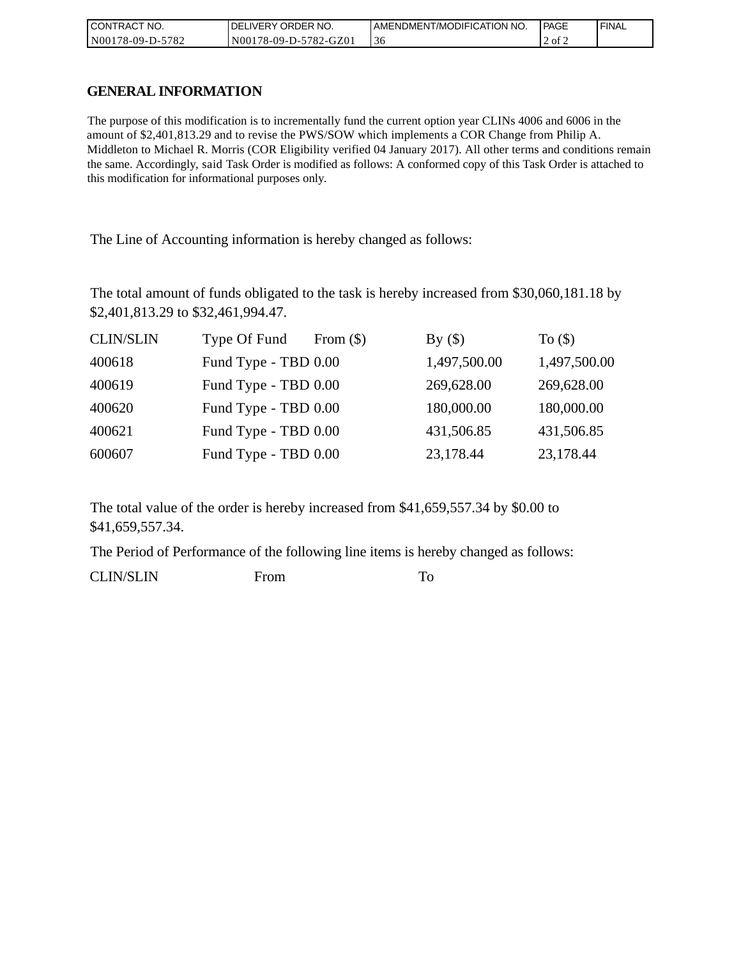| CONTRACT NO.     | <b>IDELIVERY ORDER NO.</b> | AMENDMENT/MODIFICATION NO. | l PAGE | ' FINAL |
|------------------|----------------------------|----------------------------|--------|---------|
| N00178-09-D-5782 | N00178-09-D-5782-GZ01      | 30                         | 2 of 2 |         |

## **GENERAL INFORMATION**

The purpose of this modification is to incrementally fund the current option year CLINs 4006 and 6006 in the amount of \$2,401,813.29 and to revise the PWS/SOW which implements a COR Change from Philip A. Middleton to Michael R. Morris (COR Eligibility verified 04 January 2017). All other terms and conditions remain the same. Accordingly, said Task Order is modified as follows: A conformed copy of this Task Order is attached to this modification for informational purposes only.

The Line of Accounting information is hereby changed as follows:

The total amount of funds obligated to the task is hereby increased from \$30,060,181.18 by \$2,401,813.29 to \$32,461,994.47.

| <b>CLIN/SLIN</b> | Type Of Fund         | From $(\$)$ | By()         | To $($ math) |
|------------------|----------------------|-------------|--------------|--------------|
| 400618           | Fund Type - TBD 0.00 |             | 1,497,500.00 | 1,497,500.00 |
| 400619           | Fund Type - TBD 0.00 |             | 269,628.00   | 269,628.00   |
| 400620           | Fund Type - TBD 0.00 |             | 180,000.00   | 180,000.00   |
| 400621           | Fund Type - TBD 0.00 |             | 431,506.85   | 431,506.85   |
| 600607           | Fund Type - TBD 0.00 |             | 23,178.44    | 23,178.44    |

The total value of the order is hereby increased from \$41,659,557.34 by \$0.00 to \$41,659,557.34.

The Period of Performance of the following line items is hereby changed as follows:

CLIN/SLIN From To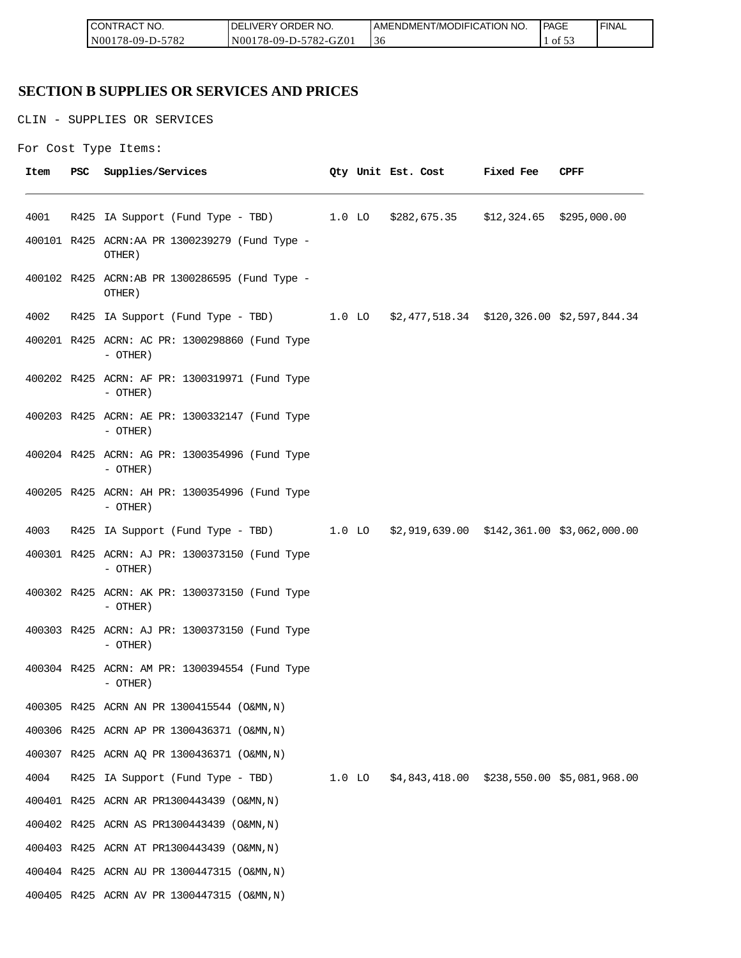| <b>CONT</b><br>CT NO.<br>TRAC'   | ORDER<br>NO.<br><b>IVERY</b><br>ΩF  | AMENDMENT/MODIFICATION NO. | <b>PAGE</b> | <b>FINAL</b> |
|----------------------------------|-------------------------------------|----------------------------|-------------|--------------|
| $-5782$<br>N001<br>78-09-L<br>-ט | 5782<br>2-GZ01<br>N001<br>78-09-D-5 | $\sim$<br>30               | ΟÌ<br>      |              |

# **SECTION B SUPPLIES OR SERVICES AND PRICES**

CLIN - SUPPLIES OR SERVICES

```
For Cost Type Items:
```

| Item | PSC | Supplies/Services                                                                   |  |  | Qty Unit Est. Cost Fixed Fee | CPFF |
|------|-----|-------------------------------------------------------------------------------------|--|--|------------------------------|------|
| 4001 |     | R425 IA Support (Fund Type - TBD) 1.0 LO \$282,675.35 \$12,324.65 \$295,000.00      |  |  |                              |      |
|      |     | 400101 R425 ACRN:AA PR 1300239279 (Fund Type -<br>OTHER)                            |  |  |                              |      |
|      |     | 400102 R425 ACRN:AB PR 1300286595 (Fund Type -<br>OTHER)                            |  |  |                              |      |
| 4002 |     | R425 IA Support (Fund Type - TBD) 1.0 LO \$2,477,518.34 \$120,326.00 \$2,597,844.34 |  |  |                              |      |
|      |     | 400201 R425 ACRN: AC PR: 1300298860 (Fund Type<br>- OTHER)                          |  |  |                              |      |
|      |     | 400202 R425 ACRN: AF PR: 1300319971 (Fund Type<br>$-$ OTHER)                        |  |  |                              |      |
|      |     | 400203 R425 ACRN: AE PR: 1300332147 (Fund Type<br>$-$ OTHER)                        |  |  |                              |      |
|      |     | 400204 R425 ACRN: AG PR: 1300354996 (Fund Type<br>$-$ OTHER)                        |  |  |                              |      |
|      |     | 400205 R425 ACRN: AH PR: 1300354996 (Fund Type<br>$-$ OTHER)                        |  |  |                              |      |
| 4003 |     | R425 IA Support (Fund Type - TBD) 1.0 LO \$2,919,639.00 \$142,361.00 \$3,062,000.00 |  |  |                              |      |
|      |     | 400301 R425 ACRN: AJ PR: 1300373150 (Fund Type<br>$-$ OTHER)                        |  |  |                              |      |
|      |     | 400302 R425 ACRN: AK PR: 1300373150 (Fund Type<br>$-$ OTHER)                        |  |  |                              |      |
|      |     | 400303 R425 ACRN: AJ PR: 1300373150 (Fund Type<br>- OTHER)                          |  |  |                              |      |
|      |     | 400304 R425 ACRN: AM PR: 1300394554 (Fund Type<br>- OTHER)                          |  |  |                              |      |
|      |     | 400305 R425 ACRN AN PR 1300415544 (O&MN, N)                                         |  |  |                              |      |
|      |     | 400306 R425 ACRN AP PR 1300436371 (O&MN, N)                                         |  |  |                              |      |
|      |     | 400307 R425 ACRN AQ PR 1300436371 (O&MN, N)                                         |  |  |                              |      |
| 4004 |     | R425 IA Support (Fund Type - TBD) 1.0 LO \$4,843,418.00 \$238,550.00 \$5,081,968.00 |  |  |                              |      |
|      |     | 400401 R425 ACRN AR PR1300443439 (O&MN, N)                                          |  |  |                              |      |
|      |     | 400402 R425 ACRN AS PR1300443439 (O&MN, N)                                          |  |  |                              |      |
|      |     | 400403 R425 ACRN AT PR1300443439 (O&MN, N)                                          |  |  |                              |      |
|      |     | 400404 R425 ACRN AU PR 1300447315 (O&MN, N)                                         |  |  |                              |      |
|      |     | 400405 R425 ACRN AV PR 1300447315 (O&MN, N)                                         |  |  |                              |      |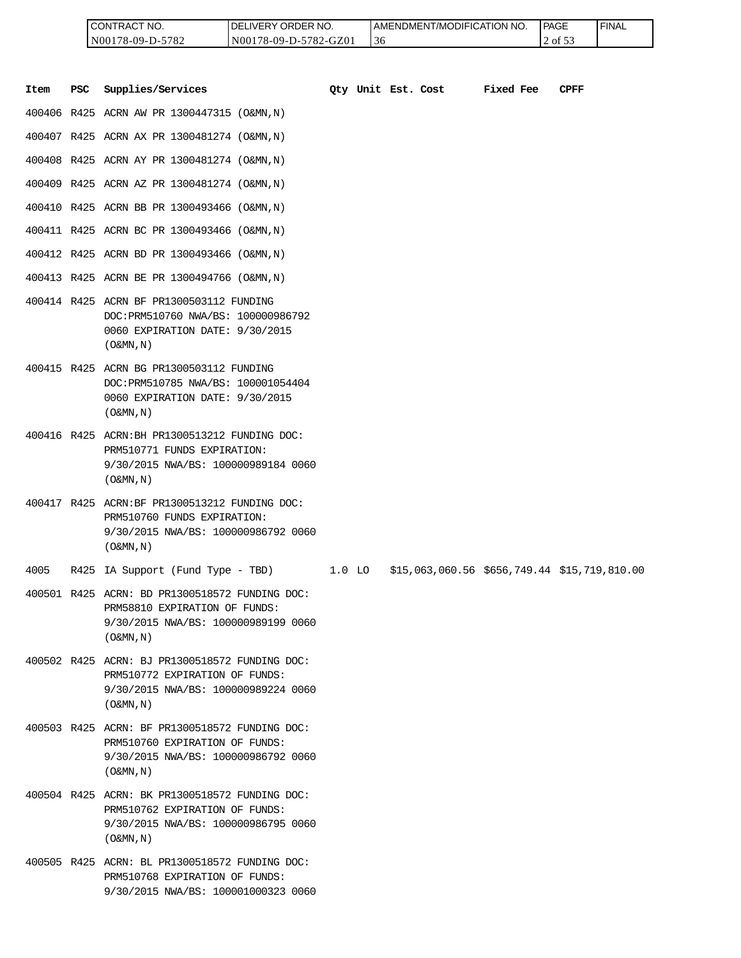| I CONTRACT NO.     | <b>IDELIVERY ORDER NO.</b> | AMENDMENT/MODIFICATION NO. | <b>IPAGE</b> | ' FINAL |
|--------------------|----------------------------|----------------------------|--------------|---------|
| $N00178-09-D-5782$ | N00178-09-D-5782-GZ01      | 36                         | 2 of 53      |         |

|      |            | CONTRACT NO.<br>N00178-09-D-5782                                                                                                                      | DELIVERY ORDER NO.<br>N00178-09-D-5782-GZ01 |        | 36 |                    | AMENDMENT/MODIFICATION NO.                   |           | <b>PAGE</b><br>2 of 53 | <b>FINAL</b> |
|------|------------|-------------------------------------------------------------------------------------------------------------------------------------------------------|---------------------------------------------|--------|----|--------------------|----------------------------------------------|-----------|------------------------|--------------|
| Item | <b>PSC</b> | Supplies/Services                                                                                                                                     |                                             |        |    | Oty Unit Est. Cost |                                              | Fixed Fee | <b>CPFF</b>            |              |
|      |            | 400406 R425 ACRN AW PR 1300447315 (O&MN, N)                                                                                                           |                                             |        |    |                    |                                              |           |                        |              |
|      |            | 400407 R425 ACRN AX PR 1300481274 (O&MN, N)                                                                                                           |                                             |        |    |                    |                                              |           |                        |              |
|      |            | 400408 R425 ACRN AY PR 1300481274 (O&MN, N)                                                                                                           |                                             |        |    |                    |                                              |           |                        |              |
|      |            | 400409 R425 ACRN AZ PR 1300481274 (O&MN, N)                                                                                                           |                                             |        |    |                    |                                              |           |                        |              |
|      |            | 400410 R425 ACRN BB PR 1300493466 (O&MN, N)                                                                                                           |                                             |        |    |                    |                                              |           |                        |              |
|      |            | 400411 R425 ACRN BC PR 1300493466 (O&MN, N)                                                                                                           |                                             |        |    |                    |                                              |           |                        |              |
|      |            | 400412 R425 ACRN BD PR 1300493466 (O&MN, N)                                                                                                           |                                             |        |    |                    |                                              |           |                        |              |
|      |            | 400413 R425 ACRN BE PR 1300494766 (O&MN, N)                                                                                                           |                                             |        |    |                    |                                              |           |                        |              |
|      |            | 400414 R425 ACRN BF PR1300503112 FUNDING<br>DOC: PRM510760 NWA/BS: 100000986792<br>0060 EXPIRATION DATE: 9/30/2015<br>$($ O&MN, $N$ $)$               |                                             |        |    |                    |                                              |           |                        |              |
|      |            | 400415 R425 ACRN BG PR1300503112 FUNDING<br>DOC: PRM510785 NWA/BS: 100001054404<br>0060 EXPIRATION DATE: 9/30/2015<br>$($ O&MN, $N$ $)$               |                                             |        |    |                    |                                              |           |                        |              |
|      |            | 400416 R425 ACRN: BH PR1300513212 FUNDING DOC:<br>PRM510771 FUNDS EXPIRATION:<br>9/30/2015 NWA/BS: 100000989184 0060<br>$($ O&MN, $N$ $)$             |                                             |        |    |                    |                                              |           |                        |              |
|      |            | 400417 R425 ACRN:BF PR1300513212 FUNDING DOC:<br>PRM510760 FUNDS EXPIRATION:<br>9/30/2015 NWA/BS: 100000986792 0060<br>$($ O&MN, N)                   |                                             |        |    |                    |                                              |           |                        |              |
| 4005 |            | R425 IA Support (Fund Type - TBD)                                                                                                                     |                                             | 1.0 LO |    |                    | \$15,063,060.56 \$656,749.44 \$15,719,810.00 |           |                        |              |
|      |            | 400501 R425 ACRN: BD PR1300518572 FUNDING DOC:<br>PRM58810 EXPIRATION OF FUNDS:<br>9/30/2015 NWA/BS: 100000989199 0060<br>$($ O&MN, N)                |                                             |        |    |                    |                                              |           |                        |              |
|      |            | 400502 R425 ACRN: BJ PR1300518572 FUNDING DOC:<br>PRM510772 EXPIRATION OF FUNDS:<br>9/30/2015 NWA/BS: 100000989224 0060<br>$($ O&MN, $\overline{N}$ ) |                                             |        |    |                    |                                              |           |                        |              |
|      |            | 400503 R425 ACRN: BF PR1300518572 FUNDING DOC:<br>PRM510760 EXPIRATION OF FUNDS:<br>9/30/2015 NWA/BS: 100000986792 0060<br>$($ O&MN, N)               |                                             |        |    |                    |                                              |           |                        |              |
|      |            | 400504 R425 ACRN: BK PR1300518572 FUNDING DOC:<br>PRM510762 EXPIRATION OF FUNDS:<br>9/30/2015 NWA/BS: 100000986795 0060<br>$($ O&MN, N)               |                                             |        |    |                    |                                              |           |                        |              |
|      |            | 400505 R425 ACRN: BL PR1300518572 FUNDING DOC:<br>PRM510768 EXPIRATION OF FUNDS:<br>9/30/2015 NWA/BS: 100001000323 0060                               |                                             |        |    |                    |                                              |           |                        |              |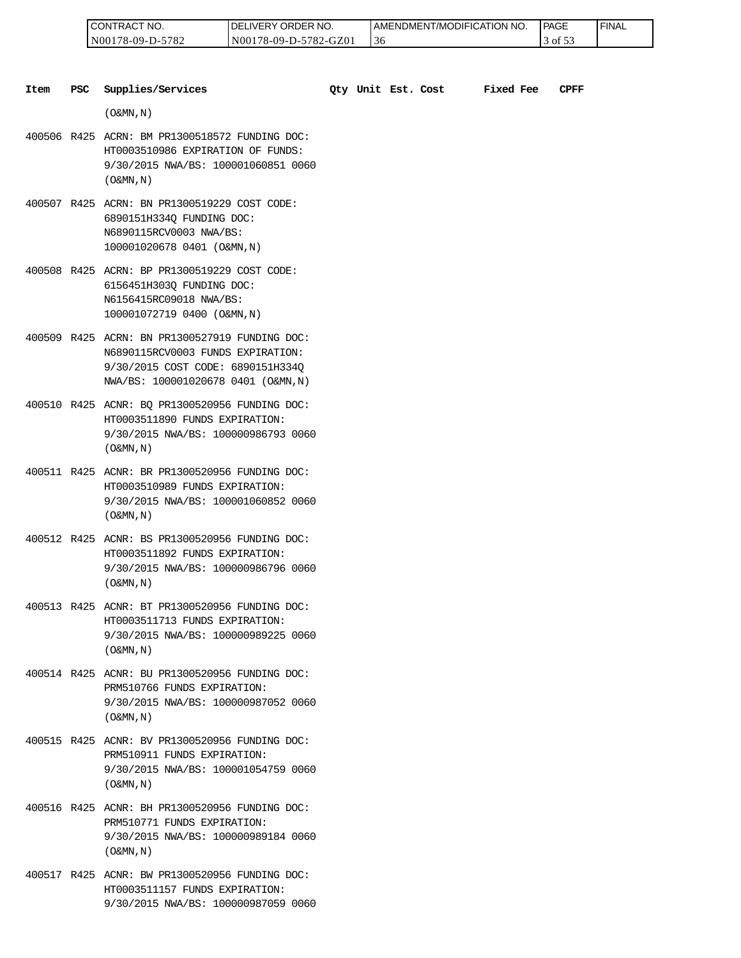| 'NO.<br>CONT<br>TRAC                               | ORDER NO.<br>IVERY<br>эF                    | AMENDMENT/MODIFICATION NO.      | <b>PAGE</b>                            | <b>FINAL</b> |
|----------------------------------------------------|---------------------------------------------|---------------------------------|----------------------------------------|--------------|
| 5707<br>N <sub>00</sub><br>$78-09-L$<br>⊿ '<br>- - | $782 - C$<br>GZ01<br>N00<br>$18 - 09 - D -$ | $\overline{\phantom{a}}$<br>-36 | $\sim$ $\sim$<br>$_{\text{ot}}$ $\sim$ |              |

| Item | <b>PSC</b> | Supplies/Services                                                                                                                                               |  | Qty Unit Est. Cost | <b>Fixed Fee</b> | CPFF |
|------|------------|-----------------------------------------------------------------------------------------------------------------------------------------------------------------|--|--------------------|------------------|------|
|      |            | $($ O&MN, $\overline{N}$ )                                                                                                                                      |  |                    |                  |      |
|      |            | 400506 R425 ACRN: BM PR1300518572 FUNDING DOC:<br>HT0003510986 EXPIRATION OF FUNDS:<br>9/30/2015 NWA/BS: 100001060851 0060<br>$($ O&MN, $\overline{N}$ )        |  |                    |                  |      |
|      |            | 400507 R425 ACRN: BN PR1300519229 COST CODE:<br>6890151H334Q FUNDING DOC:<br>N6890115RCV0003 NWA/BS:<br>100001020678 0401 (O&MN, N)                             |  |                    |                  |      |
|      |            | 400508 R425 ACRN: BP PR1300519229 COST CODE:<br>6156451H303Q FUNDING DOC:<br>N6156415RC09018 NWA/BS:<br>100001072719 0400 (O&MN, N)                             |  |                    |                  |      |
|      |            | 400509 R425 ACRN: BN PR1300527919 FUNDING DOC:<br>N6890115RCV0003 FUNDS EXPIRATION:<br>9/30/2015 COST CODE: 6890151H334Q<br>NWA/BS: 100001020678 0401 (O&MN, N) |  |                    |                  |      |
|      |            | 400510 R425 ACNR: BQ PR1300520956 FUNDING DOC:<br>HT0003511890 FUNDS EXPIRATION:<br>9/30/2015 NWA/BS: 100000986793 0060<br>$($ O&MN, $\overline{N}$ )           |  |                    |                  |      |
|      |            | 400511 R425 ACNR: BR PR1300520956 FUNDING DOC:<br>HT0003510989 FUNDS EXPIRATION:<br>9/30/2015 NWA/BS: 100001060852 0060<br>$($ O&MN, N)                         |  |                    |                  |      |
|      |            | 400512 R425 ACNR: BS PR1300520956 FUNDING DOC:<br>HT0003511892 FUNDS EXPIRATION:<br>9/30/2015 NWA/BS: 100000986796 0060<br>$($ O&MN, $N$ $)$                    |  |                    |                  |      |
|      |            | 400513 R425 ACNR: BT PR1300520956 FUNDING DOC:<br>HT0003511713 FUNDS EXPIRATION:<br>9/30/2015 NWA/BS: 100000989225 0060<br>$($ O&MN, N)                         |  |                    |                  |      |
|      |            | 400514 R425 ACNR: BU PR1300520956 FUNDING DOC:<br>PRM510766 FUNDS EXPIRATION:<br>9/30/2015 NWA/BS: 100000987052 0060<br>$(0\&MN, N)$                            |  |                    |                  |      |
|      |            | 400515 R425 ACNR: BV PR1300520956 FUNDING DOC:<br>PRM510911 FUNDS EXPIRATION:<br>9/30/2015 NWA/BS: 100001054759 0060<br>$($ O&MN, N)                            |  |                    |                  |      |
|      |            | 400516 R425 ACNR: BH PR1300520956 FUNDING DOC:<br>PRM510771 FUNDS EXPIRATION:<br>9/30/2015 NWA/BS: 100000989184 0060<br>$($ O&MN, N)                            |  |                    |                  |      |

400517 R425 ACNR: BW PR1300520956 FUNDING DOC: HT0003511157 FUNDS EXPIRATION: 9/30/2015 NWA/BS: 100000987059 0060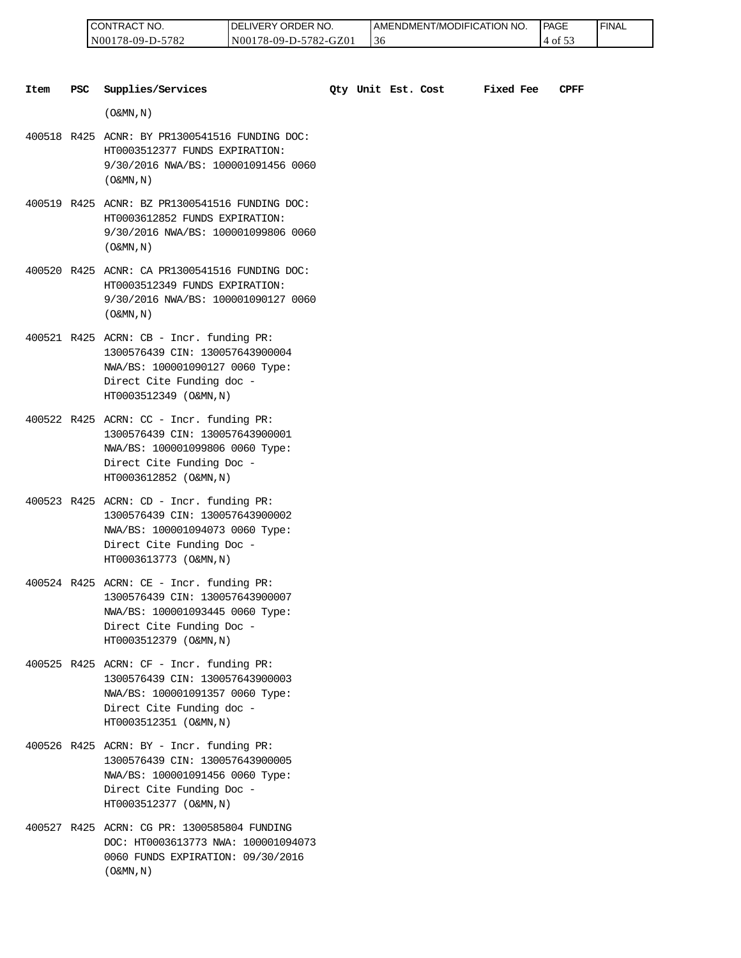| 'NO.<br>CONTRAC                    | ORDER NO.<br>ר.<br><b>IVERY</b>      | I AMENDMENT/MODIFICATION NO.    | <b>PAGE</b><br>_____ | <b>FINAL</b> |
|------------------------------------|--------------------------------------|---------------------------------|----------------------|--------------|
| 5700<br>N00<br>78-09-I<br>⊿ '<br>. | GZ0<br>N00<br>78-09-D-:<br>5782<br>. | $\overline{\phantom{a}}$<br>-36 | ΟĪ<br>. ب            |              |

| Item | <b>PSC</b> | Supplies/Services                                                                                                                                                       |  | Qty Unit Est. Cost | <b>Fixed Fee</b> | CPFF |
|------|------------|-------------------------------------------------------------------------------------------------------------------------------------------------------------------------|--|--------------------|------------------|------|
|      |            | $($ O&MN, N)                                                                                                                                                            |  |                    |                  |      |
|      |            | 400518 R425 ACNR: BY PR1300541516 FUNDING DOC:<br>HT0003512377 FUNDS EXPIRATION:<br>9/30/2016 NWA/BS: 100001091456 0060<br>$($ O&MN, N)                                 |  |                    |                  |      |
|      |            | 400519 R425 ACNR: BZ PR1300541516 FUNDING DOC:<br>HT0003612852 FUNDS EXPIRATION:<br>9/30/2016 NWA/BS: 100001099806 0060<br>$($ O&MN, N)                                 |  |                    |                  |      |
|      |            | 400520 R425 ACNR: CA PR1300541516 FUNDING DOC:<br>HT0003512349 FUNDS EXPIRATION:<br>9/30/2016 NWA/BS: 100001090127 0060<br>$($ O&MN, N)                                 |  |                    |                  |      |
|      |            | 400521 R425 ACRN: CB - Incr. funding PR:<br>1300576439 CIN: 130057643900004<br>NWA/BS: 100001090127 0060 Type:<br>Direct Cite Funding doc -<br>HT0003512349 (O&MN, N)   |  |                    |                  |      |
|      |            | 400522 R425 ACRN: CC - Incr. funding PR:<br>1300576439 CIN: 130057643900001<br>NWA/BS: 100001099806 0060 Type:<br>Direct Cite Funding Doc -<br>HT0003612852 (O&MN, N)   |  |                    |                  |      |
|      |            | 400523 R425 ACRN: CD - Incr. funding PR:<br>1300576439 CIN: 130057643900002<br>NWA/BS: 100001094073 0060 Type:<br>Direct Cite Funding Doc -<br>HT0003613773 (O&MN, N)   |  |                    |                  |      |
|      |            | $400524$ R425 ACRN: CE - Incr. funding PR:<br>1300576439 CIN: 130057643900007<br>NWA/BS: 100001093445 0060 Type:<br>Direct Cite Funding Doc -<br>HT0003512379 (O&MN, N) |  |                    |                  |      |
|      |            | 400525 R425 ACRN: CF - Incr. funding PR:<br>1300576439 CIN: 130057643900003<br>NWA/BS: 100001091357 0060 Type:<br>Direct Cite Funding doc -<br>HT0003512351 (O&MN, N)   |  |                    |                  |      |
|      |            | 400526 R425 ACRN: BY - Incr. funding PR:<br>1300576439 CIN: 130057643900005<br>NWA/BS: 100001091456 0060 Type:<br>Direct Cite Funding Doc -<br>HT0003512377 (O&MN, N)   |  |                    |                  |      |
|      |            | 400527 R425 ACRN: CG PR: 1300585804 FUNDING<br>DOC: HT0003613773 NWA: 100001094073<br>0060 FUNDS EXPIRATION: 09/30/2016                                                 |  |                    |                  |      |

 $($  O&MN , N  $)$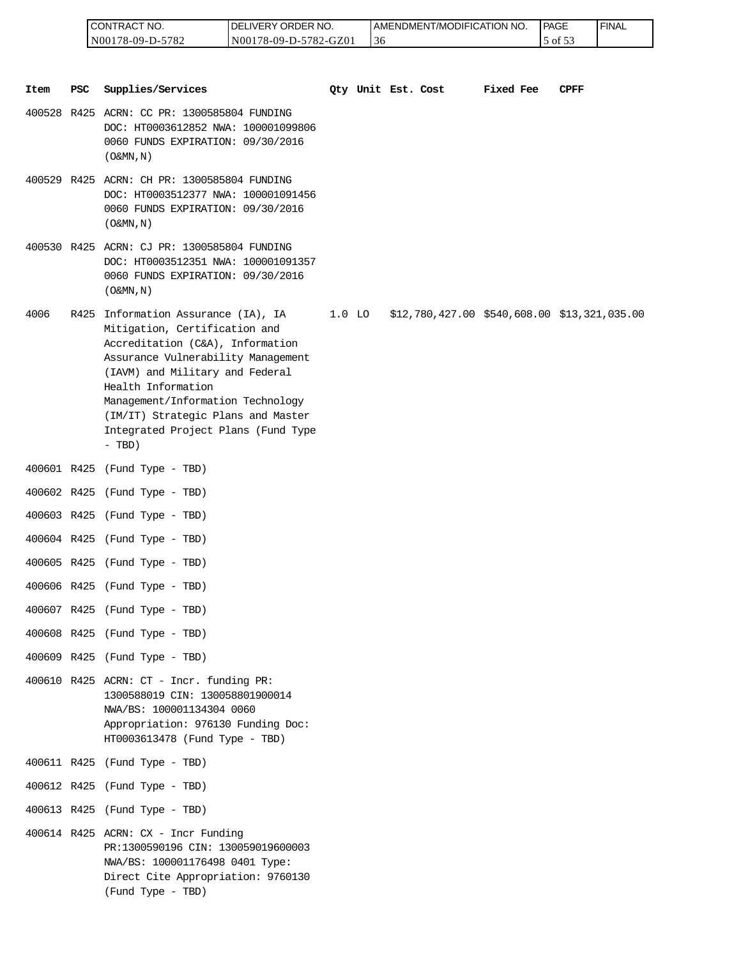| <b>CONTRACT NO.</b> | <b>IDELIVERY ORDER NO.</b> | I AMENDMENT/MODIFICATION NO. | <b>IPAGE</b> | ' FINAL |
|---------------------|----------------------------|------------------------------|--------------|---------|
| N00178-09-D-5782    | N00178-09-D-5782-GZ01      | 36                           | of $55$      |         |

|             |     | CONTRACT NO.<br>N00178-09-D-5782                                                                                                                                                                                                                                                                                                      | DELIVERY ORDER NO.<br>N00178-09-D-5782-GZ01 |          | 36 | AMENDMENT/MODIFICATION NO.                   |           | PAGE<br>5 of 53 | <b>FINAL</b> |
|-------------|-----|---------------------------------------------------------------------------------------------------------------------------------------------------------------------------------------------------------------------------------------------------------------------------------------------------------------------------------------|---------------------------------------------|----------|----|----------------------------------------------|-----------|-----------------|--------------|
|             |     |                                                                                                                                                                                                                                                                                                                                       |                                             |          |    |                                              |           |                 |              |
| <b>Item</b> | PSC | Supplies/Services                                                                                                                                                                                                                                                                                                                     |                                             |          |    | Qty Unit Est. Cost                           | Fixed Fee | CPFF            |              |
|             |     | 400528 R425 ACRN: CC PR: 1300585804 FUNDING<br>DOC: HT0003612852 NWA: 100001099806<br>0060 FUNDS EXPIRATION: 09/30/2016<br>$($ O&MN, N)                                                                                                                                                                                               |                                             |          |    |                                              |           |                 |              |
|             |     | 400529 R425 ACRN: CH PR: 1300585804 FUNDING<br>DOC: HT0003512377 NWA: 100001091456<br>0060 FUNDS EXPIRATION: 09/30/2016<br>$($ O&MN, N)                                                                                                                                                                                               |                                             |          |    |                                              |           |                 |              |
|             |     | 400530 R425 ACRN: CJ PR: 1300585804 FUNDING<br>DOC: HT0003512351 NWA: 100001091357<br>0060 FUNDS EXPIRATION: 09/30/2016<br>$($ O&MN, $N$ $)$                                                                                                                                                                                          |                                             |          |    |                                              |           |                 |              |
| 4006        |     | R425 Information Assurance (IA), IA<br>Mitigation, Certification and<br>Accreditation (C&A), Information<br>Assurance Vulnerability Management<br>(IAVM) and Military and Federal<br>Health Information<br>Management/Information Technology<br>(IM/IT) Strategic Plans and Master<br>Integrated Project Plans (Fund Type<br>$-$ TBD) |                                             | $1.0$ LO |    | \$12,780,427.00 \$540,608.00 \$13,321,035.00 |           |                 |              |
|             |     | 400601 R425 (Fund Type - TBD)                                                                                                                                                                                                                                                                                                         |                                             |          |    |                                              |           |                 |              |
|             |     | 400602 R425 (Fund Type - TBD)                                                                                                                                                                                                                                                                                                         |                                             |          |    |                                              |           |                 |              |
|             |     | 400603 R425 (Fund Type - TBD)                                                                                                                                                                                                                                                                                                         |                                             |          |    |                                              |           |                 |              |
|             |     | 400604 R425 (Fund Type - TBD)                                                                                                                                                                                                                                                                                                         |                                             |          |    |                                              |           |                 |              |
|             |     | 400605 R425 (Fund Type - TBD)                                                                                                                                                                                                                                                                                                         |                                             |          |    |                                              |           |                 |              |
|             |     | 400606 R425 (Fund Type - TBD)                                                                                                                                                                                                                                                                                                         |                                             |          |    |                                              |           |                 |              |
|             |     | 400607 R425 (Fund Type - TBD)                                                                                                                                                                                                                                                                                                         |                                             |          |    |                                              |           |                 |              |
|             |     | 400608 R425 (Fund Type - TBD)                                                                                                                                                                                                                                                                                                         |                                             |          |    |                                              |           |                 |              |
|             |     | 400609 R425 (Fund Type - TBD)                                                                                                                                                                                                                                                                                                         |                                             |          |    |                                              |           |                 |              |
|             |     | 400610 R425 ACRN: CT - Incr. funding PR:<br>1300588019 CIN: 130058801900014<br>NWA/BS: 100001134304 0060<br>Appropriation: 976130 Funding Doc:<br>HT0003613478 (Fund Type - TBD)                                                                                                                                                      |                                             |          |    |                                              |           |                 |              |
|             |     | 400611 R425 (Fund Type - TBD)                                                                                                                                                                                                                                                                                                         |                                             |          |    |                                              |           |                 |              |
|             |     | 400612 R425 (Fund Type - TBD)                                                                                                                                                                                                                                                                                                         |                                             |          |    |                                              |           |                 |              |
|             |     | 400613 R425 (Fund Type - TBD)                                                                                                                                                                                                                                                                                                         |                                             |          |    |                                              |           |                 |              |
|             |     | $400614$ R425 ACRN: CX - Incr Funding<br>PR:1300590196 CIN: 130059019600003<br>NWA/BS: 100001176498 0401 Type:<br>Direct Cite Appropriation: 9760130<br>(Fund Type - TBD)                                                                                                                                                             |                                             |          |    |                                              |           |                 |              |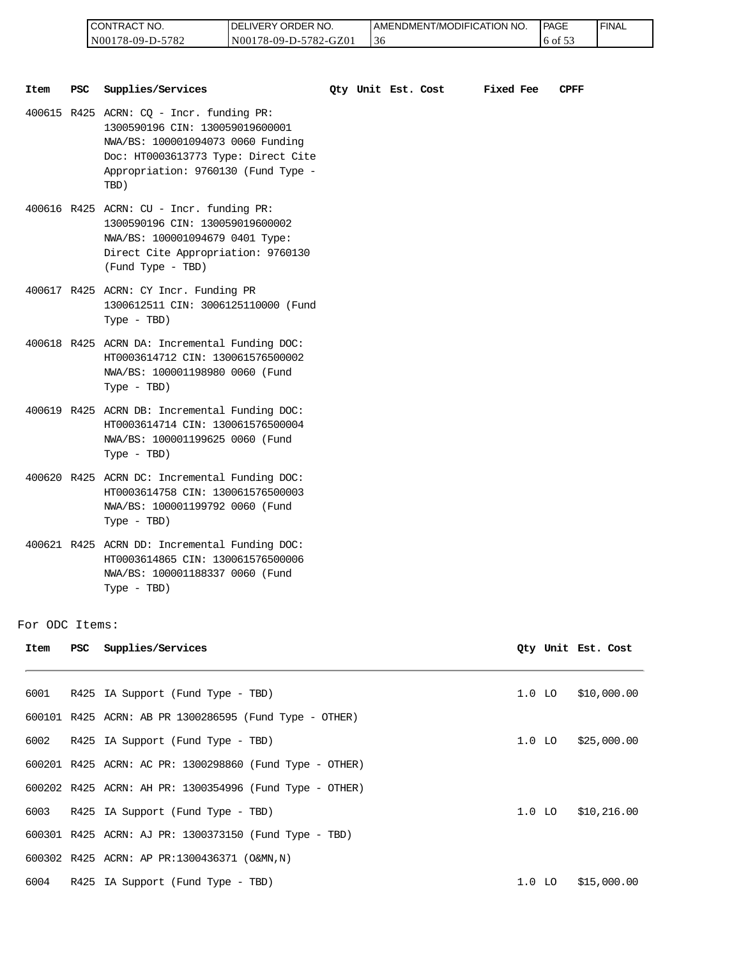| I CONTRACT NO.   | <b>DELIVERY ORDER NO.</b> | AMENDMENT/MODIFICATION NO. | <b>PAGE</b>  | ' FINAL |
|------------------|---------------------------|----------------------------|--------------|---------|
| N00178-09-D-5782 | N00178-09-D-5782-GZ01     | 30                         | $16$ of $5.$ |         |

|               |            | CONTRACT NO.<br>N00178-09-D-5782                                                                                                                                                                       | DELIVERY ORDER NO.<br>N00178-09-D-5782-GZ01 |                    | 36 | AMENDMENT/MODIFICATION NO. |           |          | PAGE<br>6 of 53 | <b>FINAL</b>       |
|---------------|------------|--------------------------------------------------------------------------------------------------------------------------------------------------------------------------------------------------------|---------------------------------------------|--------------------|----|----------------------------|-----------|----------|-----------------|--------------------|
| Item          | <b>PSC</b> | Supplies/Services                                                                                                                                                                                      |                                             | Qty Unit Est. Cost |    |                            | Fixed Fee |          | CPFF            |                    |
|               |            | 400615 R425 ACRN: CQ - Incr. funding PR:<br>1300590196 CIN: 130059019600001<br>NWA/BS: 100001094073 0060 Funding<br>Doc: HT0003613773 Type: Direct Cite<br>Appropriation: 9760130 (Fund Type -<br>TBD) |                                             |                    |    |                            |           |          |                 |                    |
|               |            | 400616 R425 ACRN: CU - Incr. funding PR:<br>1300590196 CIN: 130059019600002<br>NWA/BS: 100001094679 0401 Type:<br>Direct Cite Appropriation: 9760130<br>(Fund Type - TBD)                              |                                             |                    |    |                            |           |          |                 |                    |
|               |            | 400617 R425 ACRN: CY Incr. Funding PR<br>1300612511 CIN: 3006125110000 (Fund<br>$Type - TBD)$                                                                                                          |                                             |                    |    |                            |           |          |                 |                    |
|               |            | 400618 R425 ACRN DA: Incremental Funding DOC:<br>HT0003614712 CIN: 130061576500002<br>NWA/BS: 100001198980 0060 (Fund<br>Type - TBD)                                                                   |                                             |                    |    |                            |           |          |                 |                    |
|               |            | 400619 R425 ACRN DB: Incremental Funding DOC:<br>HT0003614714 CIN: 130061576500004<br>NWA/BS: 100001199625 0060 (Fund<br>Type - TBD)                                                                   |                                             |                    |    |                            |           |          |                 |                    |
|               |            | 400620 R425 ACRN DC: Incremental Funding DOC:<br>HT0003614758 CIN: 130061576500003<br>NWA/BS: 100001199792 0060 (Fund<br>$Type - TBD)$                                                                 |                                             |                    |    |                            |           |          |                 |                    |
|               |            | 400621 R425 ACRN DD: Incremental Funding DOC:<br>HT0003614865 CIN: 130061576500006<br>NWA/BS: 100001188337 0060 (Fund<br>$Type - TBD)$                                                                 |                                             |                    |    |                            |           |          |                 |                    |
| or ODC Items: |            |                                                                                                                                                                                                        |                                             |                    |    |                            |           |          |                 |                    |
| Item          | PSC        | Supplies/Services                                                                                                                                                                                      |                                             |                    |    |                            |           |          |                 | Qty Unit Est. Cost |
| 6001          |            | R425 IA Support (Fund Type - TBD)                                                                                                                                                                      |                                             |                    |    |                            |           | $1.0$ LO |                 | \$10,000.00        |
|               |            | 600101 R425 ACRN: AB PR 1300286595 (Fund Type - OTHER)                                                                                                                                                 |                                             |                    |    |                            |           |          |                 |                    |
| 6002          |            | R425 IA Support (Fund Type - TBD)                                                                                                                                                                      |                                             |                    |    |                            |           | $1.0$ LO |                 | \$25,000.00        |
|               |            | 600201 R425 ACRN: AC PR: 1300298860 (Fund Type - OTHER)                                                                                                                                                |                                             |                    |    |                            |           |          |                 |                    |
|               |            | 600202 R425 ACRN: AH PR: 1300354996 (Fund Type - OTHER)                                                                                                                                                |                                             |                    |    |                            |           |          |                 |                    |
| 6003          |            | R425 IA Support (Fund Type - TBD)                                                                                                                                                                      |                                             |                    |    |                            |           | $1.0$ LO |                 | \$10,216.00        |
|               |            | 600301 R425 ACRN: AJ PR: 1300373150 (Fund Type - TBD)                                                                                                                                                  |                                             |                    |    |                            |           |          |                 |                    |
|               |            | 600302 R425 ACRN: AP PR:1300436371 (O&MN,N)                                                                                                                                                            |                                             |                    |    |                            |           |          |                 |                    |
| 6004          |            | R425 IA Support (Fund Type - TBD)                                                                                                                                                                      |                                             |                    |    |                            |           |          | $1.0$ LO        | \$15,000.00        |

For ODC Items:

| Item | PSC | Supplies/Services                                       |          | Qty Unit Est. Cost |
|------|-----|---------------------------------------------------------|----------|--------------------|
|      |     |                                                         |          |                    |
| 6001 |     | R425 IA Support (Fund Type - TBD)                       | $1.0$ LO | \$10,000.00        |
|      |     | 600101 R425 ACRN: AB PR 1300286595 (Fund Type - OTHER)  |          |                    |
| 6002 |     | R425 IA Support (Fund Type - TBD)                       | $1.0$ LO | \$25,000.00        |
|      |     | 600201 R425 ACRN: AC PR: 1300298860 (Fund Type - OTHER) |          |                    |
|      |     | 600202 R425 ACRN: AH PR: 1300354996 (Fund Type - OTHER) |          |                    |
|      |     | 6003 R425 IA Support (Fund Type - TBD)                  | $1.0$ LO | \$10,216.00        |
|      |     | 600301 R425 ACRN: AJ PR: 1300373150 (Fund Type - TBD)   |          |                    |
|      |     | 600302 R425 ACRN: AP PR:1300436371 (O&MN,N)             |          |                    |
| 6004 |     | R425 IA Support (Fund Type - TBD)                       | 1.0 LO   | \$15,000.00        |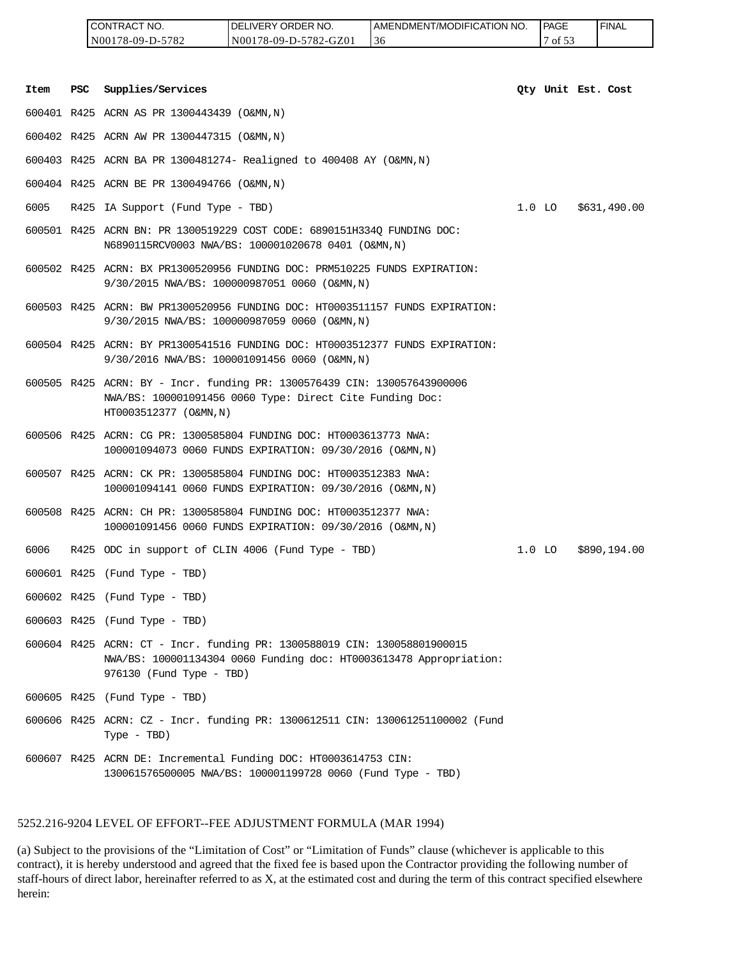|         |                                                                                                                                                                                                                                                                                                                                                                                                                                                                                | CONTRACT NO.<br>N00178-09-D-5782            | DELIVERY ORDER NO.<br>N00178-09-D-5782-GZ01                                                                                                    | AMENDMENT/MODIFICATION NO.<br>36 |          | <b>PAGE</b><br>7 of 53 |  | <b>FINAL</b> |  |  |
|---------|--------------------------------------------------------------------------------------------------------------------------------------------------------------------------------------------------------------------------------------------------------------------------------------------------------------------------------------------------------------------------------------------------------------------------------------------------------------------------------|---------------------------------------------|------------------------------------------------------------------------------------------------------------------------------------------------|----------------------------------|----------|------------------------|--|--------------|--|--|
|         |                                                                                                                                                                                                                                                                                                                                                                                                                                                                                |                                             |                                                                                                                                                |                                  |          |                        |  |              |  |  |
| Item    | PSC                                                                                                                                                                                                                                                                                                                                                                                                                                                                            | Supplies/Services                           |                                                                                                                                                |                                  |          | Qty Unit Est. Cost     |  |              |  |  |
|         |                                                                                                                                                                                                                                                                                                                                                                                                                                                                                | 600401 R425 ACRN AS PR 1300443439 (O&MN, N) |                                                                                                                                                |                                  |          |                        |  |              |  |  |
|         |                                                                                                                                                                                                                                                                                                                                                                                                                                                                                | 600402 R425 ACRN AW PR 1300447315 (O&MN, N) |                                                                                                                                                |                                  |          |                        |  |              |  |  |
|         |                                                                                                                                                                                                                                                                                                                                                                                                                                                                                |                                             | 600403 R425 ACRN BA PR 1300481274- Realigned to 400408 AY (O&MN, N)                                                                            |                                  |          |                        |  |              |  |  |
|         |                                                                                                                                                                                                                                                                                                                                                                                                                                                                                | 600404 R425 ACRN BE PR 1300494766 (O&MN, N) |                                                                                                                                                |                                  |          |                        |  |              |  |  |
| 6005    |                                                                                                                                                                                                                                                                                                                                                                                                                                                                                | R425 IA Support (Fund Type - TBD)           |                                                                                                                                                |                                  | $1.0$ LO |                        |  | \$631,490.00 |  |  |
|         |                                                                                                                                                                                                                                                                                                                                                                                                                                                                                |                                             | 600501 R425 ACRN BN: PR 1300519229 COST CODE: 6890151H334Q FUNDING DOC:<br>N6890115RCV0003 NWA/BS: 100001020678 0401 (O&MN,N)                  |                                  |          |                        |  |              |  |  |
|         |                                                                                                                                                                                                                                                                                                                                                                                                                                                                                |                                             | 600502 R425 ACRN: BX PR1300520956 FUNDING DOC: PRM510225 FUNDS EXPIRATION:<br>9/30/2015 NWA/BS: 100000987051 0060 (O&MN,N)                     |                                  |          |                        |  |              |  |  |
|         |                                                                                                                                                                                                                                                                                                                                                                                                                                                                                |                                             | 600503 R425 ACRN: BW PR1300520956 FUNDING DOC: HT0003511157 FUNDS EXPIRATION:<br>9/30/2015 NWA/BS: 100000987059 0060 (O&MN,N)                  |                                  |          |                        |  |              |  |  |
|         |                                                                                                                                                                                                                                                                                                                                                                                                                                                                                |                                             | 600504 R425 ACRN: BY PR1300541516 FUNDING DOC: HT0003512377 FUNDS EXPIRATION:<br>9/30/2016 NWA/BS: 100001091456 0060 (O&MN,N)                  |                                  |          |                        |  |              |  |  |
|         |                                                                                                                                                                                                                                                                                                                                                                                                                                                                                | HT0003512377 (O&MN, N)                      | 600505 R425 ACRN: BY - Incr. funding PR: 1300576439 CIN: 130057643900006<br>NWA/BS: 100001091456 0060 Type: Direct Cite Funding Doc:           |                                  |          |                        |  |              |  |  |
|         |                                                                                                                                                                                                                                                                                                                                                                                                                                                                                |                                             | 600506 R425 ACRN: CG PR: 1300585804 FUNDING DOC: HT0003613773 NWA:<br>100001094073 0060 FUNDS EXPIRATION: 09/30/2016 (O&MN,N)                  |                                  |          |                        |  |              |  |  |
|         |                                                                                                                                                                                                                                                                                                                                                                                                                                                                                |                                             | 600507 R425 ACRN: CK PR: 1300585804 FUNDING DOC: HT0003512383 NWA:<br>100001094141 0060 FUNDS EXPIRATION: 09/30/2016 (O&MN,N)                  |                                  |          |                        |  |              |  |  |
|         |                                                                                                                                                                                                                                                                                                                                                                                                                                                                                |                                             | 600508 R425 ACRN: CH PR: 1300585804 FUNDING DOC: HT0003512377 NWA:<br>100001091456 0060 FUNDS EXPIRATION: 09/30/2016 (O&MN,N)                  |                                  |          |                        |  |              |  |  |
| 6006    |                                                                                                                                                                                                                                                                                                                                                                                                                                                                                |                                             | R425 ODC in support of CLIN 4006 (Fund Type - TBD)                                                                                             |                                  | 1.0 LO   |                        |  | \$890,194.00 |  |  |
|         |                                                                                                                                                                                                                                                                                                                                                                                                                                                                                | 600601 R425 (Fund Type - TBD)               |                                                                                                                                                |                                  |          |                        |  |              |  |  |
|         |                                                                                                                                                                                                                                                                                                                                                                                                                                                                                | 600602 R425 (Fund Type - TBD)               |                                                                                                                                                |                                  |          |                        |  |              |  |  |
|         |                                                                                                                                                                                                                                                                                                                                                                                                                                                                                | 600603 R425 (Fund Type - TBD)               |                                                                                                                                                |                                  |          |                        |  |              |  |  |
|         |                                                                                                                                                                                                                                                                                                                                                                                                                                                                                | 976130 (Fund Type - TBD)                    | 600604 R425 ACRN: CT - Incr. funding PR: 1300588019 CIN: 130058801900015<br>NWA/BS: 100001134304 0060 Funding doc: HT0003613478 Appropriation: |                                  |          |                        |  |              |  |  |
|         |                                                                                                                                                                                                                                                                                                                                                                                                                                                                                | 600605 R425 (Fund Type - TBD)               |                                                                                                                                                |                                  |          |                        |  |              |  |  |
|         |                                                                                                                                                                                                                                                                                                                                                                                                                                                                                | Type - TBD)                                 | 600606 R425 ACRN: CZ - Incr. funding PR: 1300612511 CIN: 130061251100002 (Fund                                                                 |                                  |          |                        |  |              |  |  |
|         |                                                                                                                                                                                                                                                                                                                                                                                                                                                                                |                                             | 600607 R425 ACRN DE: Incremental Funding DOC: HT0003614753 CIN:<br>130061576500005 NWA/BS: 100001199728 0060 (Fund Type - TBD)                 |                                  |          |                        |  |              |  |  |
|         |                                                                                                                                                                                                                                                                                                                                                                                                                                                                                |                                             |                                                                                                                                                |                                  |          |                        |  |              |  |  |
| herein: | 5252.216-9204 LEVEL OF EFFORT--FEE ADJUSTMENT FORMULA (MAR 1994)<br>(a) Subject to the provisions of the "Limitation of Cost" or "Limitation of Funds" clause (whichever is applicable to this<br>contract), it is hereby understood and agreed that the fixed fee is based upon the Contractor providing the following number of<br>staff-hours of direct labor, hereinafter referred to as X, at the estimated cost and during the term of this contract specified elsewhere |                                             |                                                                                                                                                |                                  |          |                        |  |              |  |  |

#### 5252.216-9204 LEVEL OF EFFORT--FEE ADJUSTMENT FORMULA (MAR 1994)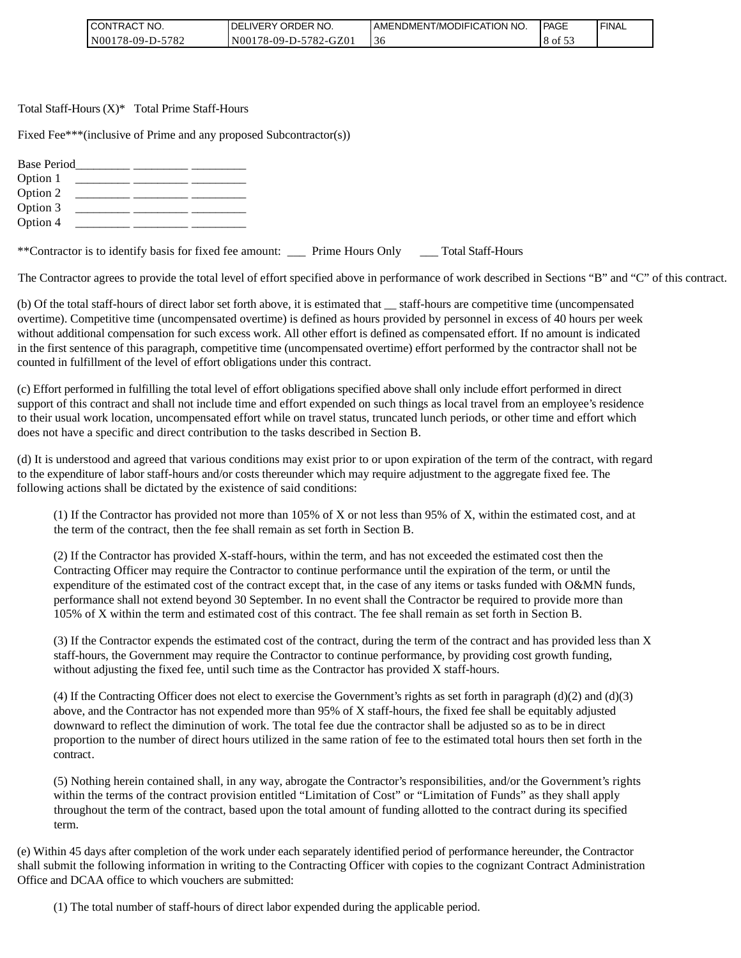| CONTRACT NO.     | I DELIVERY ORDER NO.  | AMENDMENT/MODIFICATION NO. | PAGE                | ' FINAL |
|------------------|-----------------------|----------------------------|---------------------|---------|
| N00178-09-D-5782 | N00178-09-D-5782-GZ01 | -3 C                       | $\cdot$ × of $\sim$ |         |

Total Staff-Hours (X)\* Total Prime Staff-Hours

Fixed Fee\*\*\*(inclusive of Prime and any proposed Subcontractor(s))

| <b>Base Period</b> |  |  |
|--------------------|--|--|
| Option 1           |  |  |
| Option 2           |  |  |
| Option 3           |  |  |
| Option 4           |  |  |
|                    |  |  |

\*\*Contractor is to identify basis for fixed fee amount: \_\_\_ Prime Hours Only \_\_\_ Total Staff-Hours

The Contractor agrees to provide the total level of effort specified above in performance of work described in Sections "B" and "C" of this contract.

(b) Of the total staff-hours of direct labor set forth above, it is estimated that \_\_ staff-hours are competitive time (uncompensated overtime). Competitive time (uncompensated overtime) is defined as hours provided by personnel in excess of 40 hours per week without additional compensation for such excess work. All other effort is defined as compensated effort. If no amount is indicated in the first sentence of this paragraph, competitive time (uncompensated overtime) effort performed by the contractor shall not be counted in fulfillment of the level of effort obligations under this contract.

(c) Effort performed in fulfilling the total level of effort obligations specified above shall only include effort performed in direct support of this contract and shall not include time and effort expended on such things as local travel from an employee's residence to their usual work location, uncompensated effort while on travel status, truncated lunch periods, or other time and effort which does not have a specific and direct contribution to the tasks described in Section B.

(d) It is understood and agreed that various conditions may exist prior to or upon expiration of the term of the contract, with regard to the expenditure of labor staff-hours and/or costs thereunder which may require adjustment to the aggregate fixed fee. The following actions shall be dictated by the existence of said conditions:

(1) If the Contractor has provided not more than 105% of X or not less than 95% of X, within the estimated cost, and at the term of the contract, then the fee shall remain as set forth in Section B.

(2) If the Contractor has provided X-staff-hours, within the term, and has not exceeded the estimated cost then the Contracting Officer may require the Contractor to continue performance until the expiration of the term, or until the expenditure of the estimated cost of the contract except that, in the case of any items or tasks funded with O&MN funds, performance shall not extend beyond 30 September. In no event shall the Contractor be required to provide more than 105% of X within the term and estimated cost of this contract. The fee shall remain as set forth in Section B.

(3) If the Contractor expends the estimated cost of the contract, during the term of the contract and has provided less than X staff-hours, the Government may require the Contractor to continue performance, by providing cost growth funding, without adjusting the fixed fee, until such time as the Contractor has provided X staff-hours.

(4) If the Contracting Officer does not elect to exercise the Government's rights as set forth in paragraph (d)(2) and (d)(3) above, and the Contractor has not expended more than 95% of X staff-hours, the fixed fee shall be equitably adjusted downward to reflect the diminution of work. The total fee due the contractor shall be adjusted so as to be in direct proportion to the number of direct hours utilized in the same ration of fee to the estimated total hours then set forth in the contract.

(5) Nothing herein contained shall, in any way, abrogate the Contractor's responsibilities, and/or the Government's rights within the terms of the contract provision entitled "Limitation of Cost" or "Limitation of Funds" as they shall apply throughout the term of the contract, based upon the total amount of funding allotted to the contract during its specified term.

(e) Within 45 days after completion of the work under each separately identified period of performance hereunder, the Contractor shall submit the following information in writing to the Contracting Officer with copies to the cognizant Contract Administration Office and DCAA office to which vouchers are submitted:

(1) The total number of staff-hours of direct labor expended during the applicable period.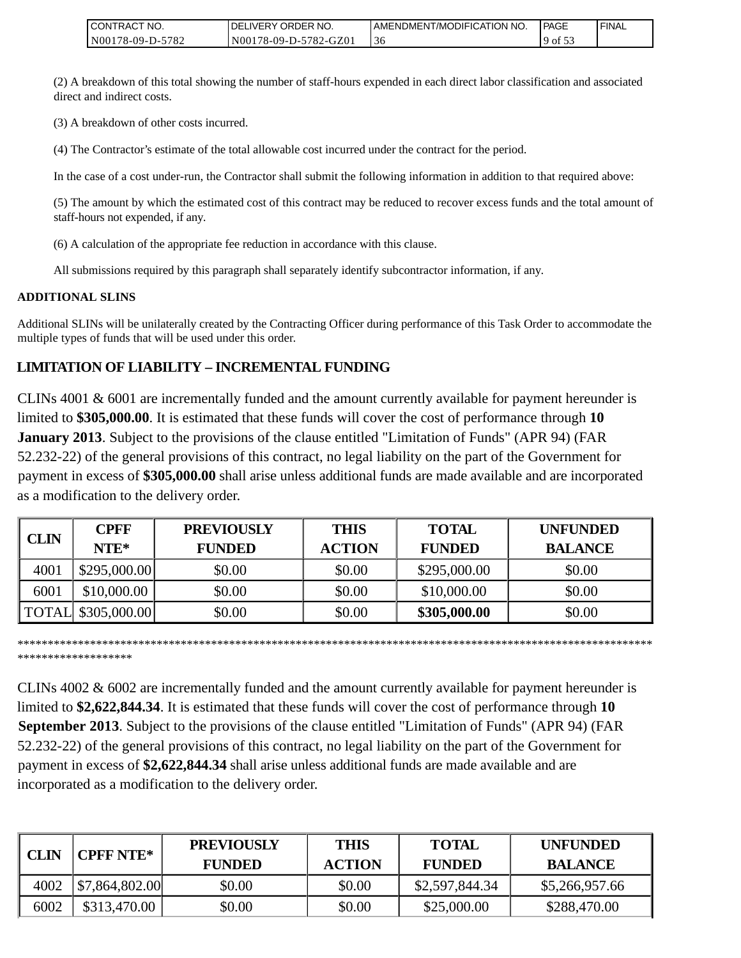| <b>CONTRACT NO.</b> | <b>IDELIVERY ORDER NO.</b> | AMENDMENT/MODIFICATION NO. | l PAGE       | ' FINAL |
|---------------------|----------------------------|----------------------------|--------------|---------|
| N00178-09-D-5782    | N00178-09-D-5782-GZ01      | 30                         | $19$ of $32$ |         |

(2) A breakdown of this total showing the number of staff-hours expended in each direct labor classification and associated direct and indirect costs.

(3) A breakdown of other costs incurred.

(4) The Contractor's estimate of the total allowable cost incurred under the contract for the period.

In the case of a cost under-run, the Contractor shall submit the following information in addition to that required above:

(5) The amount by which the estimated cost of this contract may be reduced to recover excess funds and the total amount of staff-hours not expended, if any.

(6) A calculation of the appropriate fee reduction in accordance with this clause.

All submissions required by this paragraph shall separately identify subcontractor information, if any.

#### **ADDITIONAL SLINS**

Additional SLINs will be unilaterally created by the Contracting Officer during performance of this Task Order to accommodate the multiple types of funds that will be used under this order.

# **LIMITATION OF LIABILITY – INCREMENTAL FUNDING**

CLINs 4001 & 6001 are incrementally funded and the amount currently available for payment hereunder is limited to **\$305,000.00**. It is estimated that these funds will cover the cost of performance through **10 January 2013**. Subject to the provisions of the clause entitled "Limitation of Funds" (APR 94) (FAR 52.232-22) of the general provisions of this contract, no legal liability on the part of the Government for payment in excess of **\$305,000.00** shall arise unless additional funds are made available and are incorporated as a modification to the delivery order.

| <b>CLIN</b> | <b>CPFF</b><br>NTE*       | <b>PREVIOUSLY</b><br><b>FUNDED</b> | <b>THIS</b><br><b>ACTION</b> | <b>TOTAL</b><br><b>FUNDED</b> | <b>UNFUNDED</b><br><b>BALANCE</b> |
|-------------|---------------------------|------------------------------------|------------------------------|-------------------------------|-----------------------------------|
| 4001        | \$295,000.00]             | \$0.00                             | \$0.00                       | \$295,000.00                  | \$0.00                            |
| 6001        | \$10,000.00               | \$0.00                             | \$0.00                       | \$10,000.00                   | \$0.00                            |
|             | <b>TOTAL</b> \$305,000.00 | \$0.00                             | \$0.00                       | \$305,000.00                  | \$0.00                            |

\*\*\*\*\*\*\*\*\*\*\*\*\*\*\*\*\*\*\*\*\*\*\*\*\*\*\*\*\*\*\*\*\*\*\*\*\*\*\*\*\*\*\*\*\*\*\*\*\*\*\*\*\*\*\*\*\*\*\*\*\*\*\*\*\*\*\*\*\*\*\*\*\*\*\*\*\*\*\*\*\*\*\*\*\*\*\*\*\*\*\*\*\*\*\*\*\*\*\*\*\*\*\*\*\*

\*\*\*\*\*\*\*\*\*\*\*\*\*\*\*\*\*\*\*

CLINs 4002 & 6002 are incrementally funded and the amount currently available for payment hereunder is limited to **\$2,622,844.34**. It is estimated that these funds will cover the cost of performance through **10 September 2013**. Subject to the provisions of the clause entitled "Limitation of Funds" (APR 94) (FAR 52.232-22) of the general provisions of this contract, no legal liability on the part of the Government for payment in excess of **\$2,622,844.34** shall arise unless additional funds are made available and are incorporated as a modification to the delivery order.

| <b>CLIN</b> | <b>CPFF NTE*</b>               | <b>PREVIOUSLY</b><br><b>FUNDED</b> | <b>THIS</b><br><b>ACTION</b> | <b>TOTAL</b><br><b>FUNDED</b> | <b>UNFUNDED</b><br><b>BALANCE</b> |
|-------------|--------------------------------|------------------------------------|------------------------------|-------------------------------|-----------------------------------|
| 4002        | $\left  $7,864,802.00 \right $ | \$0.00                             | \$0.00                       | \$2,597,844.34                | \$5,266,957.66                    |
| 6002        | \$313,470.00                   | \$0.00                             | \$0.00                       | \$25,000.00                   | \$288,470.00                      |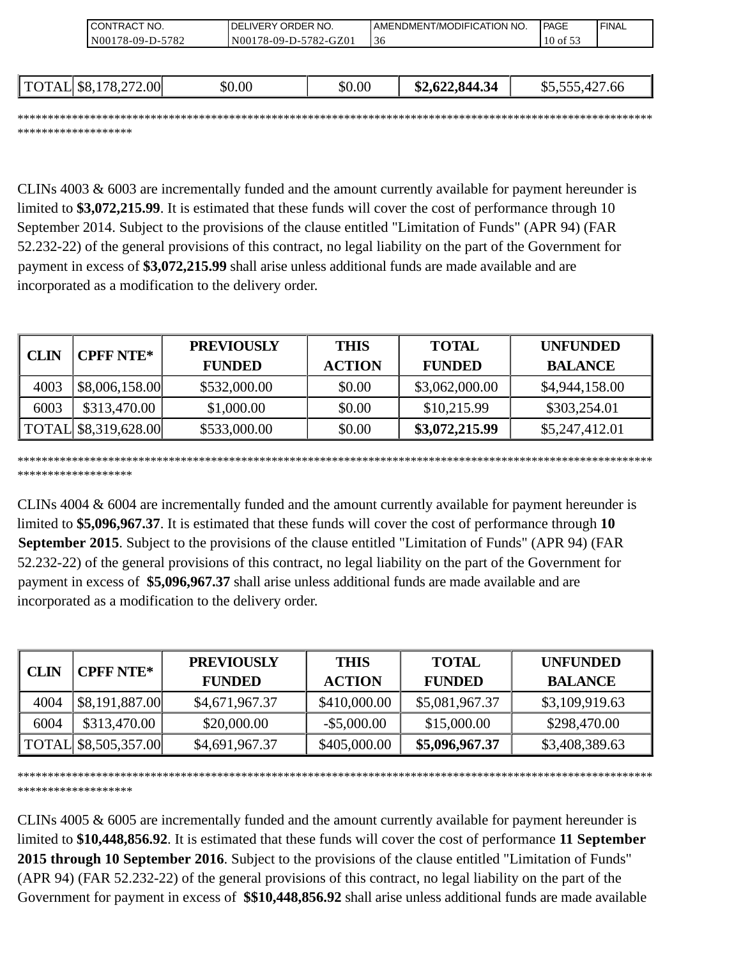| I CONTRACT NO.       | <b>IDELIVERY ORDER NO.</b> |                       |    | AMENDMENT/MODIFICATION NO. |  | <b>IPAGE</b>   | <b>'FINAL</b> |
|----------------------|----------------------------|-----------------------|----|----------------------------|--|----------------|---------------|
| N00178-09-D-5782     |                            | N00178-09-D-5782-GZ01 | 36 |                            |  | $10$ of 53     |               |
|                      |                            |                       |    |                            |  |                |               |
|                      |                            |                       |    |                            |  |                |               |
| TOTAL \$8,178,272.00 | \$0.00                     | \$0.00                |    | \$2,622,844.34             |  | \$5,555,427.66 |               |

\*\*\*\*\*\*\*\*\*\*\*\*\*\*\*\*\*\*\*\*\*\*\*\*\*\*\*\*\*\*\*\*\*\*\*\*\*\*\*\*\*\*\*\*\*\*\*\*\*\*\*\*\*\*\*\*\*\*\*\*\*\*\*\*\*\*\*\*\*\*\*\*\*\*\*\*\*\*\*\*\*\*\*\*\*\*\*\*\*\*\*\*\*\*\*\*\*\*\*\*\*\*\*\*\* \*\*\*\*\*\*\*\*\*\*\*\*\*\*\*\*\*\*\*

CLINs 4003 & 6003 are incrementally funded and the amount currently available for payment hereunder is limited to **\$3,072,215.99**. It is estimated that these funds will cover the cost of performance through 10 September 2014. Subject to the provisions of the clause entitled "Limitation of Funds" (APR 94) (FAR 52.232-22) of the general provisions of this contract, no legal liability on the part of the Government for payment in excess of **\$3,072,215.99** shall arise unless additional funds are made available and are incorporated as a modification to the delivery order.

| CLIN | <b>CPFF NTE*</b>     | <b>PREVIOUSLY</b> | <b>THIS</b>   | <b>TOTAL</b>   | <b>UNFUNDED</b> |
|------|----------------------|-------------------|---------------|----------------|-----------------|
|      |                      | <b>FUNDED</b>     | <b>ACTION</b> | <b>FUNDED</b>  | <b>BALANCE</b>  |
| 4003 | \$8,006,158.00       | \$532,000.00      | \$0.00        | \$3,062,000.00 | \$4,944,158.00  |
| 6003 | \$313,470.00         | \$1,000.00        | \$0.00        | \$10,215.99    | \$303,254.01    |
|      | TOTAL \$8,319,628.00 | \$533,000.00      | \$0.00        | \$3,072,215.99 | \$5,247,412.01  |

\*\*\*\*\*\*\*\*\*\*\*\*\*\*\*\*\*\*\*\*\*\*\*\*\*\*\*\*\*\*\*\*\*\*\*\*\*\*\*\*\*\*\*\*\*\*\*\*\*\*\*\*\*\*\*\*\*\*\*\*\*\*\*\*\*\*\*\*\*\*\*\*\*\*\*\*\*\*\*\*\*\*\*\*\*\*\*\*\*\*\*\*\*\*\*\*\*\*\*\*\*\*\*\*\* \*\*\*\*\*\*\*\*\*\*\*\*\*\*\*\*\*\*\*

CLINs 4004 & 6004 are incrementally funded and the amount currently available for payment hereunder is limited to **\$5,096,967.37**. It is estimated that these funds will cover the cost of performance through **10 September 2015**. Subject to the provisions of the clause entitled "Limitation of Funds" (APR 94) (FAR 52.232-22) of the general provisions of this contract, no legal liability on the part of the Government for payment in excess of **\$5,096,967.37** shall arise unless additional funds are made available and are incorporated as a modification to the delivery order.

|             | <b>CPFF NTE*</b>     | <b>PREVIOUSLY</b> | <b>THIS</b>    | <b>TOTAL</b>   | <b>UNFUNDED</b> |
|-------------|----------------------|-------------------|----------------|----------------|-----------------|
| <b>CLIN</b> | <b>FUNDED</b>        | <b>ACTION</b>     | <b>FUNDED</b>  | <b>BALANCE</b> |                 |
| 4004        | \$8,191,887.00       | \$4,671,967.37    | \$410,000.00   | \$5,081,967.37 | \$3,109,919.63  |
| 6004        | \$313,470.00         | \$20,000.00       | $-$ \$5,000.00 | \$15,000.00    | \$298,470.00    |
|             | TOTAL \$8,505,357.00 | \$4,691,967.37    | \$405,000.00   | \$5,096,967.37 | \$3,408,389.63  |

\*\*\*\*\*\*\*\*\*\*\*\*\*\*\*\*\*\*\*\*\*\*\*\*\*\*\*\*\*\*\*\*\*\*\*\*\*\*\*\*\*\*\*\*\*\*\*\*\*\*\*\*\*\*\*\*\*\*\*\*\*\*\*\*\*\*\*\*\*\*\*\*\*\*\*\*\*\*\*\*\*\*\*\*\*\*\*\*\*\*\*\*\*\*\*\*\*\*\*\*\*\*\*\*\* \*\*\*\*\*\*\*\*\*\*\*\*\*\*\*\*\*\*\*

CLINs 4005 & 6005 are incrementally funded and the amount currently available for payment hereunder is limited to **\$10,448,856.92**. It is estimated that these funds will cover the cost of performance **11 September 2015 through 10 September 2016**. Subject to the provisions of the clause entitled "Limitation of Funds" (APR 94) (FAR 52.232-22) of the general provisions of this contract, no legal liability on the part of the Government for payment in excess of **\$\$10,448,856.92** shall arise unless additional funds are made available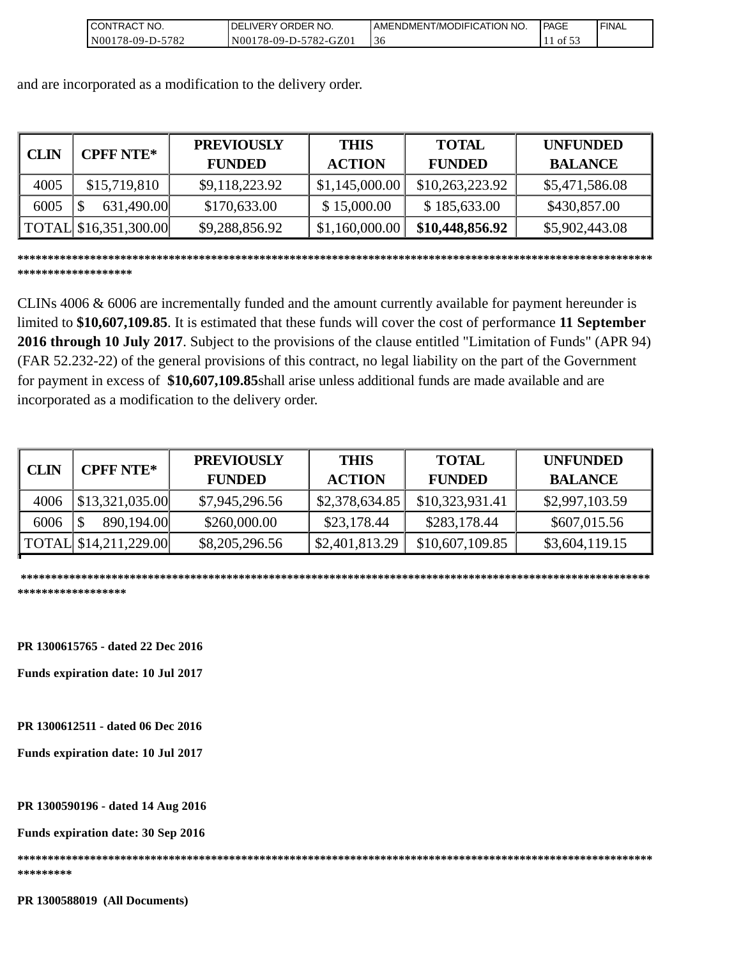| <b>CONTRACT NO.</b> | <b>IDELIVERY ORDER NO.</b> | AMENDMENT/MODIFICATION NO. | l PAGE  | 'FINAL |
|---------------------|----------------------------|----------------------------|---------|--------|
| IN00178-09-D-5782   | N00178-09-D-5782-GZ01      | 3C                         | of $53$ |        |

and are incorporated as a modification to the delivery order.

| <b>CLIN</b> | <b>CPFF NTE*</b>      | <b>PREVIOUSLY</b><br><b>FUNDED</b> | <b>THIS</b><br><b>ACTION</b> | <b>TOTAL</b><br><b>FUNDED</b> | <b>UNFUNDED</b><br><b>BALANCE</b> |
|-------------|-----------------------|------------------------------------|------------------------------|-------------------------------|-----------------------------------|
| 4005        | \$15,719,810          | \$9,118,223.92                     | \$1,145,000.00               | \$10,263,223.92               | \$5,471,586.08                    |
| 6005        | 631,490.00            | \$170,633.00                       | \$15,000.00                  | \$185,633.00                  | \$430,857.00                      |
|             | TOTAL \$16,351,300.00 | \$9,288,856.92                     | \$1,160,000.00               | \$10,448,856.92               | \$5,902,443.08                    |

**\*\*\*\*\*\*\*\*\*\*\*\*\*\*\*\*\*\*\*\*\*\*\*\*\*\*\*\*\*\*\*\*\*\*\*\*\*\*\*\*\*\*\*\*\*\*\*\*\*\*\*\*\*\*\*\*\*\*\*\*\*\*\*\*\*\*\*\*\*\*\*\*\*\*\*\*\*\*\*\*\*\*\*\*\*\*\*\*\*\*\*\*\*\*\*\*\*\*\*\*\*\*\*\*\* \*\*\*\*\*\*\*\*\*\*\*\*\*\*\*\*\*\*\***

CLINs 4006 & 6006 are incrementally funded and the amount currently available for payment hereunder is limited to **\$10,607,109.85**. It is estimated that these funds will cover the cost of performance **11 September 2016 through 10 July 2017**. Subject to the provisions of the clause entitled "Limitation of Funds" (APR 94) (FAR 52.232-22) of the general provisions of this contract, no legal liability on the part of the Government for payment in excess of **\$10,607,109.85**shall arise unless additional funds are made available and are incorporated as a modification to the delivery order.

| <b>CLIN</b> | <b>CPFF NTE*</b>        | <b>PREVIOUSLY</b> | <b>THIS</b>    | <b>TOTAL</b>    | <b>UNFUNDED</b> |
|-------------|-------------------------|-------------------|----------------|-----------------|-----------------|
|             |                         | <b>FUNDED</b>     | <b>ACTION</b>  | <b>FUNDED</b>   | <b>BALANCE</b>  |
| 4006        | $\vert$ \$13,321,035.00 | \$7,945,296.56    | \$2,378,634.85 | \$10,323,931.41 | \$2,997,103.59  |
| 6006        | 890,194.00              | \$260,000.00      | \$23,178.44    | \$283,178.44    | \$607,015.56    |
|             | TOTAL \$14,211,229.00   | \$8,205,296.56    | \$2,401,813.29 | \$10,607,109.85 | \$3,604,119.15  |

 **\*\*\*\*\*\*\*\*\*\*\*\*\*\*\*\*\*\*\*\*\*\*\*\*\*\*\*\*\*\*\*\*\*\*\*\*\*\*\*\*\*\*\*\*\*\*\*\*\*\*\*\*\*\*\*\*\*\*\*\*\*\*\*\*\*\*\*\*\*\*\*\*\*\*\*\*\*\*\*\*\*\*\*\*\*\*\*\*\*\*\*\*\*\*\*\*\*\*\*\*\*\*\*\* \*\*\*\*\*\*\*\*\*\*\*\*\*\*\*\*\*\***

**PR 1300615765 - dated 22 Dec 2016** 

**Funds expiration date: 10 Jul 2017**

**PR 1300612511 - dated 06 Dec 2016**

**Funds expiration date: 10 Jul 2017**

**PR 1300590196 - dated 14 Aug 2016** 

**Funds expiration date: 30 Sep 2016**

**\*\*\*\*\*\*\*\*\*\*\*\*\*\*\*\*\*\*\*\*\*\*\*\*\*\*\*\*\*\*\*\*\*\*\*\*\*\*\*\*\*\*\*\*\*\*\*\*\*\*\*\*\*\*\*\*\*\*\*\*\*\*\*\*\*\*\*\*\*\*\*\*\*\*\*\*\*\*\*\*\*\*\*\*\*\*\*\*\*\*\*\*\*\*\*\*\*\*\*\*\*\*\*\*\***

**\*\*\*\*\*\*\*\*\*** 

**PR 1300588019 (All Documents)**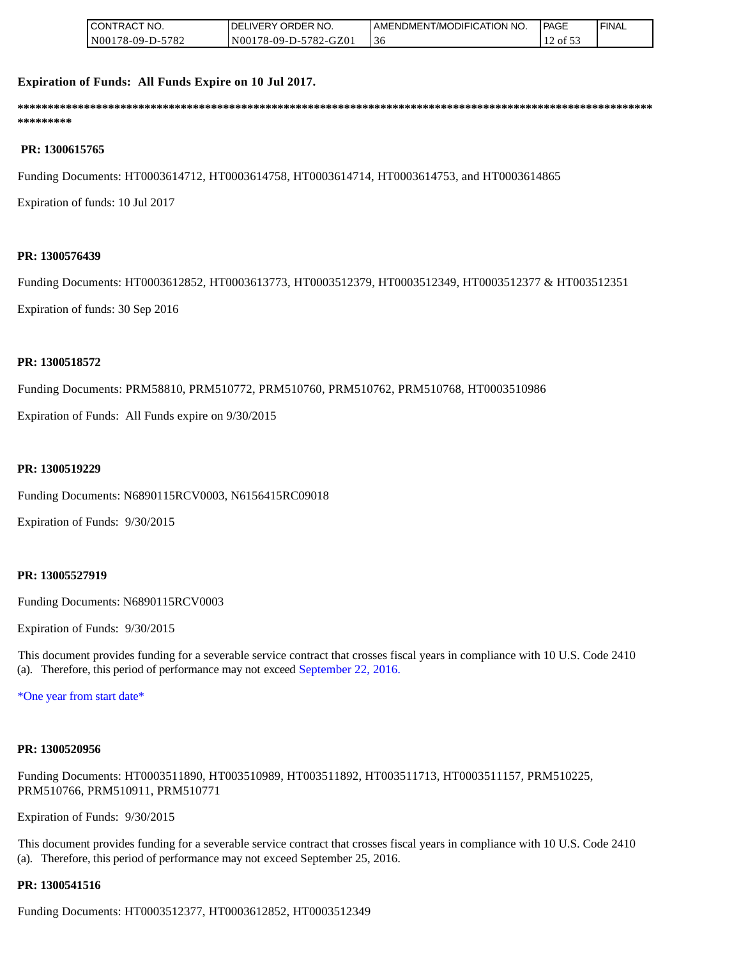| <b>ICONTRACT NO.</b> | <b>IDELIVERY ORDER NO.</b> | <b>I AMENDMENT/MODIFICATION NO.</b> | <b>PAGE</b> | ' FINAL |
|----------------------|----------------------------|-------------------------------------|-------------|---------|
| N00178-09-D-5782     | N00178-09-D-5782-GZ01      | -36                                 | ' of 5.     |         |

#### **Expiration of Funds: All Funds Expire on 10 Jul 2017.**

**\*\*\*\*\*\*\*\*\*\*\*\*\*\*\*\*\*\*\*\*\*\*\*\*\*\*\*\*\*\*\*\*\*\*\*\*\*\*\*\*\*\*\*\*\*\*\*\*\*\*\*\*\*\*\*\*\*\*\*\*\*\*\*\*\*\*\*\*\*\*\*\*\*\*\*\*\*\*\*\*\*\*\*\*\*\*\*\*\*\*\*\*\*\*\*\*\*\*\*\*\*\*\*\*\* \*\*\*\*\*\*\*\*\***

#### **PR: 1300615765**

Funding Documents: HT0003614712, HT0003614758, HT0003614714, HT0003614753, and HT0003614865

Expiration of funds: 10 Jul 2017

#### **PR: 1300576439**

Funding Documents: HT0003612852, HT0003613773, HT0003512379, HT0003512349, HT0003512377 & HT003512351

Expiration of funds: 30 Sep 2016

#### **PR: 1300518572**

Funding Documents: PRM58810, PRM510772, PRM510760, PRM510762, PRM510768, HT0003510986

Expiration of Funds: All Funds expire on 9/30/2015

#### **PR: 1300519229**

Funding Documents: N6890115RCV0003, N6156415RC09018

Expiration of Funds: 9/30/2015

#### **PR: 13005527919**

Funding Documents: N6890115RCV0003

Expiration of Funds: 9/30/2015

This document provides funding for a severable service contract that crosses fiscal years in compliance with 10 U.S. Code 2410 (a). Therefore, this period of performance may not exceed September 22, 2016.

\*One year from start date\*

#### **PR: 1300520956**

Funding Documents: HT0003511890, HT003510989, HT003511892, HT003511713, HT0003511157, PRM510225, PRM510766, PRM510911, PRM510771

Expiration of Funds: 9/30/2015

This document provides funding for a severable service contract that crosses fiscal years in compliance with 10 U.S. Code 2410 (a). Therefore, this period of performance may not exceed September 25, 2016.

#### **PR: 1300541516**

Funding Documents: HT0003512377, HT0003612852, HT0003512349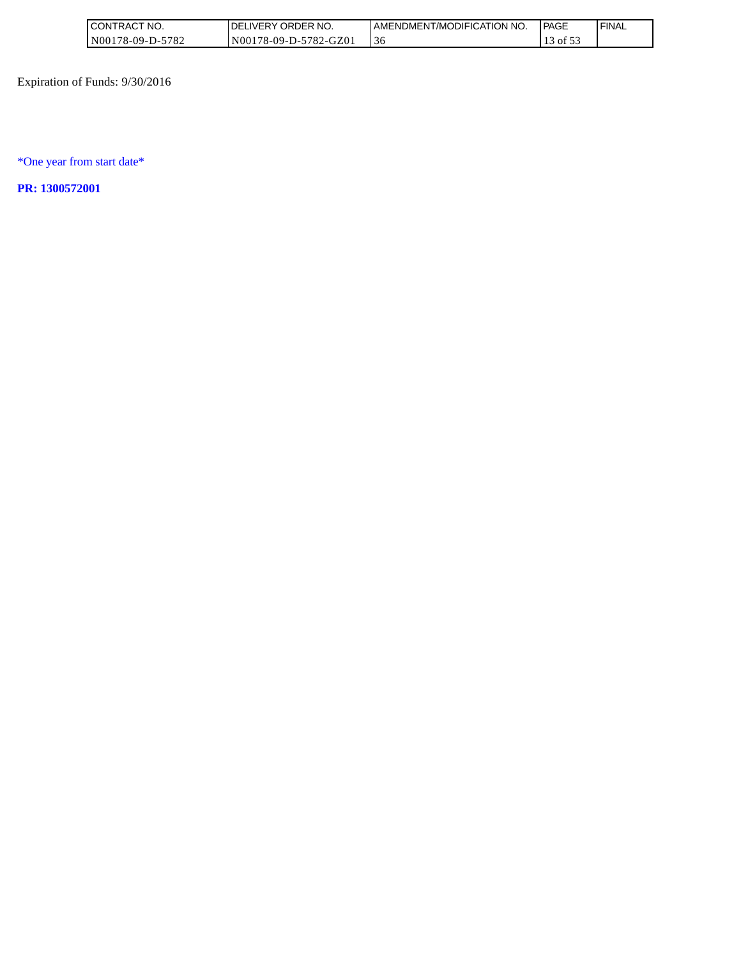| <b>I CONTRACT</b><br>" NO. | ' ORDER NO.<br>DEI<br><b>IVERY</b> | AMENDMENT/MODIFICATION NO. | l PAGE   | <b>FINAL</b> |
|----------------------------|------------------------------------|----------------------------|----------|--------------|
| N00178-09-D-5782           | 178-09-D-5782-GZ01<br>N001         | $\sim$<br>-36              | of $5.2$ |              |

Expiration of Funds: 9/30/2016

\*One year from start date\*

**PR: 1300572001**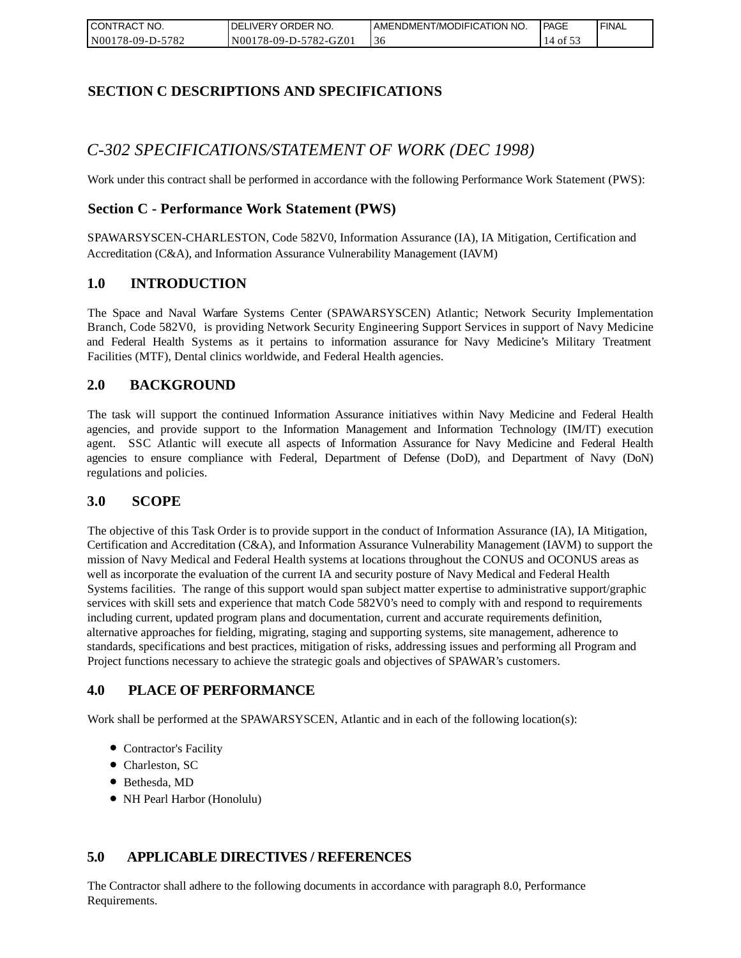| <b>CONTRACT</b><br>" NO. | NO. י<br><b>DELIVERY ORDER</b> | AMENDMENT/MODIFICATION NO. | <b>PAGE</b> | ' FINAL |
|--------------------------|--------------------------------|----------------------------|-------------|---------|
| N00178-09-D-5782         | N00178-09-D-5782-GZ01          | -30                        | $-4.01$ .   |         |

# **SECTION C DESCRIPTIONS AND SPECIFICATIONS**

# *C-302 SPECIFICATIONS/STATEMENT OF WORK (DEC 1998)*

Work under this contract shall be performed in accordance with the following Performance Work Statement (PWS):

## **Section C - Performance Work Statement (PWS)**

SPAWARSYSCEN-CHARLESTON, Code 582V0, Information Assurance (IA), IA Mitigation, Certification and Accreditation (C&A), and Information Assurance Vulnerability Management (IAVM)

#### **1.0 INTRODUCTION**

The Space and Naval Warfare Systems Center (SPAWARSYSCEN) Atlantic; Network Security Implementation Branch, Code 582V0, is providing Network Security Engineering Support Services in support of Navy Medicine and Federal Health Systems as it pertains to information assurance for Navy Medicine's Military Treatment Facilities (MTF), Dental clinics worldwide, and Federal Health agencies.

## **2.0 BACKGROUND**

The task will support the continued Information Assurance initiatives within Navy Medicine and Federal Health agencies, and provide support to the Information Management and Information Technology (IM/IT) execution agent. SSC Atlantic will execute all aspects of Information Assurance for Navy Medicine and Federal Health agencies to ensure compliance with Federal, Department of Defense (DoD), and Department of Navy (DoN) regulations and policies.

#### **3.0 SCOPE**

The objective of this Task Order is to provide support in the conduct of Information Assurance (IA), IA Mitigation, Certification and Accreditation (C&A), and Information Assurance Vulnerability Management (IAVM) to support the mission of Navy Medical and Federal Health systems at locations throughout the CONUS and OCONUS areas as well as incorporate the evaluation of the current IA and security posture of Navy Medical and Federal Health Systems facilities. The range of this support would span subject matter expertise to administrative support/graphic services with skill sets and experience that match Code 582V0's need to comply with and respond to requirements including current, updated program plans and documentation, current and accurate requirements definition, alternative approaches for fielding, migrating, staging and supporting systems, site management, adherence to standards, specifications and best practices, mitigation of risks, addressing issues and performing all Program and Project functions necessary to achieve the strategic goals and objectives of SPAWAR's customers.

## **4.0 PLACE OF PERFORMANCE**

Work shall be performed at the SPAWARSYSCEN, Atlantic and in each of the following location(s):

- Contractor's Facility
- Charleston, SC
- Bethesda, MD
- NH Pearl Harbor (Honolulu)

## **5.0 APPLICABLE DIRECTIVES / REFERENCES**

The Contractor shall adhere to the following documents in accordance with paragraph 8.0, Performance Requirements.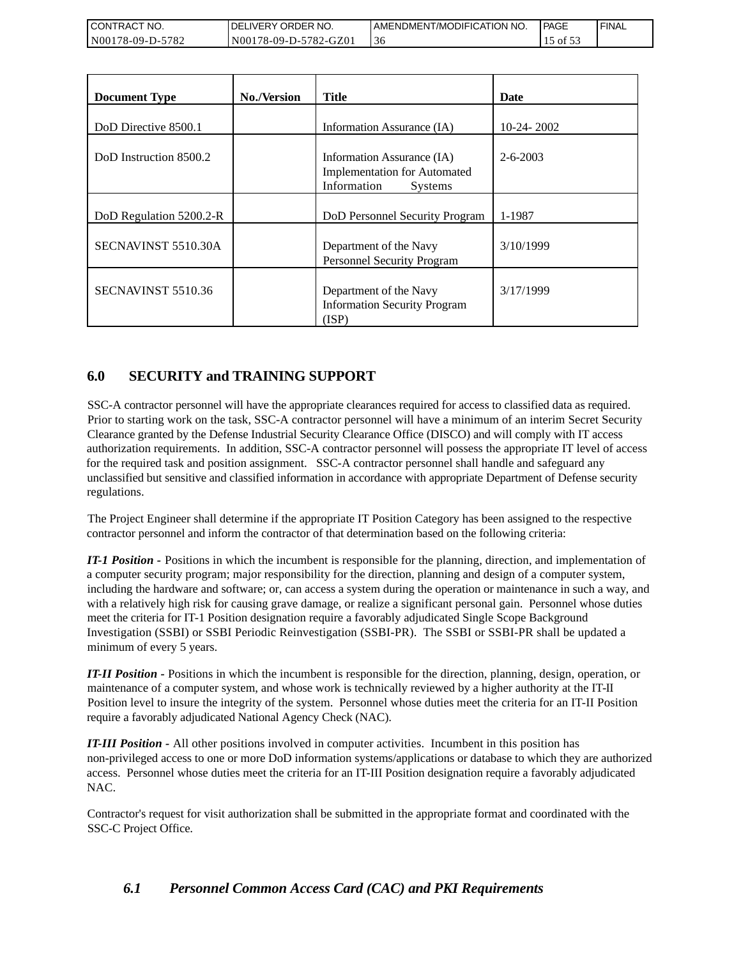| <b>CONTRACT</b><br>⊤ NO. | <b>DELIVERY ORDER NO.</b> | I AMENDMENT/MODIFICATION NO. | l PAGE     | ' FINAL |
|--------------------------|---------------------------|------------------------------|------------|---------|
| 178-09-D-5782<br>N001    | N00178-09-D-5782-GZ01     | -30                          | ن 01 م د ا |         |

| CONTRACT NO.<br>N00178-09-D-5782                             | DELIVERY ORDER NO.<br>N00178-09-D-5782-GZ01 | AMENDMENT/MODIFICATION NO.<br>36                                                                                                                                                                                                                                                                                                                                                                                                                                                                                                                                                                                                                                                                                                                                                                                                                                                                                                                                                                                                                             |                | <b>PAGE</b><br>15 of 53 | <b>FINAL</b> |
|--------------------------------------------------------------|---------------------------------------------|--------------------------------------------------------------------------------------------------------------------------------------------------------------------------------------------------------------------------------------------------------------------------------------------------------------------------------------------------------------------------------------------------------------------------------------------------------------------------------------------------------------------------------------------------------------------------------------------------------------------------------------------------------------------------------------------------------------------------------------------------------------------------------------------------------------------------------------------------------------------------------------------------------------------------------------------------------------------------------------------------------------------------------------------------------------|----------------|-------------------------|--------------|
|                                                              |                                             |                                                                                                                                                                                                                                                                                                                                                                                                                                                                                                                                                                                                                                                                                                                                                                                                                                                                                                                                                                                                                                                              |                |                         |              |
| <b>Document Type</b>                                         | No./Version                                 | <b>Title</b>                                                                                                                                                                                                                                                                                                                                                                                                                                                                                                                                                                                                                                                                                                                                                                                                                                                                                                                                                                                                                                                 | <b>Date</b>    |                         |              |
| DoD Directive 8500.1                                         |                                             | Information Assurance (IA)                                                                                                                                                                                                                                                                                                                                                                                                                                                                                                                                                                                                                                                                                                                                                                                                                                                                                                                                                                                                                                   | 10-24-2002     |                         |              |
| DoD Instruction 8500.2                                       |                                             | Information Assurance (IA)<br><b>Implementation for Automated</b><br>Information<br>Systems                                                                                                                                                                                                                                                                                                                                                                                                                                                                                                                                                                                                                                                                                                                                                                                                                                                                                                                                                                  | $2 - 6 - 2003$ |                         |              |
| DoD Regulation 5200.2-R                                      |                                             | DoD Personnel Security Program                                                                                                                                                                                                                                                                                                                                                                                                                                                                                                                                                                                                                                                                                                                                                                                                                                                                                                                                                                                                                               | 1-1987         |                         |              |
| SECNAVINST 5510.30A                                          |                                             | Department of the Navy<br>Personnel Security Program                                                                                                                                                                                                                                                                                                                                                                                                                                                                                                                                                                                                                                                                                                                                                                                                                                                                                                                                                                                                         | 3/10/1999      |                         |              |
| SECNAVINST 5510.36                                           |                                             | Department of the Navy<br><b>Information Security Program</b><br>(ISP)                                                                                                                                                                                                                                                                                                                                                                                                                                                                                                                                                                                                                                                                                                                                                                                                                                                                                                                                                                                       | 3/17/1999      |                         |              |
| regulations.<br>minimum of every 5 years.                    |                                             | unclassified but sensitive and classified information in accordance with appropriate Department of Defense security<br>The Project Engineer shall determine if the appropriate IT Position Category has been assigned to the respective<br>contractor personnel and inform the contractor of that determination based on the following criteria:<br>IT-1 Position - Positions in which the incumbent is responsible for the planning, direction, and implementation of<br>a computer security program; major responsibility for the direction, planning and design of a computer system,<br>including the hardware and software; or, can access a system during the operation or maintenance in such a way, ar<br>with a relatively high risk for causing grave damage, or realize a significant personal gain. Personnel whose duties<br>meet the criteria for IT-1 Position designation require a favorably adjudicated Single Scope Background<br>Investigation (SSBI) or SSBI Periodic Reinvestigation (SSBI-PR). The SSBI or SSBI-PR shall be updated a |                |                         |              |
| require a favorably adjudicated National Agency Check (NAC). |                                             | <b>IT-II Position -</b> Positions in which the incumbent is responsible for the direction, planning, design, operation, or<br>maintenance of a computer system, and whose work is technically reviewed by a higher authority at the IT-II<br>Position level to insure the integrity of the system. Personnel whose duties meet the criteria for an IT-II Position                                                                                                                                                                                                                                                                                                                                                                                                                                                                                                                                                                                                                                                                                            |                |                         |              |
| NAC.                                                         |                                             | <b>IT-III Position -</b> All other positions involved in computer activities. Incumbent in this position has<br>non-privileged access to one or more DoD information systems/applications or database to which they are authorized<br>access. Personnel whose duties meet the criteria for an IT-III Position designation require a favorably adjudicated                                                                                                                                                                                                                                                                                                                                                                                                                                                                                                                                                                                                                                                                                                    |                |                         |              |
| SSC-C Project Office.                                        |                                             | Contractor's request for visit authorization shall be submitted in the appropriate format and coordinated with the                                                                                                                                                                                                                                                                                                                                                                                                                                                                                                                                                                                                                                                                                                                                                                                                                                                                                                                                           |                |                         |              |
| 6.1                                                          |                                             | <b>Personnel Common Access Card (CAC) and PKI Requirements</b>                                                                                                                                                                                                                                                                                                                                                                                                                                                                                                                                                                                                                                                                                                                                                                                                                                                                                                                                                                                               |                |                         |              |

# **6.0 SECURITY and TRAINING SUPPORT**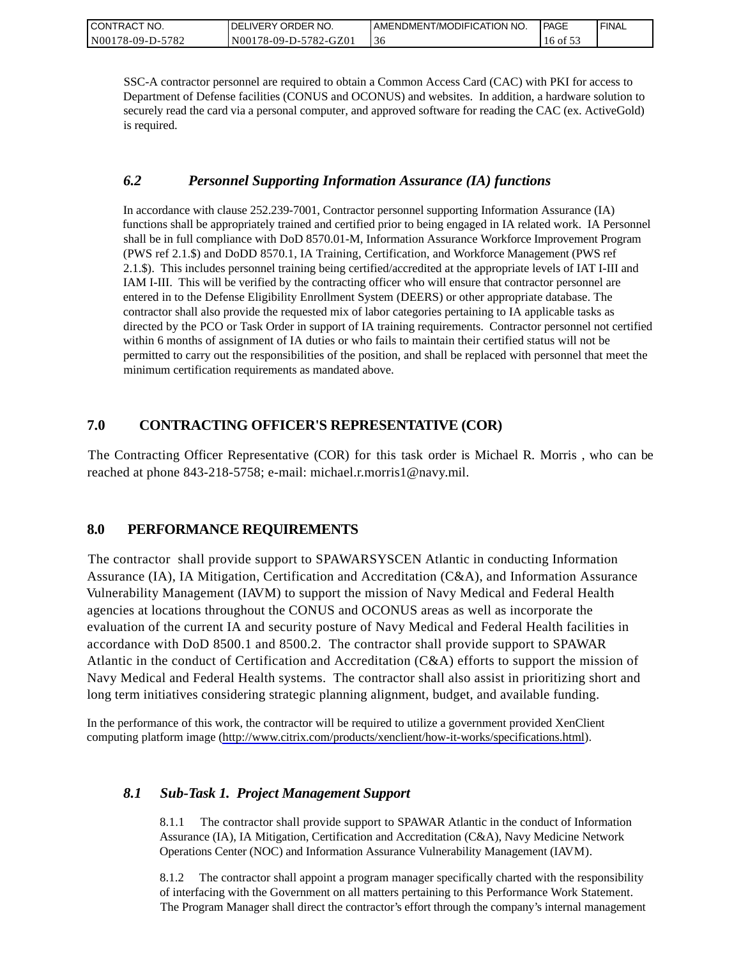| CONTRACT NO.     | I DELIVERY ORDER NO.  | I AMENDMENT/MODIFICATION NO. | <b>PAGE</b> | ' FINAL |
|------------------|-----------------------|------------------------------|-------------|---------|
| N00178-09-D-5782 | N00178-09-D-5782-GZ01 | 36                           | 16 of 53    |         |

SSC-A contractor personnel are required to obtain a Common Access Card (CAC) with PKI for access to Department of Defense facilities (CONUS and OCONUS) and websites. In addition, a hardware solution to securely read the card via a personal computer, and approved software for reading the CAC (ex. ActiveGold) is required.

## *6.2 Personnel Supporting Information Assurance (IA) functions*

In accordance with clause 252.239-7001, Contractor personnel supporting Information Assurance (IA) functions shall be appropriately trained and certified prior to being engaged in IA related work. IA Personnel shall be in full compliance with DoD 8570.01-M, Information Assurance Workforce Improvement Program (PWS ref 2.1.\$) and DoDD 8570.1, IA Training, Certification, and Workforce Management (PWS ref 2.1.\$). This includes personnel training being certified/accredited at the appropriate levels of IAT I-III and IAM I-III. This will be verified by the contracting officer who will ensure that contractor personnel are entered in to the Defense Eligibility Enrollment System (DEERS) or other appropriate database. The contractor shall also provide the requested mix of labor categories pertaining to IA applicable tasks as directed by the PCO or Task Order in support of IA training requirements. Contractor personnel not certified within 6 months of assignment of IA duties or who fails to maintain their certified status will not be permitted to carry out the responsibilities of the position, and shall be replaced with personnel that meet the minimum certification requirements as mandated above.

# **7.0 CONTRACTING OFFICER'S REPRESENTATIVE (COR)**

The Contracting Officer Representative (COR) for this task order is Michael R. Morris , who can be reached at phone 843-218-5758; e-mail: michael.r.morris1@navy.mil.

# **8.0 PERFORMANCE REQUIREMENTS**

The contractor shall provide support to SPAWARSYSCEN Atlantic in conducting Information Assurance (IA), IA Mitigation, Certification and Accreditation (C&A), and Information Assurance Vulnerability Management (IAVM) to support the mission of Navy Medical and Federal Health agencies at locations throughout the CONUS and OCONUS areas as well as incorporate the evaluation of the current IA and security posture of Navy Medical and Federal Health facilities in accordance with DoD 8500.1 and 8500.2. The contractor shall provide support to SPAWAR Atlantic in the conduct of Certification and Accreditation (C&A) efforts to support the mission of Navy Medical and Federal Health systems. The contractor shall also assist in prioritizing short and long term initiatives considering strategic planning alignment, budget, and available funding.

In the performance of this work, the contractor will be required to utilize a government provided XenClient computing platform image [\(http://www.citrix.com/products/xenclient/how-it-works/specifications.html\)](http://www.citrix.com/products/xenclient/how-it-works/specifications.html).

# *8.1 Sub-Task 1. Project Management Support*

8.1.1 The contractor shall provide support to SPAWAR Atlantic in the conduct of Information Assurance (IA), IA Mitigation, Certification and Accreditation (C&A), Navy Medicine Network Operations Center (NOC) and Information Assurance Vulnerability Management (IAVM).

8.1.2 The contractor shall appoint a program manager specifically charted with the responsibility of interfacing with the Government on all matters pertaining to this Performance Work Statement. The Program Manager shall direct the contractor's effort through the company's internal management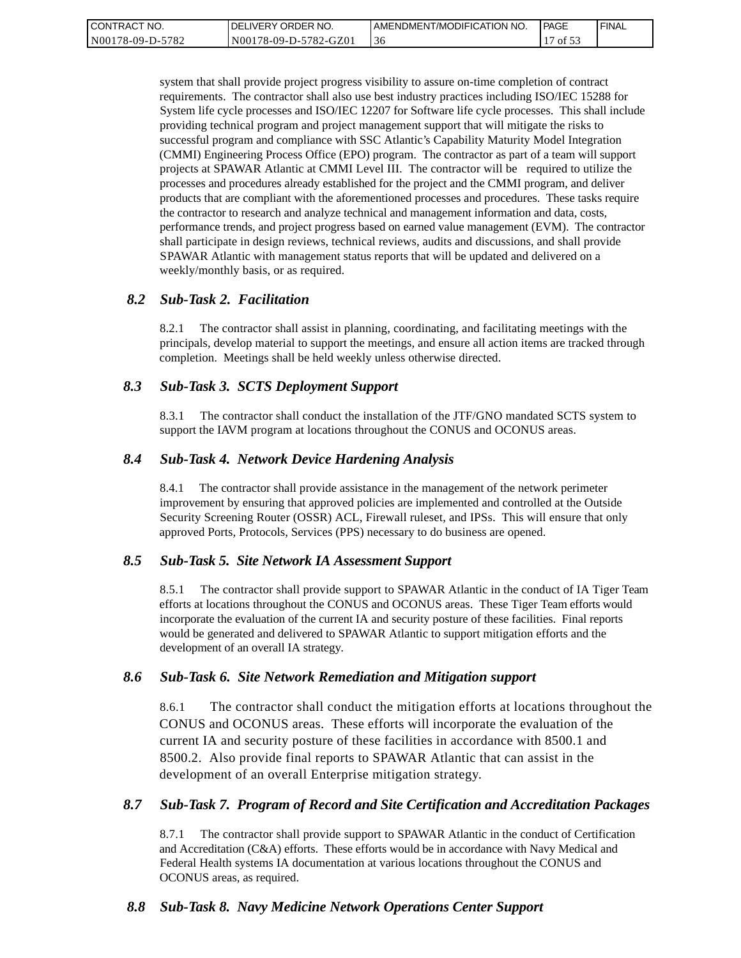| CONTRACT NO.     | I DELIVERY ORDER NO.  | LAMENDMENT/MODIFICATION NO. | <b>PAGE</b> | <b>FINAL</b> |
|------------------|-----------------------|-----------------------------|-------------|--------------|
| N00178-09-D-5782 | N00178-09-D-5782-GZ01 | 36                          | of $53$     |              |

system that shall provide project progress visibility to assure on-time completion of contract requirements. The contractor shall also use best industry practices including ISO/IEC 15288 for System life cycle processes and ISO/IEC 12207 for Software life cycle processes. This shall include providing technical program and project management support that will mitigate the risks to successful program and compliance with SSC Atlantic's Capability Maturity Model Integration (CMMI) Engineering Process Office (EPO) program. The contractor as part of a team will support projects at SPAWAR Atlantic at CMMI Level III. The contractor will be required to utilize the processes and procedures already established for the project and the CMMI program, and deliver products that are compliant with the aforementioned processes and procedures. These tasks require the contractor to research and analyze technical and management information and data, costs, performance trends, and project progress based on earned value management (EVM). The contractor shall participate in design reviews, technical reviews, audits and discussions, and shall provide SPAWAR Atlantic with management status reports that will be updated and delivered on a weekly/monthly basis, or as required.

#### *8.2 Sub-Task 2. Facilitation*

8.2.1 The contractor shall assist in planning, coordinating, and facilitating meetings with the principals, develop material to support the meetings, and ensure all action items are tracked through completion. Meetings shall be held weekly unless otherwise directed.

#### *8.3 Sub-Task 3. SCTS Deployment Support*

8.3.1 The contractor shall conduct the installation of the JTF/GNO mandated SCTS system to support the IAVM program at locations throughout the CONUS and OCONUS areas.

#### *8.4 Sub-Task 4. Network Device Hardening Analysis*

8.4.1 The contractor shall provide assistance in the management of the network perimeter improvement by ensuring that approved policies are implemented and controlled at the Outside Security Screening Router (OSSR) ACL, Firewall ruleset, and IPSs. This will ensure that only approved Ports, Protocols, Services (PPS) necessary to do business are opened.

#### *8.5 Sub-Task 5. Site Network IA Assessment Support*

8.5.1 The contractor shall provide support to SPAWAR Atlantic in the conduct of IA Tiger Team efforts at locations throughout the CONUS and OCONUS areas. These Tiger Team efforts would incorporate the evaluation of the current IA and security posture of these facilities. Final reports would be generated and delivered to SPAWAR Atlantic to support mitigation efforts and the development of an overall IA strategy.

#### *8.6 Sub-Task 6. Site Network Remediation and Mitigation support*

8.6.1 The contractor shall conduct the mitigation efforts at locations throughout the CONUS and OCONUS areas. These efforts will incorporate the evaluation of the current IA and security posture of these facilities in accordance with 8500.1 and 8500.2. Also provide final reports to SPAWAR Atlantic that can assist in the development of an overall Enterprise mitigation strategy.

#### *8.7 Sub-Task 7. Program of Record and Site Certification and Accreditation Packages*

8.7.1 The contractor shall provide support to SPAWAR Atlantic in the conduct of Certification and Accreditation (C&A) efforts. These efforts would be in accordance with Navy Medical and Federal Health systems IA documentation at various locations throughout the CONUS and OCONUS areas, as required.

#### *8.8 Sub-Task 8. Navy Medicine Network Operations Center Support*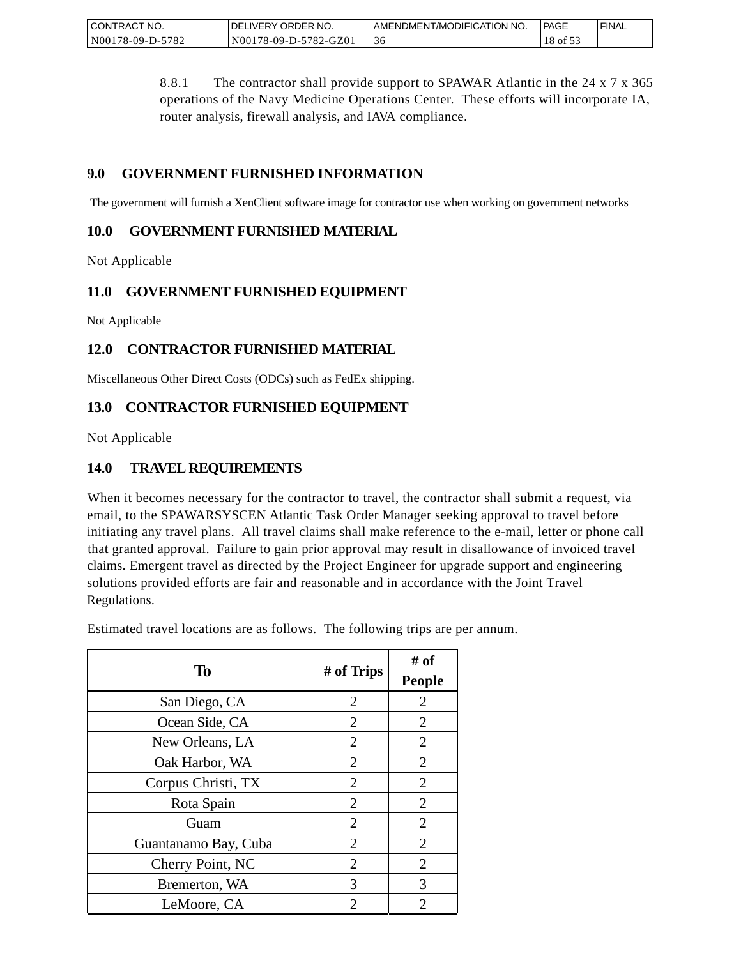| CONTRACT NO.     | ' ORDER NO.<br><b>DELIVERY</b> | AMENDMENT/MODIFICATION NO. | <b>PAGE</b> | ' FINAL |
|------------------|--------------------------------|----------------------------|-------------|---------|
| N00178-09-D-5782 | N00178-09-D-5782-GZ01          | 36                         | 18 of 53    |         |

8.8.1 The contractor shall provide support to SPAWAR Atlantic in the 24 x 7 x 365 operations of the Navy Medicine Operations Center. These efforts will incorporate IA, router analysis, firewall analysis, and IAVA compliance.

# **9.0 GOVERNMENT FURNISHED INFORMATION**

The government will furnish a XenClient software image for contractor use when working on government networks

## **10.0 GOVERNMENT FURNISHED MATERIAL**

Not Applicable

# **11.0 GOVERNMENT FURNISHED EQUIPMENT**

Not Applicable

# **12.0 CONTRACTOR FURNISHED MATERIAL**

Miscellaneous Other Direct Costs (ODCs) such as FedEx shipping.

# **13.0 CONTRACTOR FURNISHED EQUIPMENT**

Not Applicable

## **14.0 TRAVEL REQUIREMENTS**

When it becomes necessary for the contractor to travel, the contractor shall submit a request, via email, to the SPAWARSYSCEN Atlantic Task Order Manager seeking approval to travel before initiating any travel plans. All travel claims shall make reference to the e-mail, letter or phone call that granted approval. Failure to gain prior approval may result in disallowance of invoiced travel claims. Emergent travel as directed by the Project Engineer for upgrade support and engineering solutions provided efforts are fair and reasonable and in accordance with the Joint Travel Regulations.

Estimated travel locations are as follows. The following trips are per annum.

| To                   | # of Trips                  | # of<br><b>People</b> |
|----------------------|-----------------------------|-----------------------|
| San Diego, CA        | $\overline{2}$              | $\overline{2}$        |
| Ocean Side, CA       | 2                           | $\overline{2}$        |
| New Orleans, LA      | $\overline{2}$              | $\overline{2}$        |
| Oak Harbor, WA       | 2                           | $\overline{2}$        |
| Corpus Christi, TX   | 2                           | $\overline{2}$        |
| Rota Spain           | $\overline{2}$              | $\overline{2}$        |
| Guam                 | $\overline{2}$              | $\overline{2}$        |
| Guantanamo Bay, Cuba | 2                           | $\overline{2}$        |
| Cherry Point, NC     | $\overline{2}$              | $\overline{2}$        |
| Bremerton, WA        | 3                           | 3                     |
| LeMoore, CA          | $\mathcal{D}_{\mathcal{A}}$ | 2                     |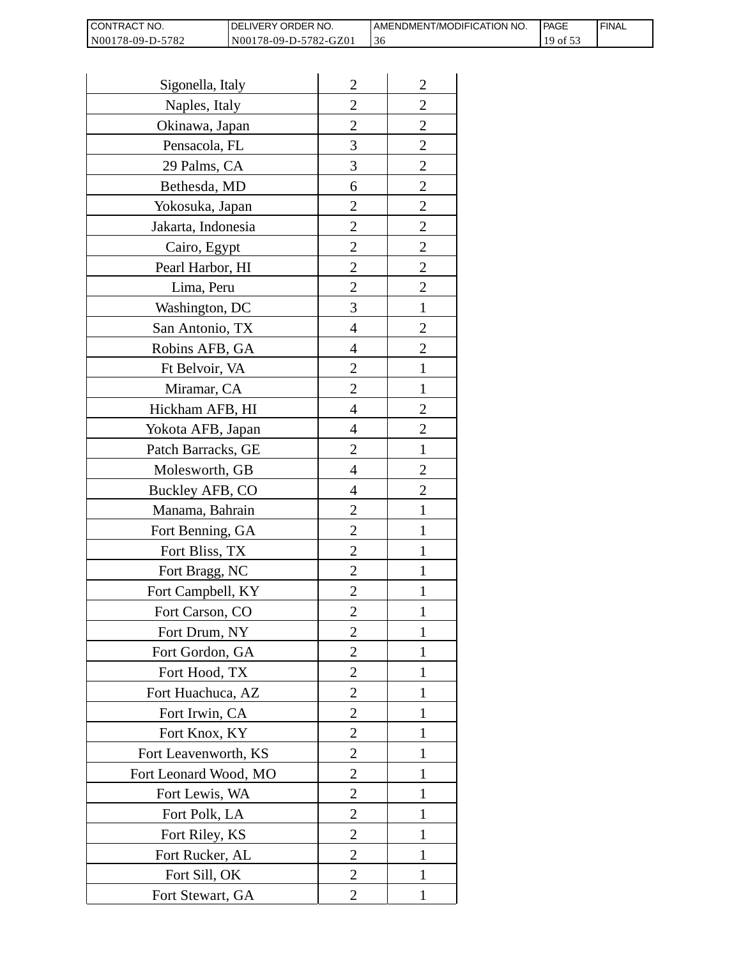| CONTRACT NO.     | DELIVERY ORDER NO.    | AMENDMENT/MODIFICATION NO. | <b>IPAGE</b> | ' FINAL |
|------------------|-----------------------|----------------------------|--------------|---------|
| N00178-09-D-5782 | N00178-09-D-5782-GZ01 |                            | 19 of 53     |         |

| Sigonella, Italy      | $\overline{2}$ | $\overline{2}$ |
|-----------------------|----------------|----------------|
| Naples, Italy         | $\overline{2}$ | $\overline{2}$ |
| Okinawa, Japan        | $\overline{2}$ | $\overline{2}$ |
| Pensacola, FL         | 3              | $\overline{2}$ |
| 29 Palms, CA          | 3              | $\overline{c}$ |
| Bethesda, MD          | 6              | $\overline{c}$ |
| Yokosuka, Japan       | $\overline{2}$ | $\overline{2}$ |
| Jakarta, Indonesia    | $\overline{2}$ | $\overline{2}$ |
| Cairo, Egypt          | $\overline{c}$ | $\overline{2}$ |
| Pearl Harbor, HI      | $\overline{c}$ | $\overline{2}$ |
| Lima, Peru            | $\overline{c}$ | $\overline{2}$ |
| Washington, DC        | 3              | $\mathbf{1}$   |
| San Antonio, TX       | $\overline{4}$ | $\overline{2}$ |
| Robins AFB, GA        | 4              | $\overline{2}$ |
| Ft Belvoir, VA        | $\overline{c}$ | 1              |
| Miramar, CA           | $\overline{2}$ | 1              |
| Hickham AFB, HI       | 4              | $\overline{2}$ |
| Yokota AFB, Japan     | 4              | $\overline{2}$ |
| Patch Barracks, GE    | $\overline{2}$ | $\mathbf{1}$   |
| Molesworth, GB        | $\overline{4}$ | $\overline{2}$ |
| Buckley AFB, CO       | 4              | $\overline{2}$ |
| Manama, Bahrain       | $\overline{2}$ | 1              |
| Fort Benning, GA      | $\overline{c}$ | 1              |
| Fort Bliss, TX        | $\overline{c}$ | 1              |
| Fort Bragg, NC        | $\overline{2}$ | $\mathbf{1}$   |
| Fort Campbell, KY     | $\overline{2}$ | 1              |
| Fort Carson, CO       | $\mathfrak{D}$ | 1              |
| Fort Drum, NY         | $\overline{2}$ | 1              |
| Fort Gordon, GA       | 2              | 1              |
| Fort Hood, TX         | $\overline{c}$ | 1              |
| Fort Huachuca, AZ     | $\overline{2}$ | 1              |
| Fort Irwin, CA        | $\overline{2}$ | 1              |
| Fort Knox, KY         | 2              | 1              |
| Fort Leavenworth, KS  | $\overline{2}$ | 1              |
| Fort Leonard Wood, MO | $\overline{2}$ | 1              |
| Fort Lewis, WA        | $\overline{2}$ | 1              |
| Fort Polk, LA         | $\overline{2}$ | 1              |
| Fort Riley, KS        | $\overline{2}$ | 1              |
| Fort Rucker, AL       | $\overline{2}$ | 1              |
| Fort Sill, OK         | $\overline{2}$ | 1              |
| Fort Stewart, GA      | $\overline{2}$ | 1              |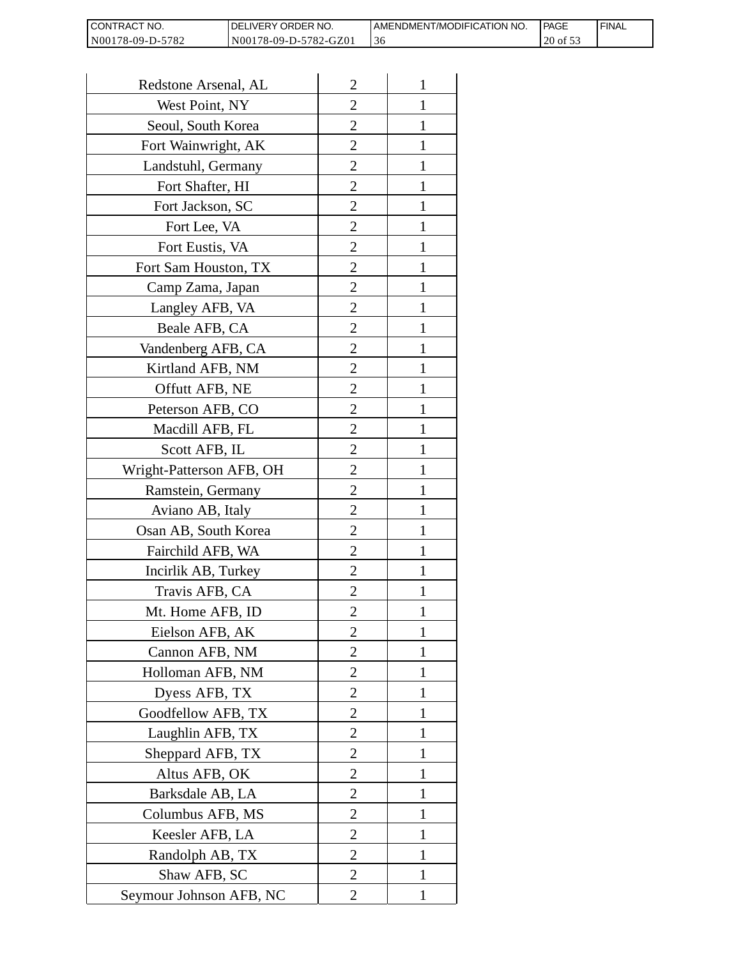| <b>CONTRACT</b><br>⊤ NO. | DELIVERY ORDER NO.    | AMENDMENT/MODIFICATION NO. | <b>IPAGE</b> | ' FINAL |
|--------------------------|-----------------------|----------------------------|--------------|---------|
| N00178-09-D-5782         | N00178-09-D-5782-GZ01 | -30                        | 20 of 53     |         |

| Redstone Arsenal, AL     | $\overline{2}$ | 1            |
|--------------------------|----------------|--------------|
| West Point, NY           | $\overline{2}$ | 1            |
| Seoul, South Korea       | $\overline{2}$ | 1            |
| Fort Wainwright, AK      | $\overline{c}$ | 1            |
| Landstuhl, Germany       | $\overline{2}$ | 1            |
| Fort Shafter, HI         | $\overline{2}$ | 1            |
| Fort Jackson, SC         | 2              | 1            |
| Fort Lee, VA             | 2              | 1            |
| Fort Eustis, VA          | 2              | 1            |
| Fort Sam Houston, TX     | $\overline{c}$ | 1            |
| Camp Zama, Japan         | $\overline{2}$ | 1            |
| Langley AFB, VA          | $\overline{2}$ | 1            |
| Beale AFB, CA            | $\overline{c}$ | 1            |
| Vandenberg AFB, CA       | 2              | 1            |
| Kirtland AFB, NM         | $\overline{2}$ | 1            |
| Offutt AFB, NE           | $\overline{2}$ | 1            |
| Peterson AFB, CO         | 2              | 1            |
| Macdill AFB, FL          | $\overline{2}$ | 1            |
| Scott AFB, IL            | 2              | 1            |
| Wright-Patterson AFB, OH | $\overline{2}$ | 1            |
| Ramstein, Germany        | $\overline{2}$ | 1            |
| Aviano AB, Italy         | 2              |              |
| Osan AB, South Korea     | 2              | 1            |
| Fairchild AFB, WA        | $\overline{2}$ | 1            |
| Incirlik AB, Turkey      | 2              | 1            |
| Travis AFB, CA           | 2              |              |
| Mt. Home AFB, ID         | 2              |              |
| Eielson AFB, AK          | $\overline{2}$ | 1            |
| Cannon AFB, NM           | $\overline{2}$ | $\mathbf{1}$ |
| Holloman AFB, NM         | $\overline{2}$ | 1            |
| Dyess AFB, TX            | 2              | 1            |
| Goodfellow AFB, TX       | 2              | 1            |
| Laughlin AFB, TX         | 2              | 1            |
| Sheppard AFB, TX         | $\overline{c}$ | 1            |
| Altus AFB, OK            | $\overline{2}$ | 1            |
| Barksdale AB, LA         | $\overline{2}$ | 1            |
| Columbus AFB, MS         | $\overline{2}$ | 1            |
| Keesler AFB, LA          | 2              | 1            |
| Randolph AB, TX          | $\overline{2}$ | $\mathbf{1}$ |
| Shaw AFB, SC             | $\overline{2}$ | 1            |
| Seymour Johnson AFB, NC  | 2              | 1            |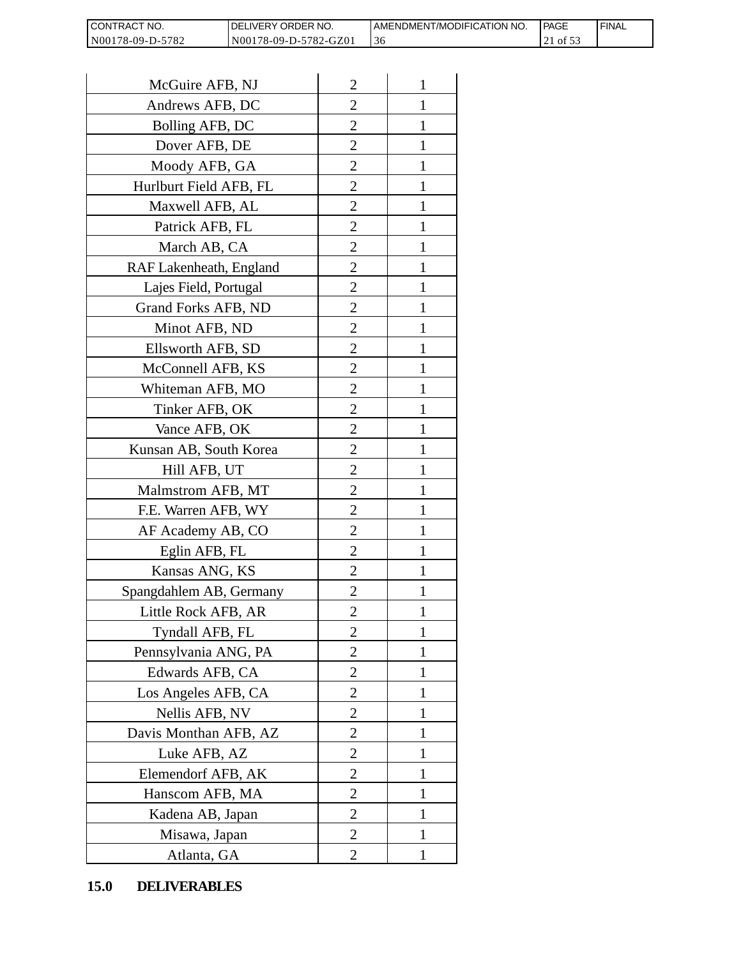| <b>CONTRACT</b><br>T NO. | DELIVERY ORDER NO.    | AMENDMENT/MODIFICATION NO. | <b>IPAGE</b>     | ' FINAL |
|--------------------------|-----------------------|----------------------------|------------------|---------|
| N00178-09-D-5782         | N00178-09-D-5782-GZ01 | -30                        | $100~\mathrm{s}$ |         |

| CONTRACT NO.                | DELIVERY ORDER NO.    |                | AMENDMENT/MOI<br>36 |
|-----------------------------|-----------------------|----------------|---------------------|
| N00178-09-D-5782            | N00178-09-D-5782-GZ01 |                |                     |
| McGuire AFB, NJ             |                       | $\overline{2}$ | 1                   |
| Andrews AFB, DC             |                       | 2              | 1                   |
| Bolling AFB, DC             |                       | 2              | 1                   |
| Dover AFB, DE               |                       | $\overline{2}$ | $\mathbf{1}$        |
| Moody AFB, GA               |                       | $\overline{2}$ | 1                   |
| Hurlburt Field AFB, FL      |                       | $\overline{2}$ | 1                   |
| Maxwell AFB, AL             |                       | $\overline{2}$ | 1                   |
| Patrick AFB, FL             |                       | $\overline{2}$ | 1                   |
| March AB, CA                |                       | $\overline{c}$ | 1                   |
| RAF Lakenheath, England     |                       | $\overline{2}$ | $\mathbf{1}$        |
| Lajes Field, Portugal       |                       | $\overline{2}$ | 1                   |
| Grand Forks AFB, ND         |                       | $\overline{c}$ | 1                   |
| Minot AFB, ND               |                       | $\overline{2}$ | 1                   |
| Ellsworth AFB, SD           |                       | $\overline{c}$ | 1                   |
| McConnell AFB, KS           |                       | $\overline{c}$ | 1                   |
| Whiteman AFB, MO            |                       | $\overline{2}$ | 1                   |
| Tinker AFB, OK              |                       | $\overline{2}$ | 1                   |
| Vance AFB, OK               |                       | $\overline{c}$ | 1                   |
| Kunsan AB, South Korea      |                       | $\overline{2}$ | 1                   |
| Hill AFB, UT                |                       | $\overline{c}$ | 1                   |
| Malmstrom AFB, MT           |                       | $\overline{2}$ | 1                   |
| F.E. Warren AFB, WY         |                       | $\overline{2}$ | $\mathbf{1}$        |
| AF Academy AB, CO           |                       | $\overline{c}$ | 1                   |
| Eglin AFB, FL               |                       | $\overline{c}$ | $\mathbf{1}$        |
| Kansas ANG, KS              |                       | $\overline{c}$ |                     |
| Spangdahlem AB, Germany     |                       | $\overline{2}$ | 1                   |
| Little Rock AFB, AR         |                       | 2              | 1                   |
| Tyndall AFB, FL             |                       | $\overline{2}$ | $\mathbf{1}$        |
| Pennsylvania ANG, PA        |                       | $\overline{2}$ | 1                   |
| Edwards AFB, CA             |                       | 2              | 1                   |
| Los Angeles AFB, CA         |                       | $\overline{2}$ | 1                   |
| Nellis AFB, NV              |                       | 2              | 1                   |
| Davis Monthan AFB, AZ       |                       | $\overline{2}$ | 1                   |
| Luke AFB, AZ                |                       | $\overline{2}$ | 1                   |
| Elemendorf AFB, AK          |                       | $\overline{2}$ | 1                   |
| Hanscom AFB, MA             |                       | $\overline{2}$ | 1                   |
| Kadena AB, Japan            |                       | 2              | 1                   |
| Misawa, Japan               |                       | $\overline{2}$ | 1                   |
| Atlanta, GA                 |                       | $\overline{2}$ | 1                   |
| 15.0<br><b>DELIVERABLES</b> |                       |                |                     |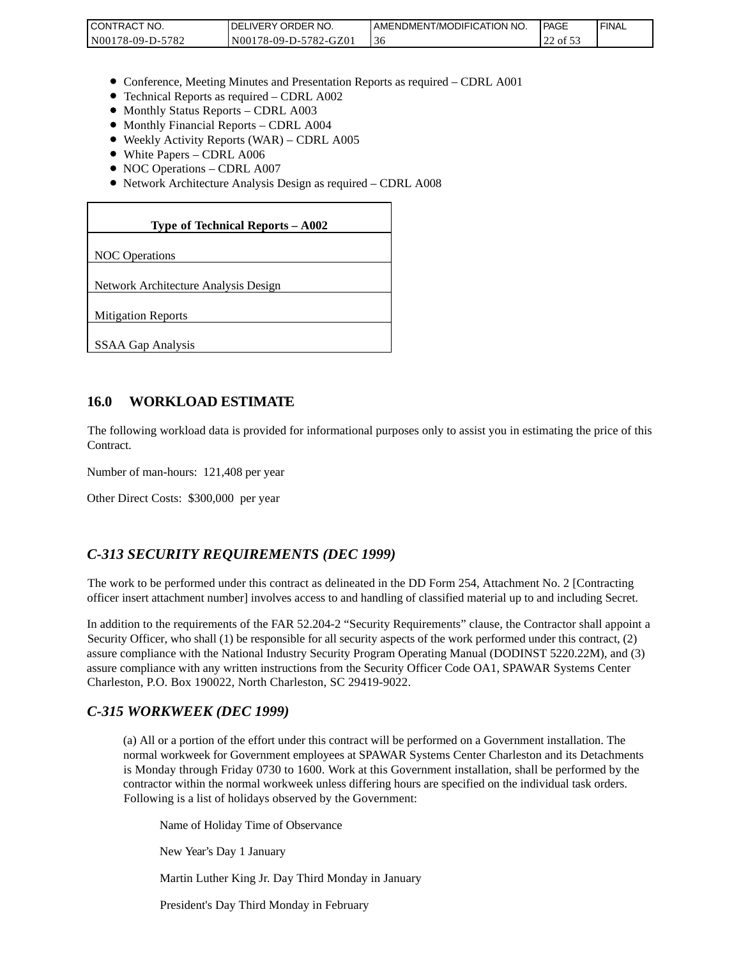| <b>I CONTRACT NO.</b> | `NO.<br>DELIVERY ORDER | AMENDMENT/MODIFICATION NO. | l PAGE   | 'FINAL |
|-----------------------|------------------------|----------------------------|----------|--------|
| N00178-09-D-5782      | N00178-09-D-5782-GZ01  | -30                        | 22 of 53 |        |

- Conference, Meeting Minutes and Presentation Reports as required CDRL A001
- Technical Reports as required CDRL A002
- Monthly Status Reports CDRL A003
- $\bullet$  Monthly Financial Reports CDRL A004
- Weekly Activity Reports (WAR) CDRL A005
- White Papers CDRL A006
- NOC Operations CDRL A007
- Network Architecture Analysis Design as required CDRL A008

#### **Type of Technical Reports – A002**

NOC Operations

Network Architecture Analysis Design

Mitigation Reports

SSAA Gap Analysis

#### **16.0 WORKLOAD ESTIMATE**

The following workload data is provided for informational purposes only to assist you in estimating the price of this Contract.

Number of man-hours: 121,408 per year

Other Direct Costs: \$300,000 per year

#### *C-313 SECURITY REQUIREMENTS (DEC 1999)*

The work to be performed under this contract as delineated in the DD Form 254, Attachment No. 2 [Contracting officer insert attachment number] involves access to and handling of classified material up to and including Secret.

In addition to the requirements of the FAR 52.204-2 "Security Requirements" clause, the Contractor shall appoint a Security Officer, who shall (1) be responsible for all security aspects of the work performed under this contract, (2) assure compliance with the National Industry Security Program Operating Manual (DODINST 5220.22M), and (3) assure compliance with any written instructions from the Security Officer Code OA1, SPAWAR Systems Center Charleston, P.O. Box 190022, North Charleston, SC 29419-9022.

#### *C-315 WORKWEEK (DEC 1999)*

(a) All or a portion of the effort under this contract will be performed on a Government installation. The normal workweek for Government employees at SPAWAR Systems Center Charleston and its Detachments is Monday through Friday 0730 to 1600. Work at this Government installation, shall be performed by the contractor within the normal workweek unless differing hours are specified on the individual task orders. Following is a list of holidays observed by the Government:

Name of Holiday Time of Observance

New Year's Day 1 January

Martin Luther King Jr. Day Third Monday in January

President's Day Third Monday in February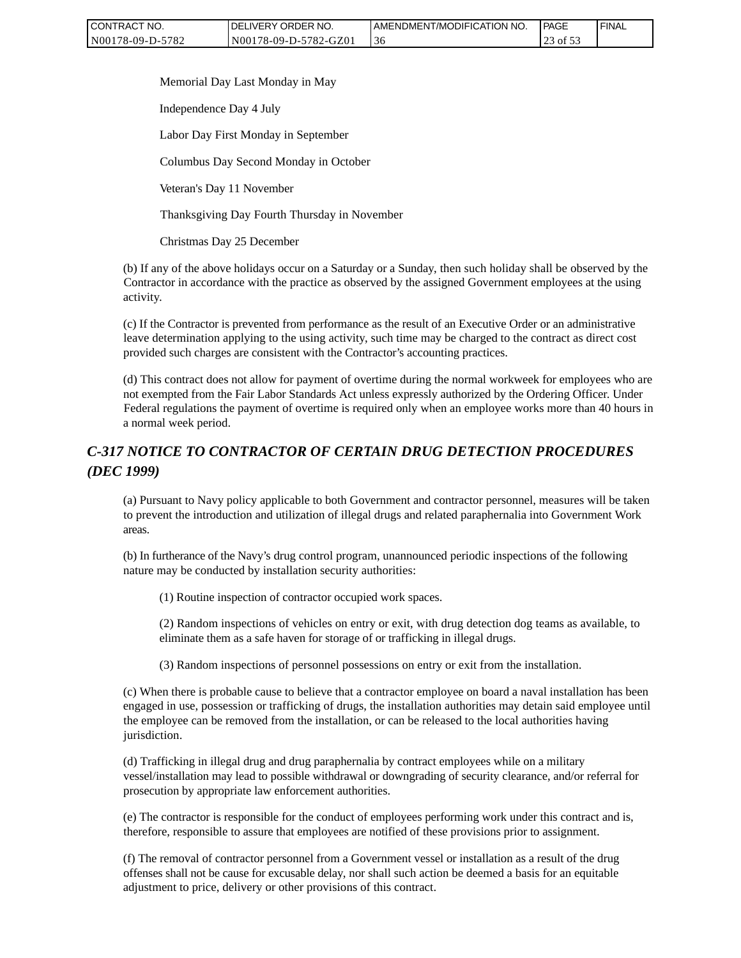| CONTRACT NO.     | <b>IDELIVERY ORDER NO.</b> | <b>I AMENDMENT/MODIFICATION NO.</b> | <b>PAGE</b> | ' FINAL |
|------------------|----------------------------|-------------------------------------|-------------|---------|
| N00178-09-D-5782 | N00178-09-D-5782-GZ01      | 3C                                  | 3 of 5.     |         |

Memorial Day Last Monday in May

Independence Day 4 July

Labor Day First Monday in September

Columbus Day Second Monday in October

Veteran's Day 11 November

Thanksgiving Day Fourth Thursday in November

Christmas Day 25 December

(b) If any of the above holidays occur on a Saturday or a Sunday, then such holiday shall be observed by the Contractor in accordance with the practice as observed by the assigned Government employees at the using activity.

(c) If the Contractor is prevented from performance as the result of an Executive Order or an administrative leave determination applying to the using activity, such time may be charged to the contract as direct cost provided such charges are consistent with the Contractor's accounting practices.

(d) This contract does not allow for payment of overtime during the normal workweek for employees who are not exempted from the Fair Labor Standards Act unless expressly authorized by the Ordering Officer. Under Federal regulations the payment of overtime is required only when an employee works more than 40 hours in a normal week period.

# *C-317 NOTICE TO CONTRACTOR OF CERTAIN DRUG DETECTION PROCEDURES (DEC 1999)*

(a) Pursuant to Navy policy applicable to both Government and contractor personnel, measures will be taken to prevent the introduction and utilization of illegal drugs and related paraphernalia into Government Work areas.

(b) In furtherance of the Navy's drug control program, unannounced periodic inspections of the following nature may be conducted by installation security authorities:

(1) Routine inspection of contractor occupied work spaces.

(2) Random inspections of vehicles on entry or exit, with drug detection dog teams as available, to eliminate them as a safe haven for storage of or trafficking in illegal drugs.

(3) Random inspections of personnel possessions on entry or exit from the installation.

(c) When there is probable cause to believe that a contractor employee on board a naval installation has been engaged in use, possession or trafficking of drugs, the installation authorities may detain said employee until the employee can be removed from the installation, or can be released to the local authorities having jurisdiction. CONTRACT NO.<br>
Note 178.09-D-5782 [SELVERY ORDER NO. [SELVERY ORDER NO [SELVERY ORDER NO [SELVERY ORDER NO [SELVERY ORDER NO [SELVERT] 36<br>
Memorial Day J ast Monday in Nay<br>
Independence Day 4 July<br>
Labor Day First Monday in

(d) Trafficking in illegal drug and drug paraphernalia by contract employees while on a military vessel/installation may lead to possible withdrawal or downgrading of security clearance, and/or referral for prosecution by appropriate law enforcement authorities.

(e) The contractor is responsible for the conduct of employees performing work under this contract and is, therefore, responsible to assure that employees are notified of these provisions prior to assignment.

(f) The removal of contractor personnel from a Government vessel or installation as a result of the drug offenses shall not be cause for excusable delay, nor shall such action be deemed a basis for an equitable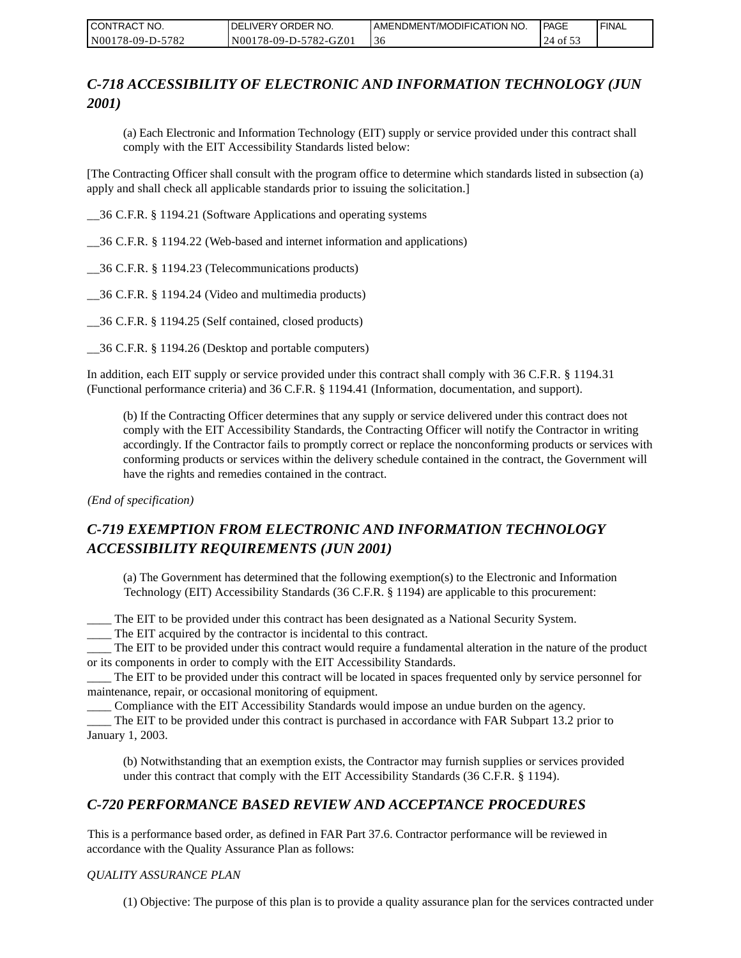| CONTRACT NO.     | <b>I DELIVERY ORDER NO.</b> | AMENDMENT/MODIFICATION NO. | PAGE     | ' FINAL |
|------------------|-----------------------------|----------------------------|----------|---------|
| N00178-09-D-5782 | N00178-09-D-5782-GZ01       | 30                         | 24 of 53 |         |

# *C-718 ACCESSIBILITY OF ELECTRONIC AND INFORMATION TECHNOLOGY (JUN 2001)*

(a) Each Electronic and Information Technology (EIT) supply or service provided under this contract shall comply with the EIT Accessibility Standards listed below:

[The Contracting Officer shall consult with the program office to determine which standards listed in subsection (a) apply and shall check all applicable standards prior to issuing the solicitation.]

\_\_36 C.F.R. § 1194.21 (Software Applications and operating systems

\_\_36 C.F.R. § 1194.22 (Web-based and internet information and applications)

\_\_36 C.F.R. § 1194.23 (Telecommunications products)

\_\_36 C.F.R. § 1194.24 (Video and multimedia products)

\_\_36 C.F.R. § 1194.25 (Self contained, closed products)

\_\_36 C.F.R. § 1194.26 (Desktop and portable computers)

In addition, each EIT supply or service provided under this contract shall comply with 36 C.F.R. § 1194.31 (Functional performance criteria) and 36 C.F.R. § 1194.41 (Information, documentation, and support).

(b) If the Contracting Officer determines that any supply or service delivered under this contract does not comply with the EIT Accessibility Standards, the Contracting Officer will notify the Contractor in writing accordingly. If the Contractor fails to promptly correct or replace the nonconforming products or services with conforming products or services within the delivery schedule contained in the contract, the Government will have the rights and remedies contained in the contract.

*(End of specification)*

# *C-719 EXEMPTION FROM ELECTRONIC AND INFORMATION TECHNOLOGY ACCESSIBILITY REQUIREMENTS (JUN 2001)*

(a) The Government has determined that the following exemption(s) to the Electronic and Information Technology (EIT) Accessibility Standards (36 C.F.R. § 1194) are applicable to this procurement:

\_\_\_\_ The EIT to be provided under this contract has been designated as a National Security System.

\_\_\_\_ The EIT acquired by the contractor is incidental to this contract.

\_\_\_\_ The EIT to be provided under this contract would require a fundamental alteration in the nature of the product or its components in order to comply with the EIT Accessibility Standards.

\_\_\_\_ The EIT to be provided under this contract will be located in spaces frequented only by service personnel for maintenance, repair, or occasional monitoring of equipment.

\_\_\_\_ Compliance with the EIT Accessibility Standards would impose an undue burden on the agency.

\_\_\_\_ The EIT to be provided under this contract is purchased in accordance with FAR Subpart 13.2 prior to January 1, 2003.

(b) Notwithstanding that an exemption exists, the Contractor may furnish supplies or services provided under this contract that comply with the EIT Accessibility Standards (36 C.F.R. § 1194).

# *C-720 PERFORMANCE BASED REVIEW AND ACCEPTANCE PROCEDURES*

This is a performance based order, as defined in FAR Part 37.6. Contractor performance will be reviewed in accordance with the Quality Assurance Plan as follows:

#### *QUALITY ASSURANCE PLAN*

(1) Objective: The purpose of this plan is to provide a quality assurance plan for the services contracted under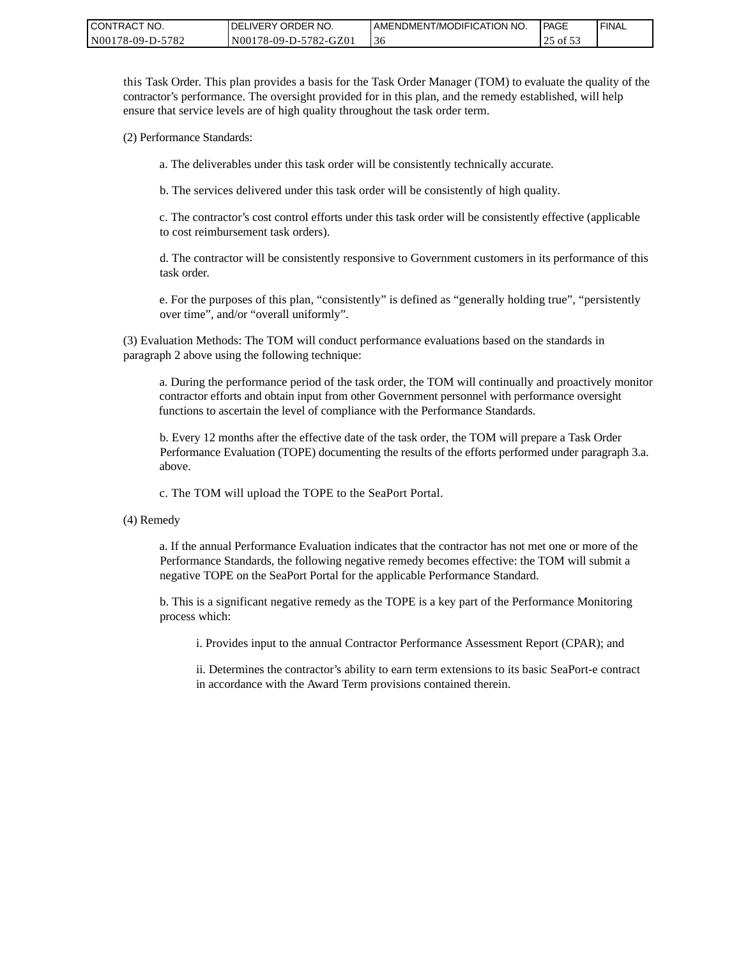| CONTRACT NO.     | <b>IDELIVERY ORDER NO.</b> | AMENDMENT/MODIFICATION NO. | PAGE   | <sup>I</sup> FINAL |
|------------------|----------------------------|----------------------------|--------|--------------------|
| N00178-09-D-5782 | N00178-09-D-5782-GZ01      |                            | -01 53 |                    |

this Task Order. This plan provides a basis for the Task Order Manager (TOM) to evaluate the quality of the contractor's performance. The oversight provided for in this plan, and the remedy established, will help ensure that service levels are of high quality throughout the task order term.

(2) Performance Standards:

a. The deliverables under this task order will be consistently technically accurate.

b. The services delivered under this task order will be consistently of high quality.

c. The contractor's cost control efforts under this task order will be consistently effective (applicable to cost reimbursement task orders).

d. The contractor will be consistently responsive to Government customers in its performance of this task order.

e. For the purposes of this plan, "consistently" is defined as "generally holding true", "persistently over time", and/or "overall uniformly".

(3) Evaluation Methods: The TOM will conduct performance evaluations based on the standards in paragraph 2 above using the following technique:

a. During the performance period of the task order, the TOM will continually and proactively monitor contractor efforts and obtain input from other Government personnel with performance oversight functions to ascertain the level of compliance with the Performance Standards.

b. Every 12 months after the effective date of the task order, the TOM will prepare a Task Order Performance Evaluation (TOPE) documenting the results of the efforts performed under paragraph 3.a. above.

c. The TOM will upload the TOPE to the SeaPort Portal.

(4) Remedy

a. If the annual Performance Evaluation indicates that the contractor has not met one or more of the Performance Standards, the following negative remedy becomes effective: the TOM will submit a negative TOPE on the SeaPort Portal for the applicable Performance Standard.

b. This is a significant negative remedy as the TOPE is a key part of the Performance Monitoring process which:

i. Provides input to the annual Contractor Performance Assessment Report (CPAR); and

ii. Determines the contractor's ability to earn term extensions to its basic SeaPort-e contract in accordance with the Award Term provisions contained therein.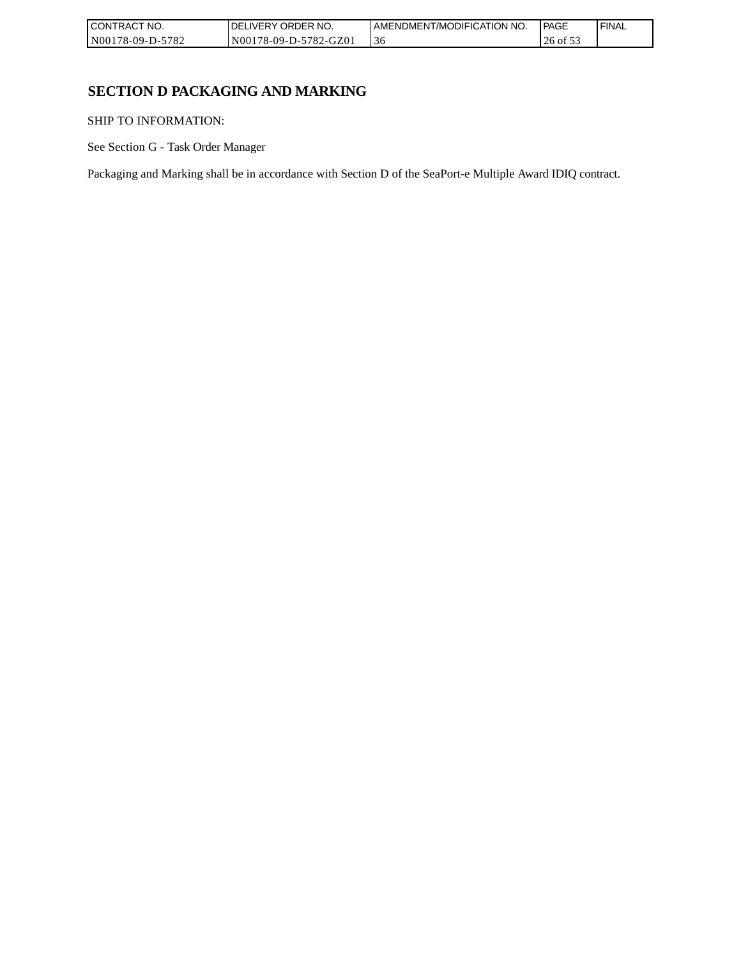| " NO.<br><b>CONTRACT</b> | NO.<br><b>DELIVERY ORDER</b> | AMENDMENT/MODIFICATION NO. | <b>PAGE</b> | ' FINAL |
|--------------------------|------------------------------|----------------------------|-------------|---------|
| N00178-09-D-5782         | N00178-09-D-5782-GZ01        | -30                        | $0.01$      |         |

# **SECTION D PACKAGING AND MARKING**

SHIP TO INFORMATION:

See Section G - Task Order Manager

Packaging and Marking shall be in accordance with Section D of the SeaPort-e Multiple Award IDIQ contract.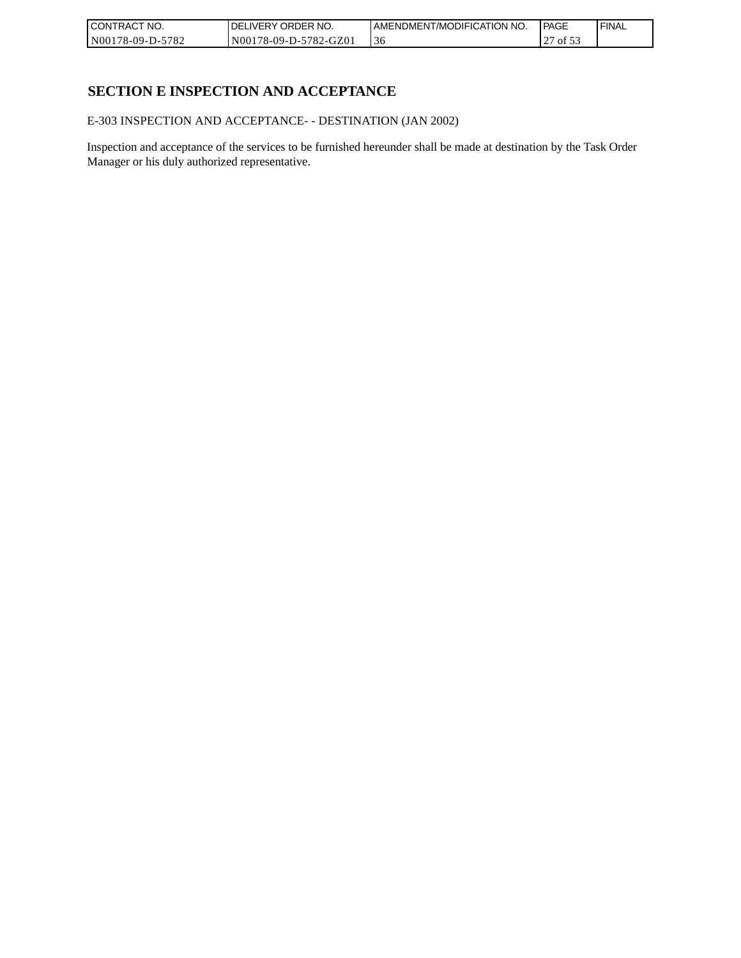| CONTRACT NO.     | DELIVERY ORDER NO.    | I AMENDMENT/MODIFICATION NO. | l PAGE                     | ' FINAL |
|------------------|-----------------------|------------------------------|----------------------------|---------|
| N00178-09-D-5782 | N00178-09-D-5782-GZ01 | .36                          | $\cdot$ of $\sigma$ .<br>" |         |

# **SECTION E INSPECTION AND ACCEPTANCE**

E-303 INSPECTION AND ACCEPTANCE- - DESTINATION (JAN 2002)

Inspection and acceptance of the services to be furnished hereunder shall be made at destination by the Task Order Manager or his duly authorized representative.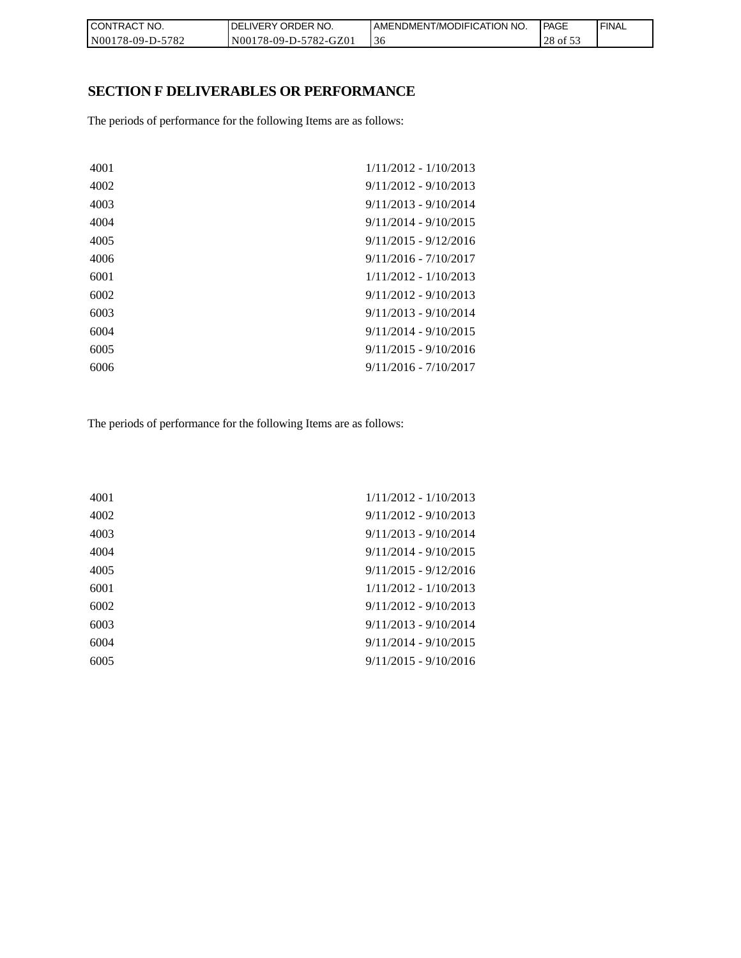| CONTRACT NO.     | `NO.<br><b>DELIVERY ORDER</b> | AMENDMENT/MODIFICATION NO. | PAGE     | 'FINAL |
|------------------|-------------------------------|----------------------------|----------|--------|
| N00178-09-D-5782 | N00178-09-D-5782-GZ01         | 36                         | 28 of 53 |        |

# **SECTION F DELIVERABLES OR PERFORMANCE**

The periods of performance for the following Items are as follows:

| 4001 | $1/11/2012 - 1/10/2013$ |
|------|-------------------------|
| 4002 | $9/11/2012 - 9/10/2013$ |
| 4003 | $9/11/2013 - 9/10/2014$ |
| 4004 | $9/11/2014 - 9/10/2015$ |
| 4005 | $9/11/2015 - 9/12/2016$ |
| 4006 | $9/11/2016 - 7/10/2017$ |
| 6001 | $1/11/2012 - 1/10/2013$ |
| 6002 | $9/11/2012 - 9/10/2013$ |
| 6003 | $9/11/2013 - 9/10/2014$ |
| 6004 | $9/11/2014 - 9/10/2015$ |
| 6005 | $9/11/2015 - 9/10/2016$ |
| 6006 | $9/11/2016 - 7/10/2017$ |
|      |                         |

The periods of performance for the following Items are as follows:

| 4001 | $1/11/2012 - 1/10/2013$ |
|------|-------------------------|
| 4002 | $9/11/2012 - 9/10/2013$ |
| 4003 | $9/11/2013 - 9/10/2014$ |
| 4004 | $9/11/2014 - 9/10/2015$ |
| 4005 | $9/11/2015 - 9/12/2016$ |
| 6001 | $1/11/2012 - 1/10/2013$ |
| 6002 | $9/11/2012 - 9/10/2013$ |
| 6003 | $9/11/2013 - 9/10/2014$ |
| 6004 | $9/11/2014 - 9/10/2015$ |
| 6005 | $9/11/2015 - 9/10/2016$ |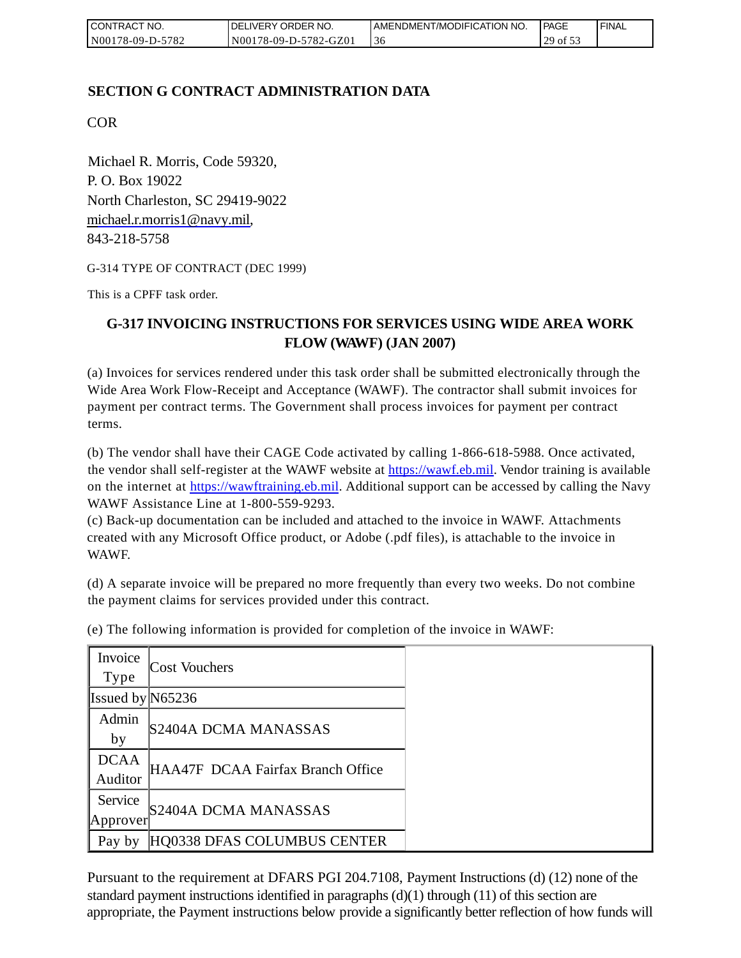| I CONTRACT NO.   | <b>IDELIVERY ORDER NO.</b> | AMENDMENT/MODIFICATION NO. | l PAGE                    | ' FINAL |
|------------------|----------------------------|----------------------------|---------------------------|---------|
| N00178-09-D-5782 | N00178-09-D-5782-GZ01      | 3t                         | $129$ of $\overline{5}$ . |         |

# **SECTION G CONTRACT ADMINISTRATION DATA**

COR

Michael R. Morris, Code 59320, P. O. Box 19022 North Charleston, SC 29419-9022 [michael.r.morris1@navy.mil,](mailto:Michael.r.morris1@navy.mil) 843-218-5758

G-314 TYPE OF CONTRACT (DEC 1999)

This is a CPFF task order.

# **G-317 INVOICING INSTRUCTIONS FOR SERVICES USING WIDE AREA WORK FLOW (WAWF) (JAN 2007)**

(a) Invoices for services rendered under this task order shall be submitted electronically through the Wide Area Work Flow-Receipt and Acceptance (WAWF). The contractor shall submit invoices for payment per contract terms. The Government shall process invoices for payment per contract terms.

(b) The vendor shall have their CAGE Code activated by calling 1-866-618-5988. Once activated, the vendor shall self-register at the WAWF website at [https://wawf.eb.mil.](https://wawf.eb.mil/) Vendor training is available on the internet at [https://wawftraining.eb.mil.](https://wawftraining.eb.mil/) Additional support can be accessed by calling the Navy WAWF Assistance Line at 1-800-559-9293.

(c) Back-up documentation can be included and attached to the invoice in WAWF. Attachments created with any Microsoft Office product, or Adobe (.pdf files), is attachable to the invoice in WAWF.

(d) A separate invoice will be prepared no more frequently than every two weeks. Do not combine the payment claims for services provided under this contract.

| Invoice<br><b>Type</b> | <b>Cost Vouchers</b>              |
|------------------------|-----------------------------------|
| Issued by $N65236$     |                                   |
| Admin<br>by            | S2404A DCMA MANASSAS              |
| <b>DCAA</b><br>Auditor | HAA47F DCAA Fairfax Branch Office |
| Service<br>Approver    | S2404A DCMA MANASSAS              |
| Pay by                 | HQ0338 DFAS COLUMBUS CENTER       |

(e) The following information is provided for completion of the invoice in WAWF:

Pursuant to the requirement at DFARS PGI 204.7108, Payment Instructions (d) (12) none of the standard payment instructions identified in paragraphs  $(d)(1)$  through  $(11)$  of this section are appropriate, the Payment instructions below provide a significantly better reflection of how funds will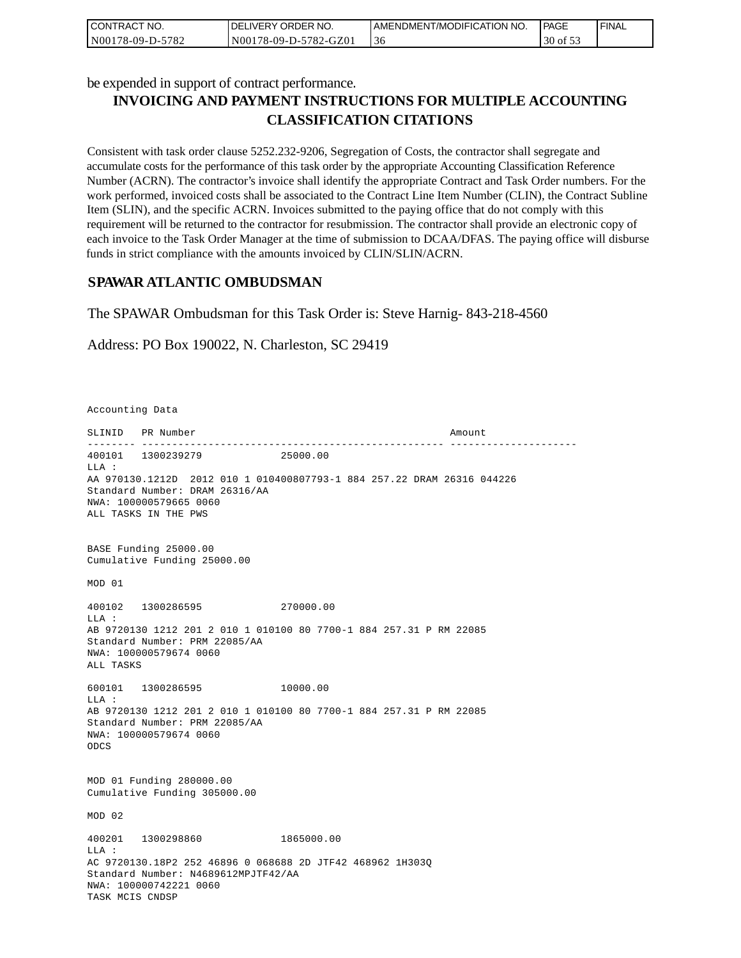| I CONTRACT NO.   | <b>IDELIVERY ORDER NO.</b> | AMENDMENT/MODIFICATION NO. | <b>I PAGE</b> | ' FINAL |
|------------------|----------------------------|----------------------------|---------------|---------|
| N00178-09-D-5782 | N00178-09-D-5782-GZ01      | 30                         | 30 of 53      |         |

be expended in support of contract performance.

# **INVOICING AND PAYMENT INSTRUCTIONS FOR MULTIPLE ACCOUNTING CLASSIFICATION CITATIONS**

Consistent with task order clause 5252.232-9206, Segregation of Costs, the contractor shall segregate and accumulate costs for the performance of this task order by the appropriate Accounting Classification Reference Number (ACRN). The contractor's invoice shall identify the appropriate Contract and Task Order numbers. For the work performed, invoiced costs shall be associated to the Contract Line Item Number (CLIN), the Contract Subline Item (SLIN), and the specific ACRN. Invoices submitted to the paying office that do not comply with this requirement will be returned to the contractor for resubmission. The contractor shall provide an electronic copy of each invoice to the Task Order Manager at the time of submission to DCAA/DFAS. The paying office will disburse funds in strict compliance with the amounts invoiced by CLIN/SLIN/ACRN.

## **SPAWAR ATLANTIC OMBUDSMAN**

The SPAWAR Ombudsman for this Task Order is: Steve Harnig- 843-218-4560

Address: PO Box 190022, N. Charleston, SC 29419

Accounting Data

SLINID PR Number Amount -------- -------------------------------------------------- --------------------- 400101 1300239279 25000.00  $T.T.A$  : AA 970130.1212D 2012 010 1 010400807793-1 884 257.22 DRAM 26316 044226 Standard Number: DRAM 26316/AA NWA: 100000579665 0060 ALL TASKS IN THE PWS BASE Funding 25000.00 Cumulative Funding 25000.00 MOD 01 400102 1300286595 270000.00 LLA : AB 9720130 1212 201 2 010 1 010100 80 7700-1 884 257.31 P RM 22085 Standard Number: PRM 22085/AA NWA: 100000579674 0060 ALL TASKS 600101 1300286595 10000.00 LLA : AB 9720130 1212 201 2 010 1 010100 80 7700-1 884 257.31 P RM 22085 Standard Number: PRM 22085/AA NWA: 100000579674 0060 ODCS MOD 01 Funding 280000.00 Cumulative Funding 305000.00 MOD 02 400201 1300298860 1865000.00  $T.T.A$  : AC 9720130.18P2 252 46896 0 068688 2D JTF42 468962 1H303Q Standard Number: N4689612MPJTF42/AA NWA: 100000742221 0060 TASK MCIS CNDSP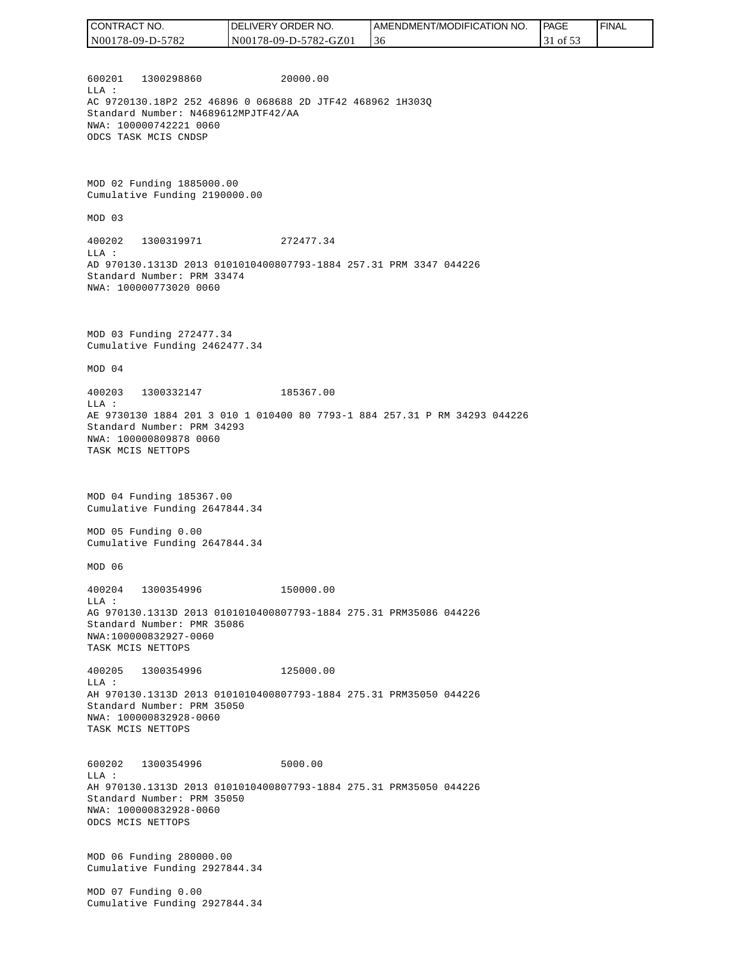600201 1300298860 20000.00  $T.T.A$  : AC 9720130.18P2 252 46896 0 068688 2D JTF42 468962 1H303Q Standard Number: N4689612MPJTF42/AA NWA: 100000742221 0060 ODCS TASK MCIS CNDSP MOD 02 Funding 1885000.00 Cumulative Funding 2190000.00 MOD 03 400202 1300319971 272477.34 LLA : AD 970130.1313D 2013 0101010400807793-1884 257.31 PRM 3347 044226 Standard Number: PRM 33474 NWA: 100000773020 0060 MOD 03 Funding 272477.34 Cumulative Funding 2462477.34 MOD 04 400203 1300332147 185367.00 LLA : AE 9730130 1884 201 3 010 1 010400 80 7793-1 884 257.31 P RM 34293 044226 Standard Number: PRM 34293 NWA: 100000809878 0060 TASK MCIS NETTOPS MOD 04 Funding 185367.00 Cumulative Funding 2647844.34 MOD 05 Funding 0.00 Cumulative Funding 2647844.34 MOD 06 400204 1300354996 150000.00 LLA : AG 970130.1313D 2013 0101010400807793-1884 275.31 PRM35086 044226 Standard Number: PMR 35086 NWA:100000832927-0060 TASK MCIS NETTOPS 400205 1300354996 125000.00 LLA : AH 970130.1313D 2013 0101010400807793-1884 275.31 PRM35050 044226 Standard Number: PRM 35050 NWA: 100000832928-0060 TASK MCIS NETTOPS 600202 1300354996 5000.00 LLA : AH 970130.1313D 2013 0101010400807793-1884 275.31 PRM35050 044226 Standard Number: PRM 35050 NWA: 100000832928-0060 ODCS MCIS NETTOPS MOD 06 Funding 280000.00 Cumulative Funding 2927844.34 MOD 07 Funding 0.00 Cumulative Funding 2927844.34 CONTRACT NO. N00178-09-D-5782 DELIVERY ORDER NO. N00178-09-D-5782-GZ01 AMENDMENT/MODIFICATION NO. 36 **PAGE**  31 of 53 FINAL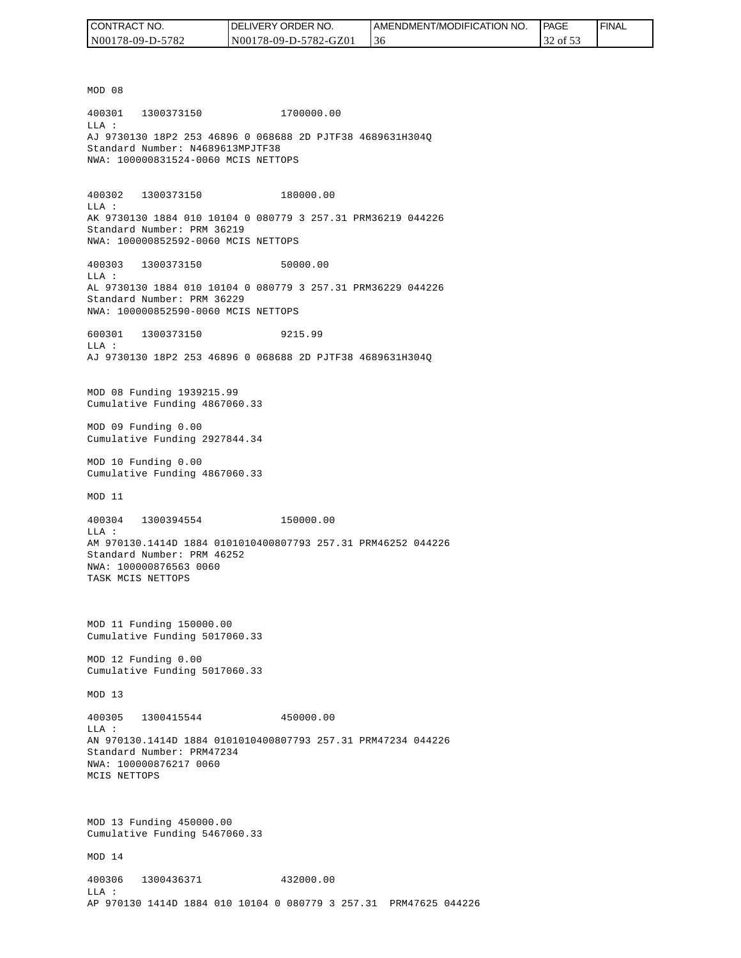| I CONTRACT NO.   | <b>IDELIVERY ORDER NO.</b> | I AMENDMENT/MODIFICATION NO. | <b>PAGE</b> | 'FINAL |
|------------------|----------------------------|------------------------------|-------------|--------|
| N00178-09-D-5782 | N00178-09-D-5782-GZ01      | 36                           | 32 of 53    |        |

MOD 08 400301 1300373150 1700000.00 LLA : AJ 9730130 18P2 253 46896 0 068688 2D PJTF38 4689631H304Q Standard Number: N4689613MPJTF38 NWA: 100000831524-0060 MCIS NETTOPS 400302 1300373150 180000.00 LLA : AK 9730130 1884 010 10104 0 080779 3 257.31 PRM36219 044226 Standard Number: PRM 36219 NWA: 100000852592-0060 MCIS NETTOPS 400303 1300373150 50000.00 LLA : AL 9730130 1884 010 10104 0 080779 3 257.31 PRM36229 044226 Standard Number: PRM 36229 NWA: 100000852590-0060 MCIS NETTOPS 600301 1300373150 9215.99  $T.T.A$  : AJ 9730130 18P2 253 46896 0 068688 2D PJTF38 4689631H304Q MOD 08 Funding 1939215.99 Cumulative Funding 4867060.33 MOD 09 Funding 0.00 Cumulative Funding 2927844.34 MOD 10 Funding 0.00 Cumulative Funding 4867060.33 MOD 11 400304 1300394554 150000.00 LLA : AM 970130.1414D 1884 0101010400807793 257.31 PRM46252 044226 Standard Number: PRM 46252 NWA: 100000876563 0060 TASK MCIS NETTOPS MOD 11 Funding 150000.00 Cumulative Funding 5017060.33 MOD 12 Funding 0.00 Cumulative Funding 5017060.33 MOD 13 400305 1300415544 450000.00  $L.L.A$  : AN 970130.1414D 1884 0101010400807793 257.31 PRM47234 044226 Standard Number: PRM47234 NWA: 100000876217 0060 MCIS NETTOPS MOD 13 Funding 450000.00 Cumulative Funding 5467060.33 MOD 14 400306 1300436371 432000.00 LLA : AP 970130 1414D 1884 010 10104 0 080779 3 257.31 PRM47625 044226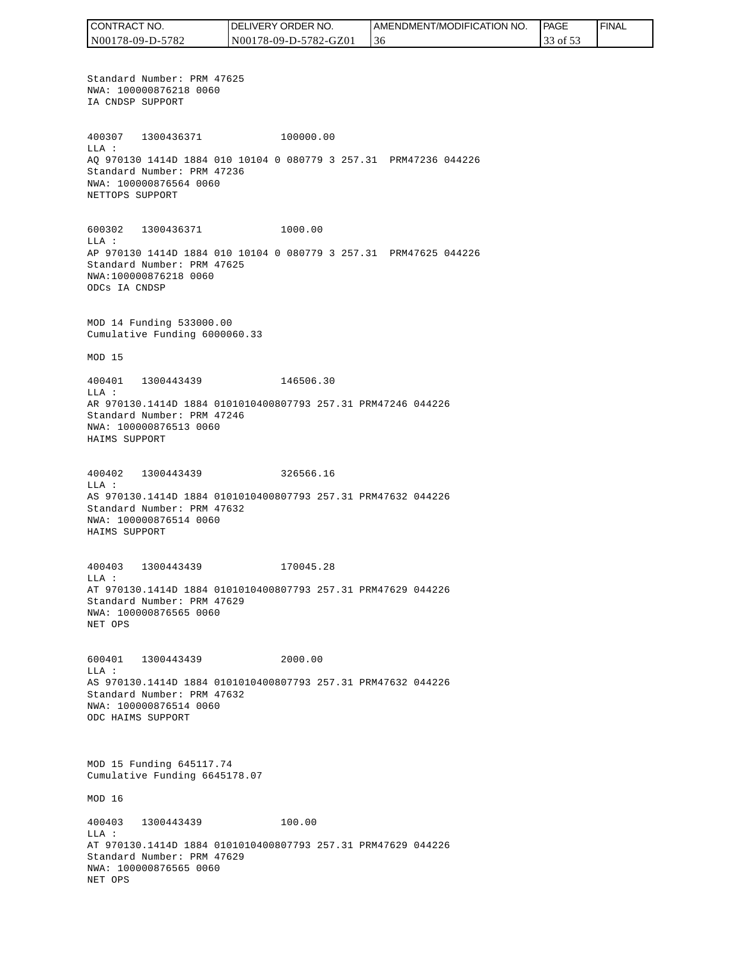CONTRACT NO. DELIVERY ORDER NO. AMENDMENT/MODIFICATION NO. PAGE FINALCONTRACT NO.<br>NO0178-09-D-5<br>Standard Numk<br>NWA: 1000087<br>IA CNDSP SUPP<br>400307 1300<br>400307 1300<br>400307 1300<br>MLA: 2000087<br>NET CNDSP SUPPC<br>600302 1300<br>NET TOPS SUPPC<br>600302 1300<br>LLA: AP 970130 141<br>Standard Numk<br>NWA: 10000087<br>MAD N00178-09-D-5782 N00178-09-D-5782-GZ01 36 33 of 53 Standard Number: PRM 47625 NWA: 100000876218 0060 IA CNDSP SUPPORT 400307 1300436371 100000.00 LLA : AQ 970130 1414D 1884 010 10104 0 080779 3 257.31 PRM47236 044226 Standard Number: PRM 47236 NWA: 100000876564 0060 NETTOPS SUPPORT 600302 1300436371 1000.00 LLA : AP 970130 1414D 1884 010 10104 0 080779 3 257.31 PRM47625 044226 Standard Number: PRM 47625 NWA:100000876218 0060 ODCs IA CNDSP MOD 14 Funding 533000.00 Cumulative Funding 6000060.33 MOD 15 400401 1300443439 146506.30 LLA : AR 970130.1414D 1884 0101010400807793 257.31 PRM47246 044226 Standard Number: PRM 47246 NWA: 100000876513 0060 HAIMS SUPPORT 400402 1300443439 326566.16 LLA : AS 970130.1414D 1884 0101010400807793 257.31 PRM47632 044226 Standard Number: PRM 47632 NWA: 100000876514 0060 HAIMS SUPPORT 400403 1300443439 170045.28 LLA : AT 970130.1414D 1884 0101010400807793 257.31 PRM47629 044226 Standard Number: PRM 47629 NWA: 100000876565 0060 NET OPS 600401 1300443439 2000.00 LLA : AS 970130.1414D 1884 0101010400807793 257.31 PRM47632 044226 Standard Number: PRM 47632 NWA: 100000876514 0060 ODC HAIMS SUPPORT MOD 15 Funding 645117.74 Cumulative Funding 6645178.07 MOD 16 400403 1300443439 100.00 LLA : AT 970130.1414D 1884 0101010400807793 257.31 PRM47629 044226 Standard Number: PRM 47629 NWA: 100000876565 0060 NET OPS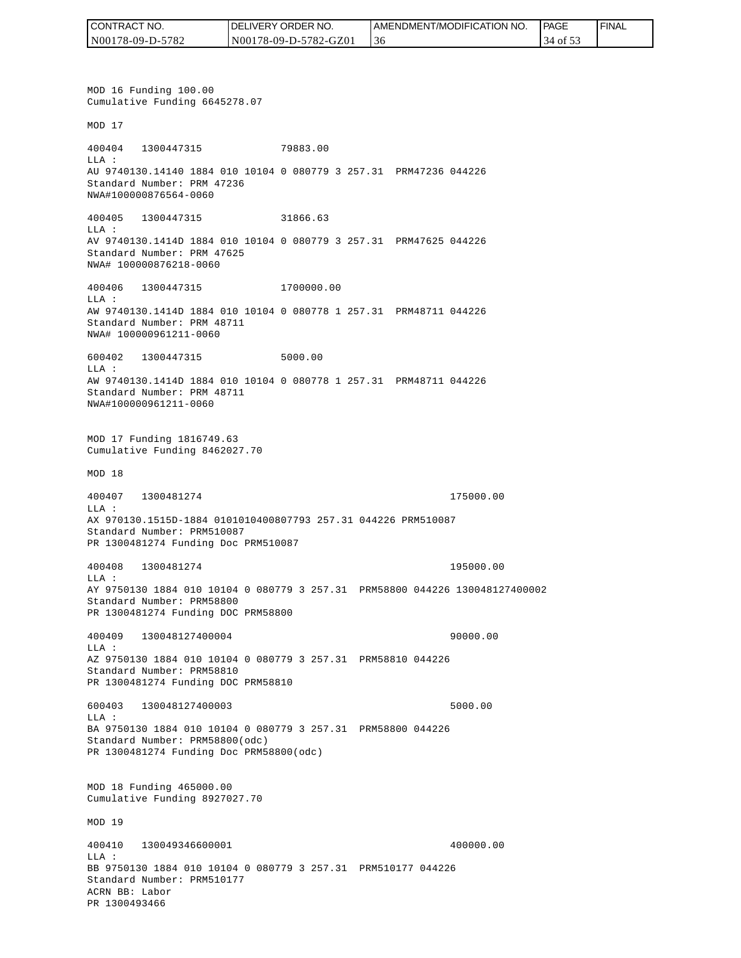| CONTRACT NO.     | <b>IDELIVERY ORDER NO.</b> | AMENDMENT/MODIFICATION NO. | PAGE     | 'FINAL |
|------------------|----------------------------|----------------------------|----------|--------|
| N00178-09-D-5782 | N00178-09-D-5782-GZ01      | 30                         | 34 of 53 |        |

MOD 16 Funding 100.00 Cumulative Funding 6645278.07 MOD 17 400404 1300447315 79883.00 LLA : AU 9740130.14140 1884 010 10104 0 080779 3 257.31 PRM47236 044226 Standard Number: PRM 47236 NWA#100000876564-0060 400405 1300447315 31866.63 LLA : AV 9740130.1414D 1884 010 10104 0 080779 3 257.31 PRM47625 044226 Standard Number: PRM 47625 NWA# 100000876218-0060 400406 1300447315 1700000.00 LLA : AW 9740130.1414D 1884 010 10104 0 080778 1 257.31 PRM48711 044226 Standard Number: PRM 48711 NWA# 100000961211-0060 600402 1300447315 5000.00 LLA : AW 9740130.1414D 1884 010 10104 0 080778 1 257.31 PRM48711 044226 Standard Number: PRM 48711 NWA#100000961211-0060 MOD 17 Funding 1816749.63 Cumulative Funding 8462027.70 MOD 18 400407 1300481274 175000.00 LLA : AX 970130.1515D-1884 0101010400807793 257.31 044226 PRM510087 Standard Number: PRM510087 PR 1300481274 Funding Doc PRM510087 400408 1300481274 195000.00 LLA : AY 9750130 1884 010 10104 0 080779 3 257.31 PRM58800 044226 130048127400002 Standard Number: PRM58800 PR 1300481274 Funding DOC PRM58800 400409 130048127400004 90000.00 LLA : AZ 9750130 1884 010 10104 0 080779 3 257.31 PRM58810 044226 Standard Number: PRM58810 PR 1300481274 Funding DOC PRM58810 600403 130048127400003 5000.00 LLA : BA 9750130 1884 010 10104 0 080779 3 257.31 PRM58800 044226 Standard Number: PRM58800(odc) PR 1300481274 Funding Doc PRM58800(odc) MOD 18 Funding 465000.00 Cumulative Funding 8927027.70 MOD 19 400410 130049346600001 400000.00  $L.L.A$  : BB 9750130 1884 010 10104 0 080779 3 257.31 PRM510177 044226 Standard Number: PRM510177 ACRN BB: Labor PR 1300493466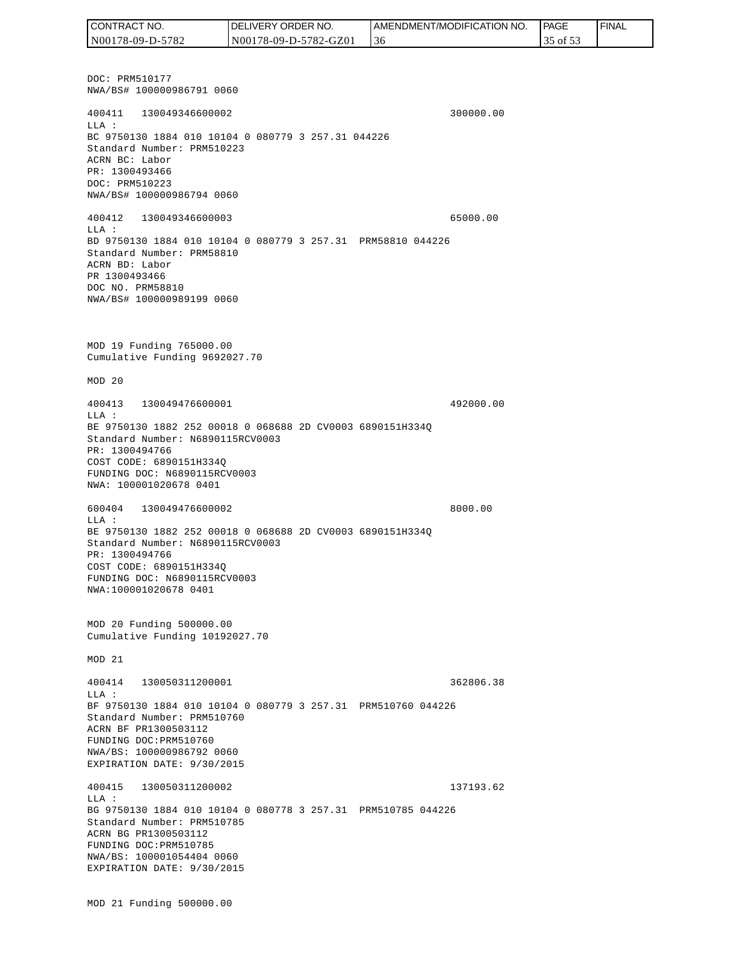DOC: PRM510177 NWA/BS# 100000986791 0060 400411 130049346600002 300000.00 LLA : BC 9750130 1884 010 10104 0 080779 3 257.31 044226 Standard Number: PRM510223 ACRN BC: Labor PR: 1300493466 DOC: PRM510223 NWA/BS# 100000986794 0060 400412 130049346600003 65000.00 LLA : BD 9750130 1884 010 10104 0 080779 3 257.31 PRM58810 044226 Standard Number: PRM58810 ACRN BD: Labor PR 1300493466 DOC NO. PRM58810 NWA/BS# 100000989199 0060 MOD 19 Funding 765000.00 Cumulative Funding 9692027.70 MOD 20 400413 130049476600001 492000.00 LLA : BE 9750130 1882 252 00018 0 068688 2D CV0003 6890151H334Q Standard Number: N6890115RCV0003 PR: 1300494766 COST CODE: 6890151H334Q FUNDING DOC: N6890115RCV0003 NWA: 100001020678 0401 600404 130049476600002 8000.00 LLA : BE 9750130 1882 252 00018 0 068688 2D CV0003 6890151H334Q Standard Number: N6890115RCV0003 PR: 1300494766 COST CODE: 6890151H334Q FUNDING DOC: N6890115RCV0003 NWA:100001020678 0401 MOD 20 Funding 500000.00 Cumulative Funding 10192027.70 MOD 21 400414 130050311200001 362806.38  $T.T.A$  : BF 9750130 1884 010 10104 0 080779 3 257.31 PRM510760 044226 Standard Number: PRM510760 ACRN BF PR1300503112 FUNDING DOC:PRM510760 NWA/BS: 100000986792 0060 EXPIRATION DATE: 9/30/2015 400415 130050311200002 137193.62 LLA : BG 9750130 1884 010 10104 0 080778 3 257.31 PRM510785 044226 Standard Number: PRM510785 ACRN BG PR1300503112 FUNDING DOC:PRM510785 NWA/BS: 100001054404 0060 EXPIRATION DATE: 9/30/2015 CONTRACT NO. N00178-09-D-5782 DELIVERY ORDER NO. N00178-09-D-5782-GZ01 AMENDMENT/MODIFICATION NO. 36 **PAGE**  35 of 53 FINAL

MOD 21 Funding 500000.00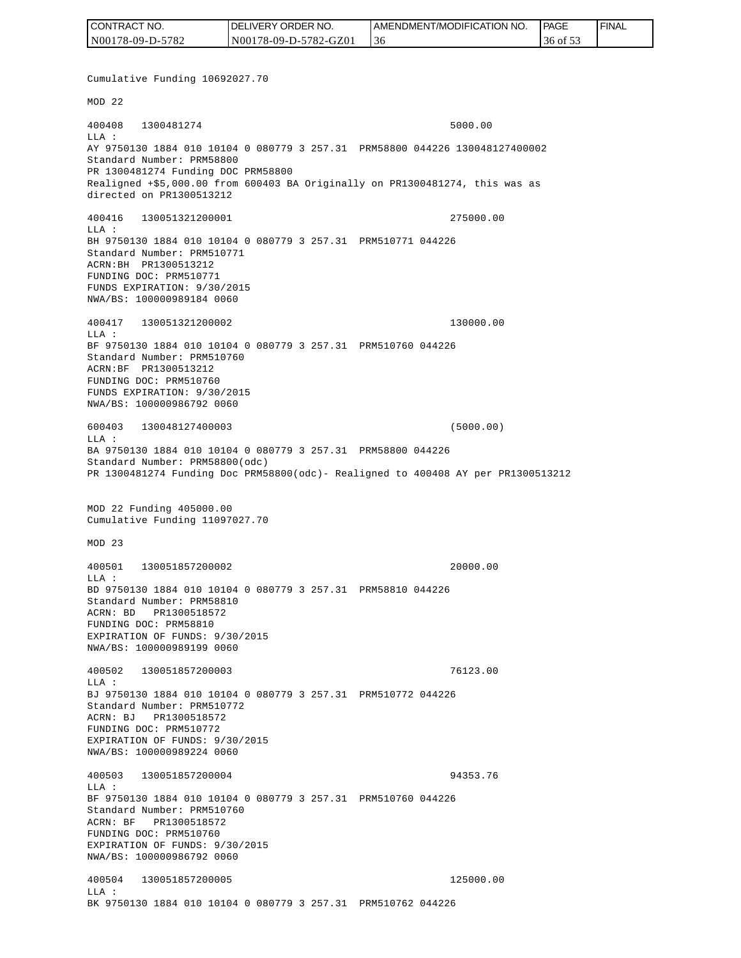| CONTRACT NO.     | <b>IDELIVERY ORDER NO.</b> | AMENDMENT/MODIFICATION NO. | <b>PAGE</b> | ' FINAL |
|------------------|----------------------------|----------------------------|-------------|---------|
| N00178-09-D-5782 | N00178-09-D-5782-GZ01      | 36                         | 36 of 53    |         |

Cumulative Funding 10692027.70 MOD 22 400408 1300481274 5000.00 LLA : AY 9750130 1884 010 10104 0 080779 3 257.31 PRM58800 044226 130048127400002 Standard Number: PRM58800 PR 1300481274 Funding DOC PRM58800 Realigned +\$5,000.00 from 600403 BA Originally on PR1300481274, this was as directed on PR1300513212 400416 130051321200001 275000.00 LLA : BH 9750130 1884 010 10104 0 080779 3 257.31 PRM510771 044226 Standard Number: PRM510771 ACRN:BH PR1300513212 FUNDING DOC: PRM510771 FUNDS EXPIRATION: 9/30/2015 NWA/BS: 100000989184 0060 400417 130051321200002 130000.00 LLA : BF 9750130 1884 010 10104 0 080779 3 257.31 PRM510760 044226 Standard Number: PRM510760 ACRN:BF PR1300513212 FUNDING DOC: PRM510760 FUNDS EXPIRATION: 9/30/2015 NWA/BS: 100000986792 0060 600403 130048127400003 (5000.00)  $L.L.A$  : BA 9750130 1884 010 10104 0 080779 3 257.31 PRM58800 044226 Standard Number: PRM58800(odc) PR 1300481274 Funding Doc PRM58800(odc)- Realigned to 400408 AY per PR1300513212 MOD 22 Funding 405000.00 Cumulative Funding 11097027.70 MOD 23 400501 130051857200002 20000.00  $L.L.A$  : BD 9750130 1884 010 10104 0 080779 3 257.31 PRM58810 044226 Standard Number: PRM58810 ACRN: BD PR1300518572 FUNDING DOC: PRM58810 EXPIRATION OF FUNDS: 9/30/2015 NWA/BS: 100000989199 0060 400502 130051857200003 76123.00 LLA : BJ 9750130 1884 010 10104 0 080779 3 257.31 PRM510772 044226 Standard Number: PRM510772 ACRN: BJ PR1300518572 FUNDING DOC: PRM510772 EXPIRATION OF FUNDS: 9/30/2015 NWA/BS: 100000989224 0060 400503 130051857200004 94353.76  $T.T.A$  : BF 9750130 1884 010 10104 0 080779 3 257.31 PRM510760 044226 Standard Number: PRM510760 ACRN: BF PR1300518572 FUNDING DOC: PRM510760 EXPIRATION OF FUNDS: 9/30/2015 NWA/BS: 100000986792 0060 400504 130051857200005 125000.00 LLA : BK 9750130 1884 010 10104 0 080779 3 257.31 PRM510762 044226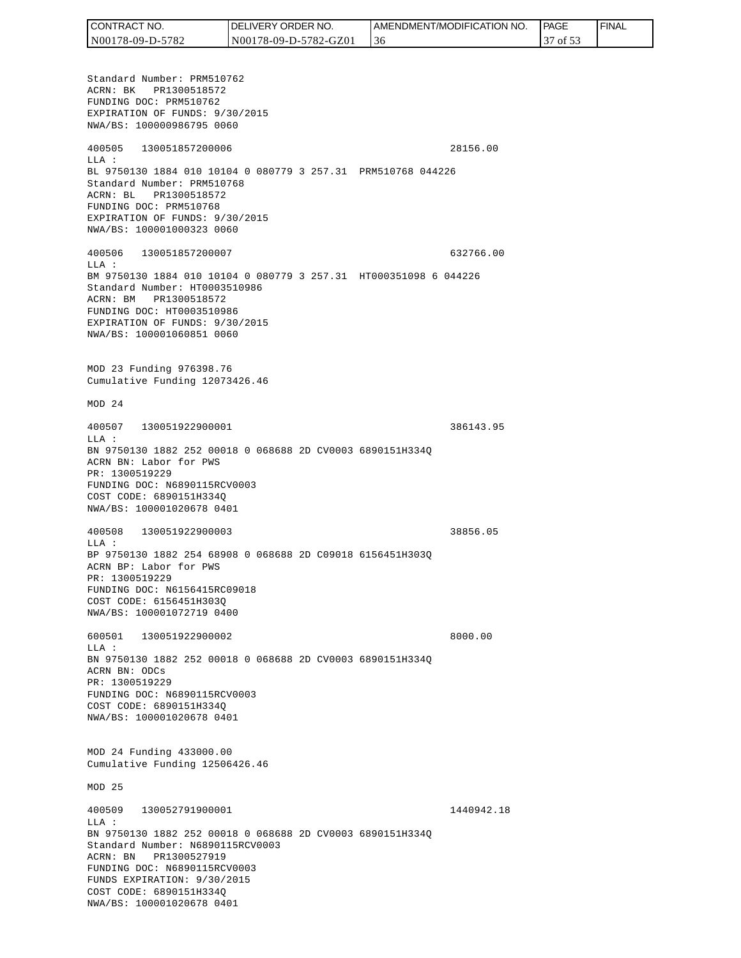| CONTRACT NO.     | <b>IDELIVERY ORDER NO.</b> | AMENDMENT/MODIFICATION NO. | <b>PAGE</b> | ' FINAL |
|------------------|----------------------------|----------------------------|-------------|---------|
| N00178-09-D-5782 | N00178-09-D-5782-GZ01      | -3 C                       | of $53$     |         |

Standard Number: PRM510762 ACRN: BK PR1300518572 FUNDING DOC: PRM510762 EXPIRATION OF FUNDS: 9/30/2015 NWA/BS: 100000986795 0060 400505 130051857200006 28156.00 LLA : BL 9750130 1884 010 10104 0 080779 3 257.31 PRM510768 044226 Standard Number: PRM510768 ACRN: BL PR1300518572 FUNDING DOC: PRM510768 EXPIRATION OF FUNDS: 9/30/2015 NWA/BS: 100001000323 0060 400506 130051857200007 632766.00 LLA : BM 9750130 1884 010 10104 0 080779 3 257.31 HT000351098 6 044226 Standard Number: HT0003510986 ACRN: BM PR1300518572 FUNDING DOC: HT0003510986 EXPIRATION OF FUNDS: 9/30/2015 NWA/BS: 100001060851 0060 MOD 23 Funding 976398.76 Cumulative Funding 12073426.46 MOD 24 400507 130051922900001 386143.95  $T.T.A$  : BN 9750130 1882 252 00018 0 068688 2D CV0003 6890151H334Q ACRN BN: Labor for PWS PR: 1300519229 FUNDING DOC: N6890115RCV0003 COST CODE: 6890151H334Q NWA/BS: 100001020678 0401 400508 130051922900003 38856.05 LLA : BP 9750130 1882 254 68908 0 068688 2D C09018 6156451H303Q ACRN BP: Labor for PWS PR: 1300519229 FUNDING DOC: N6156415RC09018 COST CODE: 6156451H303Q NWA/BS: 100001072719 0400 600501 130051922900002 8000.00 LLA : BN 9750130 1882 252 00018 0 068688 2D CV0003 6890151H334Q ACRN BN: ODCs PR: 1300519229 FUNDING DOC: N6890115RCV0003 COST CODE: 6890151H334Q NWA/BS: 100001020678 0401 MOD 24 Funding 433000.00 Cumulative Funding 12506426.46 MOD 25 400509 130052791900001 1440942.18 LLA : BN 9750130 1882 252 00018 0 068688 2D CV0003 6890151H334Q Standard Number: N6890115RCV0003 ACRN: BN PR1300527919 FUNDING DOC: N6890115RCV0003 FUNDS EXPIRATION: 9/30/2015 COST CODE: 6890151H334Q NWA/BS: 100001020678 0401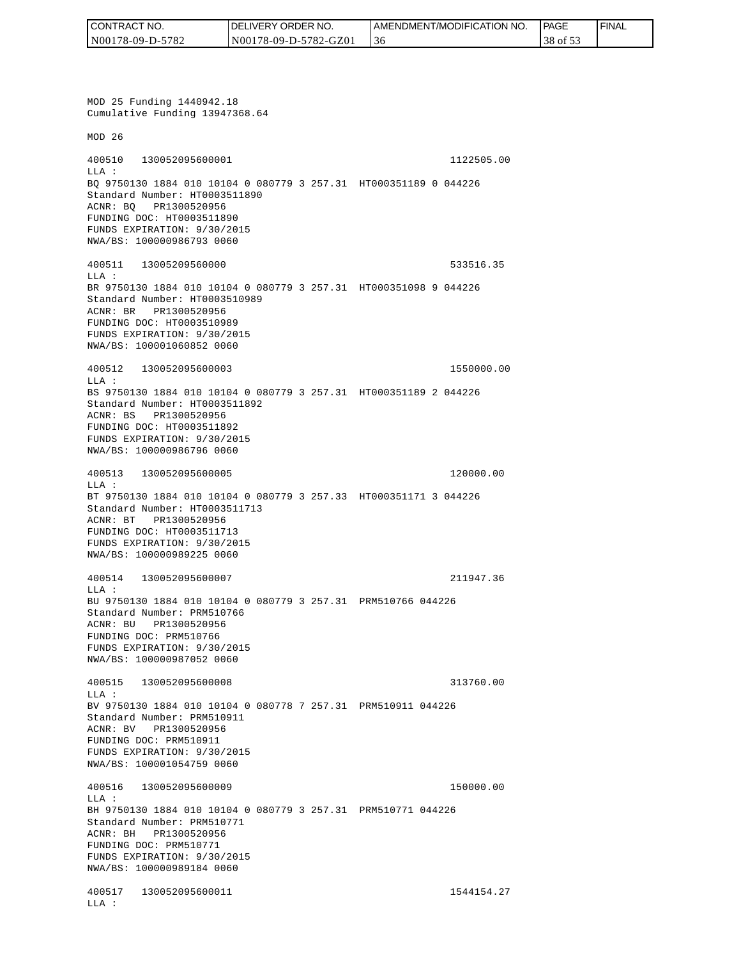| CONTRACT NO.     | <b>IDELIVERY ORDER NO.</b> | <b>I AMENDMENT/MODIFICATION NO.</b> | l PAGE   | <b>FINAL</b> |
|------------------|----------------------------|-------------------------------------|----------|--------------|
| N00178-09-D-5782 | N00178-09-D-5782-GZ01      | 36                                  | 38 of 53 |              |

MOD 25 Funding 1440942.18 Cumulative Funding 13947368.64 MOD 26 400510 130052095600001 1122505.00 LLA : BQ 9750130 1884 010 10104 0 080779 3 257.31 HT000351189 0 044226 Standard Number: HT0003511890 ACNR: BQ PR1300520956 FUNDING DOC: HT0003511890 FUNDS EXPIRATION: 9/30/2015 NWA/BS: 100000986793 0060 400511 13005209560000 533516.35 LLA : BR 9750130 1884 010 10104 0 080779 3 257.31 HT000351098 9 044226 Standard Number: HT0003510989 ACNR: BR PR1300520956 FUNDING DOC: HT0003510989 FUNDS EXPIRATION: 9/30/2015 NWA/BS: 100001060852 0060 400512 130052095600003 1550000.00 LLA : BS 9750130 1884 010 10104 0 080779 3 257.31 HT000351189 2 044226 Standard Number: HT0003511892 ACNR: BS PR1300520956 FUNDING DOC: HT0003511892 FUNDS EXPIRATION: 9/30/2015 NWA/BS: 100000986796 0060 400513 130052095600005 120000.00 LLA : BT 9750130 1884 010 10104 0 080779 3 257.33 HT000351171 3 044226 Standard Number: HT0003511713 ACNR: BT PR1300520956 FUNDING DOC: HT0003511713 FUNDS EXPIRATION: 9/30/2015 NWA/BS: 100000989225 0060 400514 130052095600007 211947.36 LLA : BU 9750130 1884 010 10104 0 080779 3 257.31 PRM510766 044226 Standard Number: PRM510766 ACNR: BU PR1300520956 FUNDING DOC: PRM510766 FUNDS EXPIRATION: 9/30/2015 NWA/BS: 100000987052 0060 400515 130052095600008 313760.00  $T.T.A$  : BV 9750130 1884 010 10104 0 080778 7 257.31 PRM510911 044226 Standard Number: PRM510911 ACNR: BV PR1300520956 FUNDING DOC: PRM510911 FUNDS EXPIRATION: 9/30/2015 NWA/BS: 100001054759 0060 400516 130052095600009 150000.00 LLA : BH 9750130 1884 010 10104 0 080779 3 257.31 PRM510771 044226 Standard Number: PRM510771 ACNR: BH PR1300520956 FUNDING DOC: PRM510771 FUNDS EXPIRATION: 9/30/2015 NWA/BS: 100000989184 0060 400517 130052095600011 1544154.27 LLA :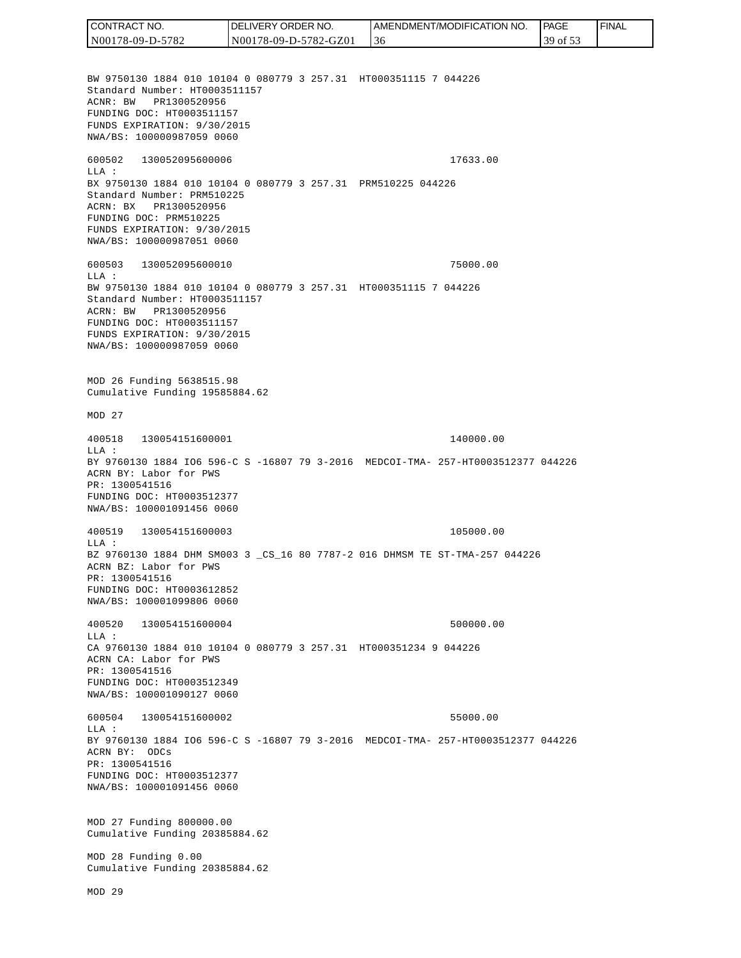AMENDMENT/MODIFICATION NO. CONTRACT NO.<br>
NO0178-09-D-5<br>
BW 9750130 18<br>
Standard Numb<br>
Standard Numb<br>
ACNR: BW PR<br>
FUNDING DOC:<br>
FUNDS EXPIRAT<br>
FUNDING DOC:<br>
TEUNDS EXPIRAT<br>
600502 1300<br>
600502 1300<br>
LLA: BX 9750130 18<br>
Standard Numb<br>
ACRR: BW PR<br>
FU N00178-09-D-5782 N00178-09-D-5782-GZ01 36 39 of 53 BW 9750130 1884 010 10104 0 080779 3 257.31 HT000351115 7 044226 Standard Number: HT0003511157 ACNR: BW PR1300520956 FUNDING DOC: HT0003511157 FUNDS EXPIRATION: 9/30/2015 NWA/BS: 100000987059 0060 600502 130052095600006 17633.00 LLA : BX 9750130 1884 010 10104 0 080779 3 257.31 PRM510225 044226 Standard Number: PRM510225 ACRN: BX PR1300520956 FUNDING DOC: PRM510225 FUNDS EXPIRATION: 9/30/2015 NWA/BS: 100000987051 0060 600503 130052095600010 75000.00  $T.T.A$  : BW 9750130 1884 010 10104 0 080779 3 257.31 HT000351115 7 044226 Standard Number: HT0003511157 ACRN: BW PR1300520956 FUNDING DOC: HT0003511157 FUNDS EXPIRATION: 9/30/2015 NWA/BS: 100000987059 0060 MOD 26 Funding 5638515.98 Cumulative Funding 19585884.62 MOD 27 400518 130054151600001 140000.00 LLA : BY 9760130 1884 IO6 596-C S -16807 79 3-2016 MEDCOI-TMA- 257-HT0003512377 044226 ACRN BY: Labor for PWS PR: 1300541516 FUNDING DOC: HT0003512377 NWA/BS: 100001091456 0060 400519 130054151600003 105000.00 LLA : BZ 9760130 1884 DHM SM003 3 \_CS\_16 80 7787-2 016 DHMSM TE ST-TMA-257 044226 ACRN BZ: Labor for PWS PR: 1300541516 FUNDING DOC: HT0003612852 NWA/BS: 100001099806 0060 400520 130054151600004 500000.00  $L.L.A$  : CA 9760130 1884 010 10104 0 080779 3 257.31 HT000351234 9 044226 ACRN CA: Labor for PWS PR: 1300541516 FUNDING DOC: HT0003512349 NWA/BS: 100001090127 0060 600504 130054151600002 55000.00  $T.T.A$  : BY 9760130 1884 IO6 596-C S -16807 79 3-2016 MEDCOI-TMA- 257-HT0003512377 044226 ACRN BY: ODCs PR: 1300541516 FUNDING DOC: HT0003512377 NWA/BS: 100001091456 0060 MOD 27 Funding 800000.00 Cumulative Funding 20385884.62 MOD 28 Funding 0.00 Cumulative Funding 20385884.62 MOD 29

DELIVERY ORDER NO.

CONTRACT NO.

**PAGE** 

FINAL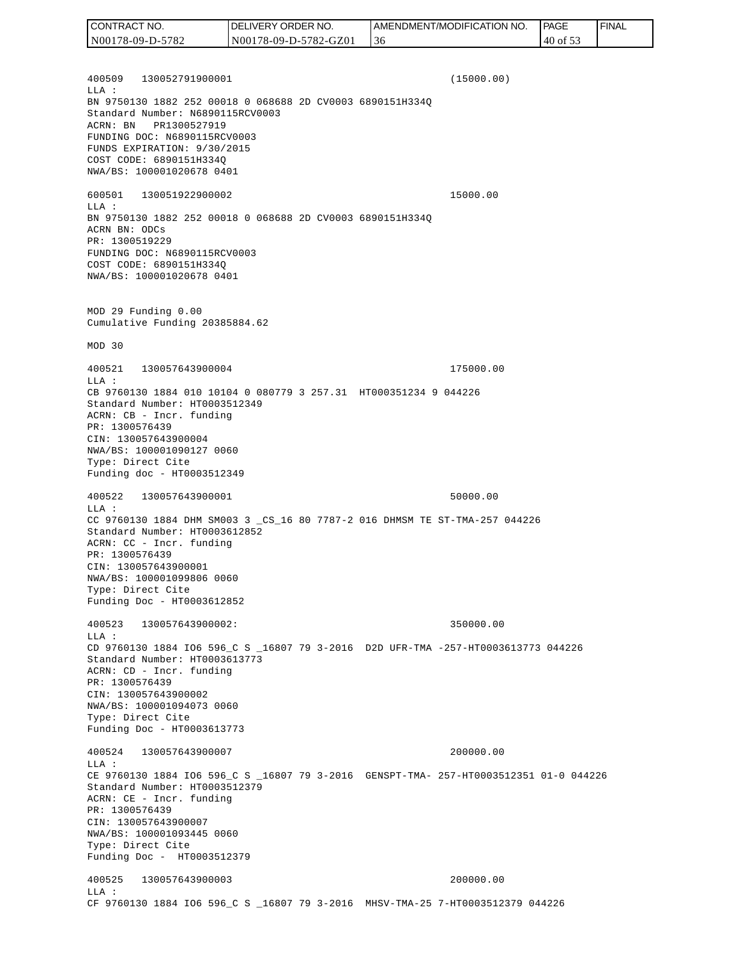400509 130052791900001 (15000.00) LLA : BN 9750130 1882 252 00018 0 068688 2D CV0003 6890151H334Q Standard Number: N6890115RCV0003 ACRN: BN PR1300527919 FUNDING DOC: N6890115RCV0003 FUNDS EXPIRATION: 9/30/2015 COST CODE: 6890151H334Q NWA/BS: 100001020678 0401 600501 130051922900002 15000.00 LLA : BN 9750130 1882 252 00018 0 068688 2D CV0003 6890151H334Q ACRN BN: ODCs PR: 1300519229 FUNDING DOC: N6890115RCV0003 COST CODE: 6890151H334Q NWA/BS: 100001020678 0401 MOD 29 Funding 0.00 Cumulative Funding 20385884.62 MOD 30 400521 130057643900004 175000.00 LLA : CB 9760130 1884 010 10104 0 080779 3 257.31 HT000351234 9 044226 Standard Number: HT0003512349 ACRN: CB - Incr. funding PR: 1300576439 CIN: 130057643900004 NWA/BS: 100001090127 0060 Type: Direct Cite Funding doc - HT0003512349 400522 130057643900001 50000.00 LLA : CC 9760130 1884 DHM SM003 3 \_CS\_16 80 7787-2 016 DHMSM TE ST-TMA-257 044226 Standard Number: HT0003612852 ACRN: CC - Incr. funding PR: 1300576439 CIN: 130057643900001 NWA/BS: 100001099806 0060 Type: Direct Cite Funding Doc - HT0003612852 400523 130057643900002: 350000.00  $L.L.A$  : CD 9760130 1884 IO6 596\_C S \_16807 79 3-2016 D2D UFR-TMA -257-HT0003613773 044226 Standard Number: HT0003613773 ACRN: CD - Incr. funding PR: 1300576439 CIN: 130057643900002 NWA/BS: 100001094073 0060 Type: Direct Cite Funding Doc - HT0003613773 400524 130057643900007 200000.00 LLA : CE 9760130 1884 IO6 596\_C S \_16807 79 3-2016 GENSPT-TMA- 257-HT0003512351 01-0 044226 Standard Number: HT0003512379 ACRN: CE - Incr. funding PR: 1300576439 CIN: 130057643900007 NWA/BS: 100001093445 0060 Type: Direct Cite Funding Doc - HT0003512379 400525 130057643900003 200000.00 LLA : CF 9760130 1884 IO6 596\_C S \_16807 79 3-2016 MHSV-TMA-25 7-HT0003512379 044226 CONTRACT NO. N00178-09-D-5782 DELIVERY ORDER NO. N00178-09-D-5782-GZ01 AMENDMENT/MODIFICATION NO. 36 **PAGE**  40 of 53 FINAL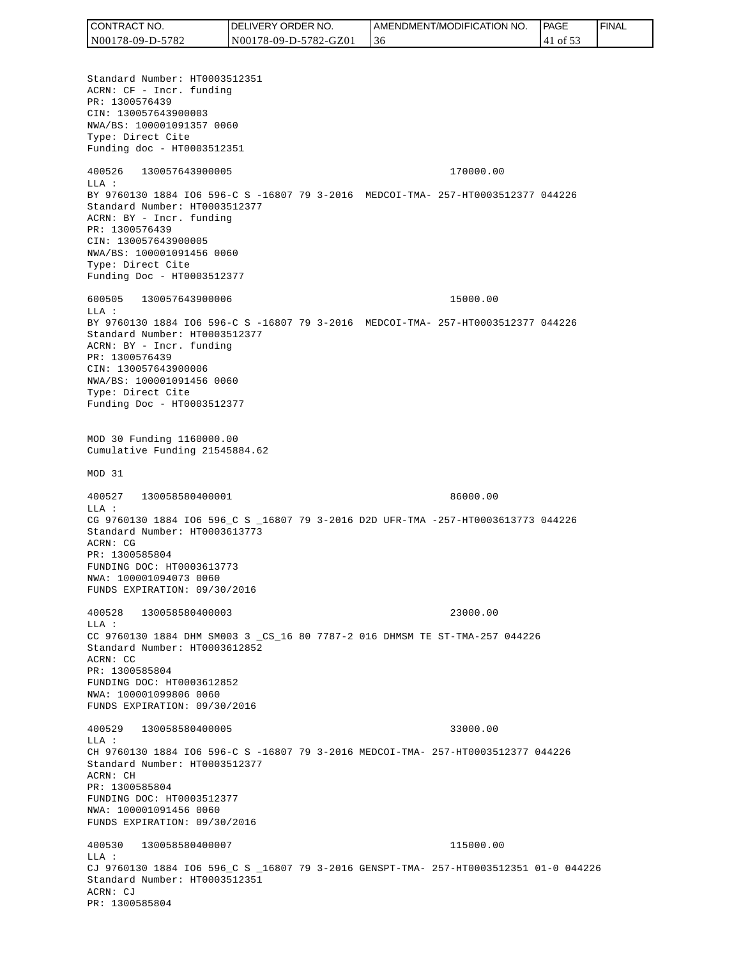| <b>CONTRACT</b><br>T NO. | 'JVERY ORDER NO.<br>DEl | <b>I AMENDMENT/MODIFICATION NO.</b> | <b>PAGE</b> | ' FINAL |
|--------------------------|-------------------------|-------------------------------------|-------------|---------|
| N00178-09-D-5782         | N00178-09-D-5782-GZ01   | -36                                 | of $53$     |         |

Standard Number: HT0003512351 ACRN: CF - Incr. funding PR: 1300576439 CIN: 130057643900003 NWA/BS: 100001091357 0060 Type: Direct Cite Funding doc - HT0003512351 400526 130057643900005 170000.00 LLA : BY 9760130 1884 IO6 596-C S -16807 79 3-2016 MEDCOI-TMA- 257-HT0003512377 044226 Standard Number: HT0003512377 ACRN: BY - Incr. funding PR: 1300576439 CIN: 130057643900005 NWA/BS: 100001091456 0060 Type: Direct Cite Funding Doc - HT0003512377 600505 130057643900006 15000.00  $T.T.A$  : BY 9760130 1884 IO6 596-C S -16807 79 3-2016 MEDCOI-TMA- 257-HT0003512377 044226 Standard Number: HT0003512377 ACRN: BY - Incr. funding PR: 1300576439 CIN: 130057643900006 NWA/BS: 100001091456 0060 Type: Direct Cite Funding Doc - HT0003512377 MOD 30 Funding 1160000.00 Cumulative Funding 21545884.62 MOD 31 400527 130058580400001 86000.00 LLA : CG 9760130 1884 IO6 596\_C S \_16807 79 3-2016 D2D UFR-TMA -257-HT0003613773 044226 Standard Number: HT0003613773 ACRN: CG PR: 1300585804 FUNDING DOC: HT0003613773 NWA: 100001094073 0060 FUNDS EXPIRATION: 09/30/2016 400528 130058580400003 23000.00 LLA : CC 9760130 1884 DHM SM003 3 \_CS\_16 80 7787-2 016 DHMSM TE ST-TMA-257 044226 Standard Number: HT0003612852 ACRN: CC PR: 1300585804 FUNDING DOC: HT0003612852 NWA: 100001099806 0060 FUNDS EXPIRATION: 09/30/2016 400529 130058580400005 33000.00 LLA : CH 9760130 1884 IO6 596-C S -16807 79 3-2016 MEDCOI-TMA- 257-HT0003512377 044226 Standard Number: HT0003512377 ACRN: CH PR: 1300585804 FUNDING DOC: HT0003512377 NWA: 100001091456 0060 FUNDS EXPIRATION: 09/30/2016 400530 130058580400007 115000.00  $L.L.A$  : CJ 9760130 1884 IO6 596\_C S \_16807 79 3-2016 GENSPT-TMA- 257-HT0003512351 01-0 044226 Standard Number: HT0003512351 ACRN: CJ PR: 1300585804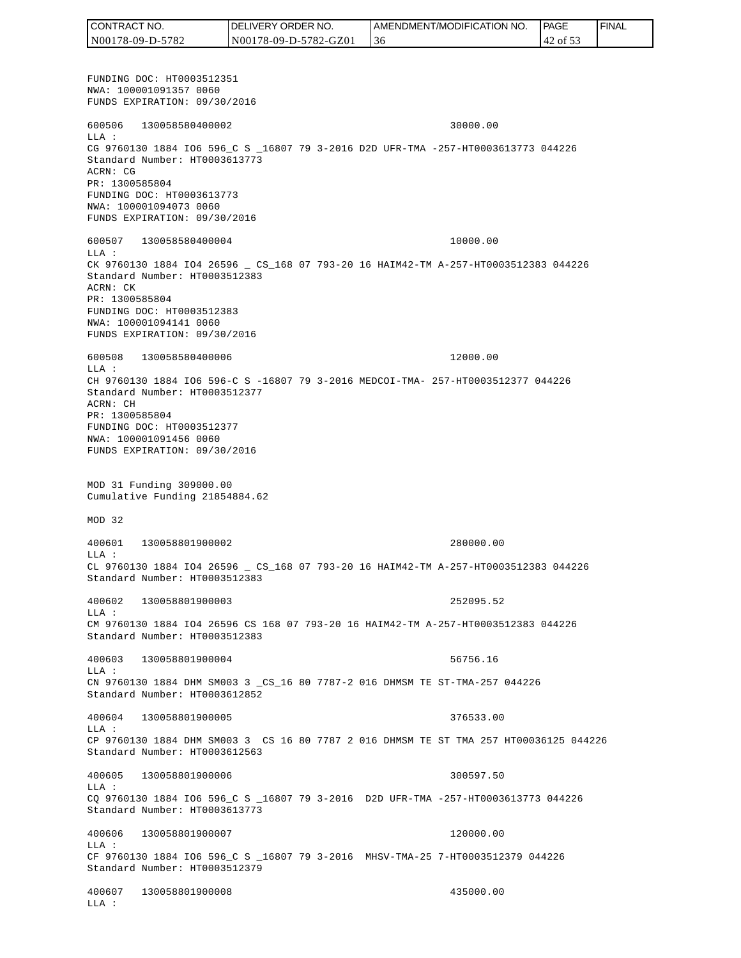FUNDING DOC: HT0003512351 NWA: 100001091357 0060 FUNDS EXPIRATION: 09/30/2016 600506 130058580400002 30000.00 LLA : CG 9760130 1884 IO6 596\_C S \_16807 79 3-2016 D2D UFR-TMA -257-HT0003613773 044226 Standard Number: HT0003613773 ACRN: CG PR: 1300585804 FUNDING DOC: HT0003613773 NWA: 100001094073 0060 FUNDS EXPIRATION: 09/30/2016 600507 130058580400004 10000.00 LLA : CK 9760130 1884 IO4 26596 \_ CS\_168 07 793-20 16 HAIM42-TM A-257-HT0003512383 044226 Standard Number: HT0003512383 ACRN: CK PR: 1300585804 FUNDING DOC: HT0003512383 NWA: 100001094141 0060 FUNDS EXPIRATION: 09/30/2016 600508 130058580400006 12000.00 LLA : CH 9760130 1884 IO6 596-C S -16807 79 3-2016 MEDCOI-TMA- 257-HT0003512377 044226 Standard Number: HT0003512377 ACRN: CH PR: 1300585804 FUNDING DOC: HT0003512377 NWA: 100001091456 0060 FUNDS EXPIRATION: 09/30/2016 MOD 31 Funding 309000.00 Cumulative Funding 21854884.62 MOD 32 400601 130058801900002 280000.00 LLA : CL 9760130 1884 IO4 26596 \_ CS\_168 07 793-20 16 HAIM42-TM A-257-HT0003512383 044226 Standard Number: HT0003512383 400602 130058801900003 252095.52 LLA : CM 9760130 1884 IO4 26596 CS 168 07 793-20 16 HAIM42-TM A-257-HT0003512383 044226 Standard Number: HT0003512383 400603 130058801900004 56756.16 LLA : CN 9760130 1884 DHM SM003 3 \_CS\_16 80 7787-2 016 DHMSM TE ST-TMA-257 044226 Standard Number: HT0003612852 400604 130058801900005 376533.00  $T.T.A$  : CP 9760130 1884 DHM SM003 3 CS 16 80 7787 2 016 DHMSM TE ST TMA 257 HT00036125 044226 Standard Number: HT0003612563 400605 130058801900006 300597.50  $T.T.A$  : CQ 9760130 1884 IO6 596\_C S \_16807 79 3-2016 D2D UFR-TMA -257-HT0003613773 044226 Standard Number: HT0003613773 400606 130058801900007 120000.00 LLA : CF 9760130 1884 IO6 596\_C S \_16807 79 3-2016 MHSV-TMA-25 7-HT0003512379 044226 Standard Number: HT0003512379 400607 130058801900008 435000.00 LLA : CONTRACT NO. N00178-09-D-5782 DELIVERY ORDER NO. N00178-09-D-5782-GZ01 AMENDMENT/MODIFICATION NO. 36 **PAGE**  42 of 53 FINAL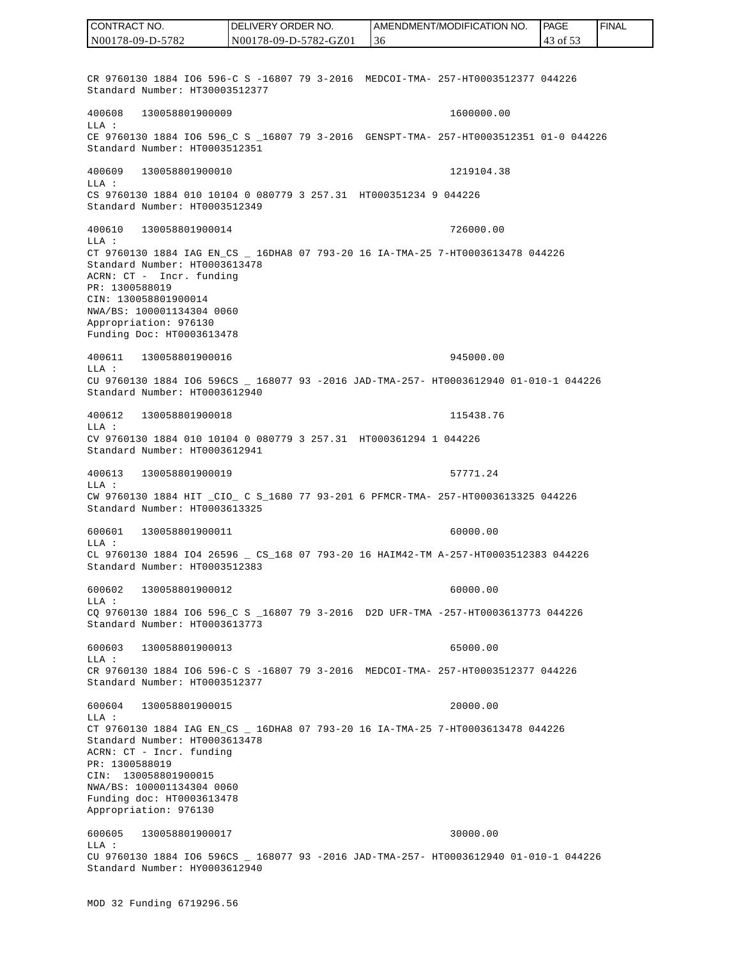CR 9760130 1884 IO6 596-C S -16807 79 3-2016 MEDCOI-TMA- 257-HT0003512377 044226 Standard Number: HT30003512377 400608 130058801900009 1600000.00 LLA : CE 9760130 1884 IO6 596 C S 16807 79 3-2016 GENSPT-TMA- 257-HT0003512351 01-0 044226 Standard Number: HT0003512351 400609 130058801900010 1219104.38 LLA : CS 9760130 1884 010 10104 0 080779 3 257.31 HT000351234 9 044226 Standard Number: HT0003512349 400610 130058801900014 726000.00 LLA : CT 9760130 1884 IAG EN\_CS \_ 16DHA8 07 793-20 16 IA-TMA-25 7-HT0003613478 044226 Standard Number: HT0003613478 ACRN: CT - Incr. funding PR: 1300588019 CIN: 130058801900014 NWA/BS: 100001134304 0060 Appropriation: 976130 Funding Doc: HT0003613478 400611 130058801900016 945000.00 LLA : CU 9760130 1884 IO6 596CS \_ 168077 93 -2016 JAD-TMA-257- HT0003612940 01-010-1 044226 Standard Number: HT0003612940 400612 130058801900018 115438.76 LLA : CV 9760130 1884 010 10104 0 080779 3 257.31 HT000361294 1 044226 Standard Number: HT0003612941 400613 130058801900019 57771.24 LLA : CW 9760130 1884 HIT \_CIO\_ C S\_1680 77 93-201 6 PFMCR-TMA- 257-HT0003613325 044226 Standard Number: HT0003613325 600601 130058801900011 60000.00 LLA : CL 9760130 1884 IO4 26596 \_ CS\_168 07 793-20 16 HAIM42-TM A-257-HT0003512383 044226 Standard Number: HT0003512383 600602 130058801900012 60000.00 LLA : CQ 9760130 1884 IO6 596\_C S \_16807 79 3-2016 D2D UFR-TMA -257-HT0003613773 044226 Standard Number: HT0003613773 600603 130058801900013 65000.00  $T.T.A$  : CR 9760130 1884 IO6 596-C S -16807 79 3-2016 MEDCOI-TMA- 257-HT0003512377 044226 Standard Number: HT0003512377 600604 130058801900015 20000.00 LLA : CT 9760130 1884 IAG EN\_CS \_ 16DHA8 07 793-20 16 IA-TMA-25 7-HT0003613478 044226 Standard Number: HT0003613478 ACRN: CT - Incr. funding PR: 1300588019 CIN: 130058801900015 NWA/BS: 100001134304 0060 Funding doc: HT0003613478 Appropriation: 976130 600605 130058801900017 30000.00 LLA : CU 9760130 1884 IO6 596CS \_ 168077 93 -2016 JAD-TMA-257- HT0003612940 01-010-1 044226 Standard Number: HY0003612940 CONTRACT NO. N00178-09-D-5782 DELIVERY ORDER NO. N00178-09-D-5782-GZ01 AMENDMENT/MODIFICATION NO. 36 **PAGE**  43 of 53 FINAL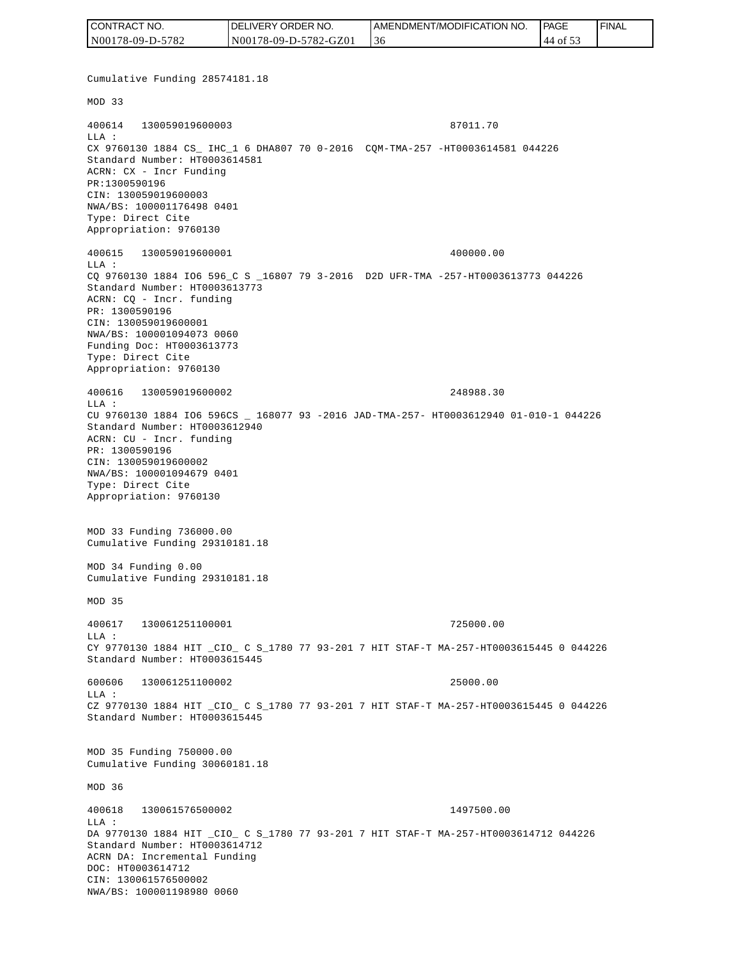| CONTRACT NO.     | DELIVERY ORDER NO.    | I AMENDMENT/MODIFICATION NO. | <b>IPAGE</b>      | ' FINAL |
|------------------|-----------------------|------------------------------|-------------------|---------|
| N00178-09-D-5782 | N00178-09-D-5782-GZ01 | 3C                           | $-144$ of $\circ$ |         |

Cumulative Funding 28574181.18 MOD 33 400614 130059019600003 87011.70 LLA : CX 9760130 1884 CS\_ IHC\_1 6 DHA807 70 0-2016 CQM-TMA-257 -HT0003614581 044226 Standard Number: HT0003614581 ACRN: CX - Incr Funding PR:1300590196 CIN: 130059019600003 NWA/BS: 100001176498 0401 Type: Direct Cite Appropriation: 9760130 400615 130059019600001 400000.00 LLA : CQ 9760130 1884 IO6 596\_C S \_16807 79 3-2016 D2D UFR-TMA -257-HT0003613773 044226 Standard Number: HT0003613773 ACRN: CQ - Incr. funding PR: 1300590196 CIN: 130059019600001 NWA/BS: 100001094073 0060 Funding Doc: HT0003613773 Type: Direct Cite Appropriation: 9760130 400616 130059019600002 248988.30 LLA : CU 9760130 1884 IO6 596CS \_ 168077 93 -2016 JAD-TMA-257- HT0003612940 01-010-1 044226 Standard Number: HT0003612940 ACRN: CU - Incr. funding PR: 1300590196 CIN: 130059019600002 NWA/BS: 100001094679 0401 Type: Direct Cite Appropriation: 9760130 MOD 33 Funding 736000.00 Cumulative Funding 29310181.18 MOD 34 Funding 0.00 Cumulative Funding 29310181.18 MOD 35 400617 130061251100001 725000.00  $L.L.A$  : CY 9770130 1884 HIT \_CIO\_ C S\_1780 77 93-201 7 HIT STAF-T MA-257-HT0003615445 0 044226 Standard Number: HT0003615445 600606 130061251100002 25000.00  $T.T.A$  : CZ 9770130 1884 HIT \_CIO\_ C S\_1780 77 93-201 7 HIT STAF-T MA-257-HT0003615445 0 044226 Standard Number: HT0003615445 MOD 35 Funding 750000.00 Cumulative Funding 30060181.18 MOD 36 400618 130061576500002 1497500.00 LLA : DA 9770130 1884 HIT \_CIO\_ C S\_1780 77 93-201 7 HIT STAF-T MA-257-HT0003614712 044226 Standard Number: HT0003614712 ACRN DA: Incremental Funding DOC: HT0003614712 CIN: 130061576500002<br>NWA/BS: 100001198980 0060 CONTRACT NO.<br>
NO00178-09-D-5782<br>
NUMB141<br>
NOD 33<br>
Cumulative Funding 2857418<br>
NOD 33<br>
Cumulative Funding 2857418<br>
NOD 33<br>
LLA :<br>
XX 9760130 1884 CS\_IEC\_1<br>
DRA :<br>
XX 9760130 1884 CS\_IEC\_1<br>
DRA :<br>
XX 9760130 1884 CS\_IEC00036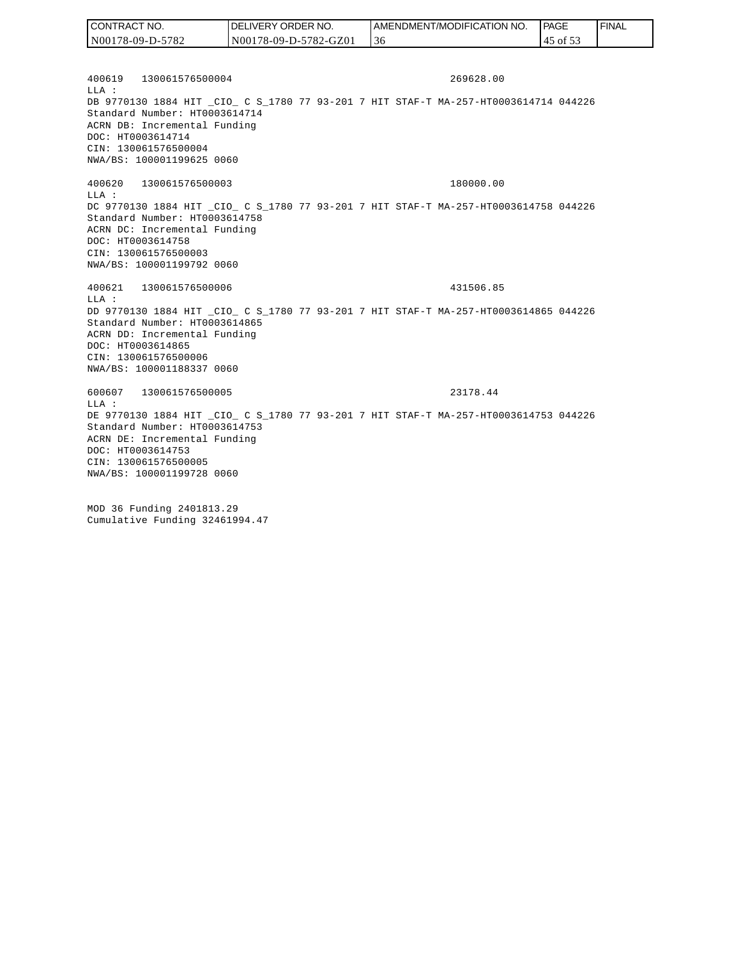| CONTRACT NO.     | <b>IDELIVERY ORDER NO.</b> | <b>I AMENDMENT/MODIFICATION NO.</b> | l PAGE    | <b>FINAL</b> |
|------------------|----------------------------|-------------------------------------|-----------|--------------|
| N00178-09-D-5782 | N00178-09-D-5782-GZ01      | 36                                  | 145 of 53 |              |

400619 130061576500004 269628.00  $L.L.A$  : DB 9770130 1884 HIT \_CIO\_ C S\_1780 77 93-201 7 HIT STAF-T MA-257-HT0003614714 044226 Standard Number: HT0003614714 ACRN DB: Incremental Funding DOC: HT0003614714 CIN: 130061576500004 NWA/BS: 100001199625 0060

400620 130061576500003 180000.00 LLA : DC 9770130 1884 HIT \_CIO\_ C S\_1780 77 93-201 7 HIT STAF-T MA-257-HT0003614758 044226 Standard Number: HT0003614758 ACRN DC: Incremental Funding DOC: HT0003614758 CIN: 130061576500003 NWA/BS: 100001199792 0060

400621 130061576500006 431506.85 LLA : DD 9770130 1884 HIT \_CIO\_ C S\_1780 77 93-201 7 HIT STAF-T MA-257-HT0003614865 044226 Standard Number: HT0003614865 ACRN DD: Incremental Funding DOC: HT0003614865 CIN: 130061576500006 NWA/BS: 100001188337 0060

600607 130061576500005 23178.44 LLA : DE 9770130 1884 HIT \_CIO\_ C S\_1780 77 93-201 7 HIT STAF-T MA-257-HT0003614753 044226 Standard Number: HT0003614753 ACRN DE: Incremental Funding DOC: HT0003614753 CIN: 130061576500005 NWA/BS: 100001199728 0060

MOD 36 Funding 2401813.29 Cumulative Funding 32461994.47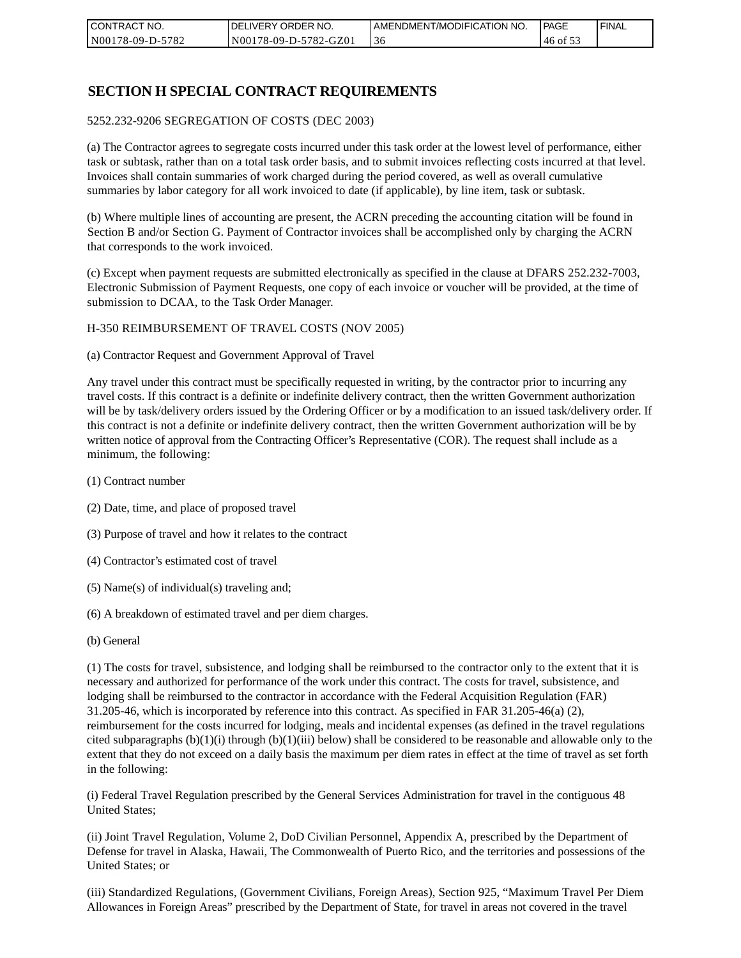| CONTRACT NO.     | NO. י<br><b>DELIVERY ORDER</b> | AMENDMENT/MODIFICATION NO. | PAGE          | ' FINAL |
|------------------|--------------------------------|----------------------------|---------------|---------|
| N00178-09-D-5782 | N00178-09-D-5782-GZ01          | -30                        | $146$ of $5.$ |         |

## **SECTION H SPECIAL CONTRACT REQUIREMENTS**

#### 5252.232-9206 SEGREGATION OF COSTS (DEC 2003)

(a) The Contractor agrees to segregate costs incurred under this task order at the lowest level of performance, either task or subtask, rather than on a total task order basis, and to submit invoices reflecting costs incurred at that level. Invoices shall contain summaries of work charged during the period covered, as well as overall cumulative summaries by labor category for all work invoiced to date (if applicable), by line item, task or subtask.

(b) Where multiple lines of accounting are present, the ACRN preceding the accounting citation will be found in Section B and/or Section G. Payment of Contractor invoices shall be accomplished only by charging the ACRN that corresponds to the work invoiced.

(c) Except when payment requests are submitted electronically as specified in the clause at DFARS 252.232-7003, Electronic Submission of Payment Requests, one copy of each invoice or voucher will be provided, at the time of submission to DCAA, to the Task Order Manager.

#### H-350 REIMBURSEMENT OF TRAVEL COSTS (NOV 2005)

(a) Contractor Request and Government Approval of Travel

Any travel under this contract must be specifically requested in writing, by the contractor prior to incurring any travel costs. If this contract is a definite or indefinite delivery contract, then the written Government authorization will be by task/delivery orders issued by the Ordering Officer or by a modification to an issued task/delivery order. If this contract is not a definite or indefinite delivery contract, then the written Government authorization will be by written notice of approval from the Contracting Officer's Representative (COR). The request shall include as a minimum, the following:

- (1) Contract number
- (2) Date, time, and place of proposed travel
- (3) Purpose of travel and how it relates to the contract
- (4) Contractor's estimated cost of travel
- (5) Name(s) of individual(s) traveling and;
- (6) A breakdown of estimated travel and per diem charges.
- (b) General

(1) The costs for travel, subsistence, and lodging shall be reimbursed to the contractor only to the extent that it is necessary and authorized for performance of the work under this contract. The costs for travel, subsistence, and lodging shall be reimbursed to the contractor in accordance with the Federal Acquisition Regulation (FAR) 31.205-46, which is incorporated by reference into this contract. As specified in FAR 31.205-46(a) (2), reimbursement for the costs incurred for lodging, meals and incidental expenses (as defined in the travel regulations cited subparagraphs  $(b)(1)(i)$  through  $(b)(1)(iii)$  below) shall be considered to be reasonable and allowable only to the extent that they do not exceed on a daily basis the maximum per diem rates in effect at the time of travel as set forth in the following:

(i) Federal Travel Regulation prescribed by the General Services Administration for travel in the contiguous 48 United States;

(ii) Joint Travel Regulation, Volume 2, DoD Civilian Personnel, Appendix A, prescribed by the Department of Defense for travel in Alaska, Hawaii, The Commonwealth of Puerto Rico, and the territories and possessions of the United States; or

(iii) Standardized Regulations, (Government Civilians, Foreign Areas), Section 925, "Maximum Travel Per Diem Allowances in Foreign Areas" prescribed by the Department of State, for travel in areas not covered in the travel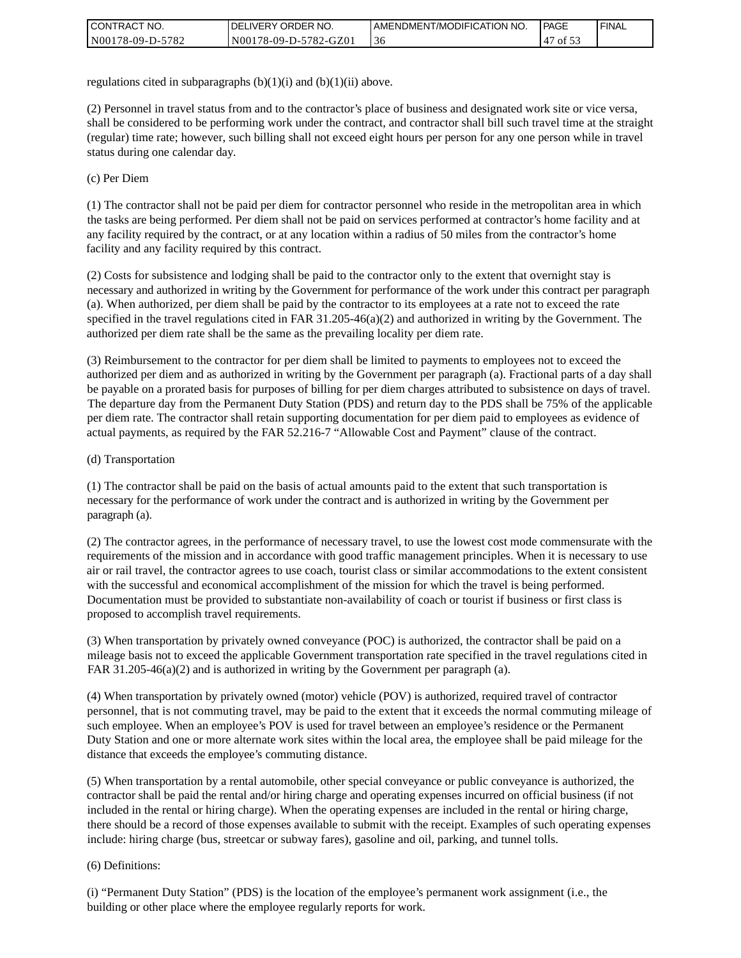| CONTRACT NO.     | <b>IDELIVERY ORDER NO.</b> | I AMENDMENT/MODIFICATION NO. | PAGE           | <b>I FINAL</b> |
|------------------|----------------------------|------------------------------|----------------|----------------|
| N00178-09-D-5782 | N00178-09-D-5782-GZ01      | 30                           | $\prime$ of 5. |                |

regulations cited in subparagraphs  $(b)(1)(i)$  and  $(b)(1)(ii)$  above.

(2) Personnel in travel status from and to the contractor's place of business and designated work site or vice versa, shall be considered to be performing work under the contract, and contractor shall bill such travel time at the straight (regular) time rate; however, such billing shall not exceed eight hours per person for any one person while in travel status during one calendar day.

(c) Per Diem

(1) The contractor shall not be paid per diem for contractor personnel who reside in the metropolitan area in which the tasks are being performed. Per diem shall not be paid on services performed at contractor's home facility and at any facility required by the contract, or at any location within a radius of 50 miles from the contractor's home facility and any facility required by this contract.

(2) Costs for subsistence and lodging shall be paid to the contractor only to the extent that overnight stay is necessary and authorized in writing by the Government for performance of the work under this contract per paragraph (a). When authorized, per diem shall be paid by the contractor to its employees at a rate not to exceed the rate specified in the travel regulations cited in FAR 31.205-46(a)(2) and authorized in writing by the Government. The authorized per diem rate shall be the same as the prevailing locality per diem rate.

(3) Reimbursement to the contractor for per diem shall be limited to payments to employees not to exceed the authorized per diem and as authorized in writing by the Government per paragraph (a). Fractional parts of a day shall be payable on a prorated basis for purposes of billing for per diem charges attributed to subsistence on days of travel. The departure day from the Permanent Duty Station (PDS) and return day to the PDS shall be 75% of the applicable per diem rate. The contractor shall retain supporting documentation for per diem paid to employees as evidence of actual payments, as required by the FAR 52.216-7 "Allowable Cost and Payment" clause of the contract.

#### (d) Transportation

(1) The contractor shall be paid on the basis of actual amounts paid to the extent that such transportation is necessary for the performance of work under the contract and is authorized in writing by the Government per paragraph (a).

(2) The contractor agrees, in the performance of necessary travel, to use the lowest cost mode commensurate with the requirements of the mission and in accordance with good traffic management principles. When it is necessary to use air or rail travel, the contractor agrees to use coach, tourist class or similar accommodations to the extent consistent with the successful and economical accomplishment of the mission for which the travel is being performed. Documentation must be provided to substantiate non-availability of coach or tourist if business or first class is proposed to accomplish travel requirements.

(3) When transportation by privately owned conveyance (POC) is authorized, the contractor shall be paid on a mileage basis not to exceed the applicable Government transportation rate specified in the travel regulations cited in FAR 31.205-46(a)(2) and is authorized in writing by the Government per paragraph (a).

(4) When transportation by privately owned (motor) vehicle (POV) is authorized, required travel of contractor personnel, that is not commuting travel, may be paid to the extent that it exceeds the normal commuting mileage of such employee. When an employee's POV is used for travel between an employee's residence or the Permanent Duty Station and one or more alternate work sites within the local area, the employee shall be paid mileage for the distance that exceeds the employee's commuting distance.

(5) When transportation by a rental automobile, other special conveyance or public conveyance is authorized, the contractor shall be paid the rental and/or hiring charge and operating expenses incurred on official business (if not included in the rental or hiring charge). When the operating expenses are included in the rental or hiring charge, there should be a record of those expenses available to submit with the receipt. Examples of such operating expenses include: hiring charge (bus, streetcar or subway fares), gasoline and oil, parking, and tunnel tolls.

#### (6) Definitions:

(i) "Permanent Duty Station" (PDS) is the location of the employee's permanent work assignment (i.e., the building or other place where the employee regularly reports for work.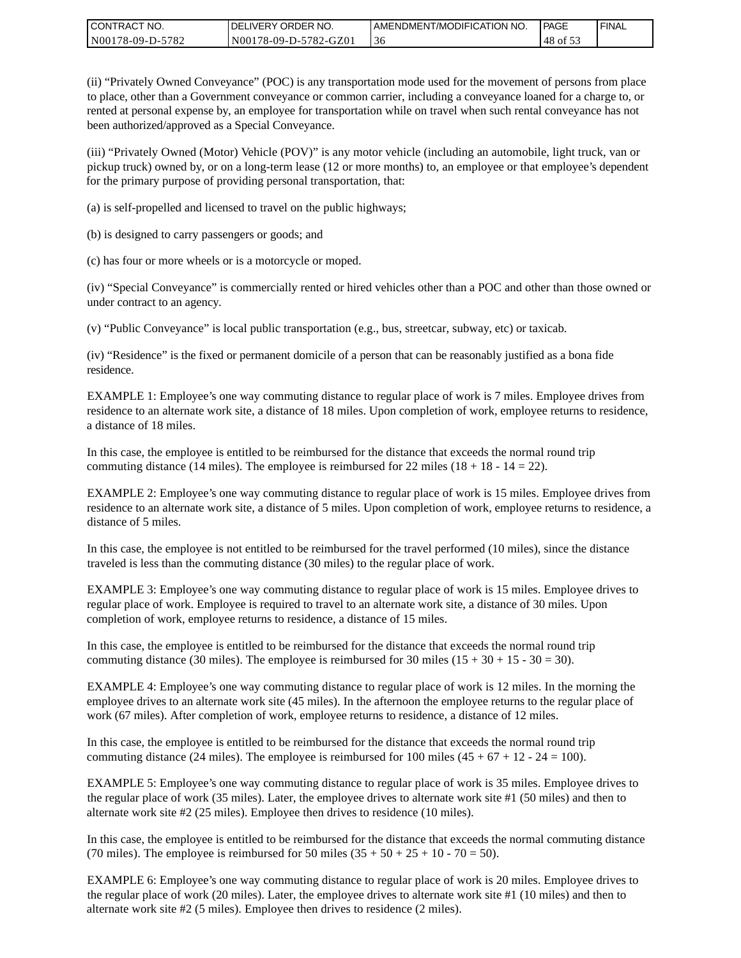| I CONTRACT NO.   | DELIVERY ORDER NO.    | <b>LAMENDMENT/MODIFICATION NO.</b> | PAGE                      | l FINAL |
|------------------|-----------------------|------------------------------------|---------------------------|---------|
| N00178-09-D-5782 | N00178-09-D-5782-GZ01 | 30                                 | 48<br>$\frac{9}{2}$ of 5. |         |

(ii) "Privately Owned Conveyance" (POC) is any transportation mode used for the movement of persons from place to place, other than a Government conveyance or common carrier, including a conveyance loaned for a charge to, or rented at personal expense by, an employee for transportation while on travel when such rental conveyance has not been authorized/approved as a Special Conveyance.

(iii) "Privately Owned (Motor) Vehicle (POV)" is any motor vehicle (including an automobile, light truck, van or pickup truck) owned by, or on a long-term lease (12 or more months) to, an employee or that employee's dependent for the primary purpose of providing personal transportation, that:

(a) is self-propelled and licensed to travel on the public highways;

(b) is designed to carry passengers or goods; and

(c) has four or more wheels or is a motorcycle or moped.

(iv) "Special Conveyance" is commercially rented or hired vehicles other than a POC and other than those owned or under contract to an agency.

(v) "Public Conveyance" is local public transportation (e.g., bus, streetcar, subway, etc) or taxicab.

(iv) "Residence" is the fixed or permanent domicile of a person that can be reasonably justified as a bona fide residence.

EXAMPLE 1: Employee's one way commuting distance to regular place of work is 7 miles. Employee drives from residence to an alternate work site, a distance of 18 miles. Upon completion of work, employee returns to residence, a distance of 18 miles.

In this case, the employee is entitled to be reimbursed for the distance that exceeds the normal round trip commuting distance (14 miles). The employee is reimbursed for 22 miles (18 + 18 - 14 = 22).

EXAMPLE 2: Employee's one way commuting distance to regular place of work is 15 miles. Employee drives from residence to an alternate work site, a distance of 5 miles. Upon completion of work, employee returns to residence, a distance of 5 miles.

In this case, the employee is not entitled to be reimbursed for the travel performed (10 miles), since the distance traveled is less than the commuting distance (30 miles) to the regular place of work.

EXAMPLE 3: Employee's one way commuting distance to regular place of work is 15 miles. Employee drives to regular place of work. Employee is required to travel to an alternate work site, a distance of 30 miles. Upon completion of work, employee returns to residence, a distance of 15 miles.

In this case, the employee is entitled to be reimbursed for the distance that exceeds the normal round trip commuting distance (30 miles). The employee is reimbursed for 30 miles  $(15 + 30 + 15 - 30 = 30)$ .

EXAMPLE 4: Employee's one way commuting distance to regular place of work is 12 miles. In the morning the employee drives to an alternate work site (45 miles). In the afternoon the employee returns to the regular place of work (67 miles). After completion of work, employee returns to residence, a distance of 12 miles.

In this case, the employee is entitled to be reimbursed for the distance that exceeds the normal round trip commuting distance (24 miles). The employee is reimbursed for 100 miles  $(45 + 67 + 12 - 24 = 100)$ .

EXAMPLE 5: Employee's one way commuting distance to regular place of work is 35 miles. Employee drives to the regular place of work (35 miles). Later, the employee drives to alternate work site #1 (50 miles) and then to alternate work site #2 (25 miles). Employee then drives to residence (10 miles).

In this case, the employee is entitled to be reimbursed for the distance that exceeds the normal commuting distance (70 miles). The employee is reimbursed for 50 miles  $(35 + 50 + 25 + 10 - 70 = 50)$ .

EXAMPLE 6: Employee's one way commuting distance to regular place of work is 20 miles. Employee drives to the regular place of work (20 miles). Later, the employee drives to alternate work site #1 (10 miles) and then to alternate work site #2 (5 miles). Employee then drives to residence (2 miles).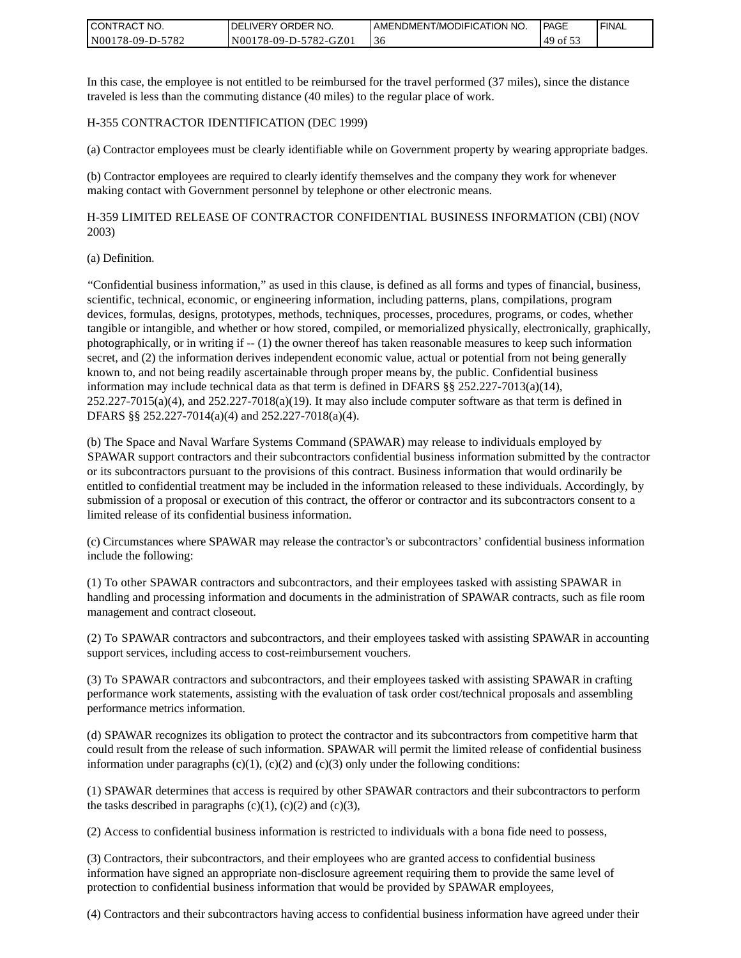| I CONTRACT NO.   | DELIVERY ORDER NO.    | I AMENDMENT/MODIFICATION NO. | PAGE     | <b>I FINAL</b> |
|------------------|-----------------------|------------------------------|----------|----------------|
| N00178-09-D-5782 | N00178-09-D-5782-GZ01 | .36                          | 49 of 53 |                |

In this case, the employee is not entitled to be reimbursed for the travel performed (37 miles), since the distance traveled is less than the commuting distance (40 miles) to the regular place of work.

#### H-355 CONTRACTOR IDENTIFICATION (DEC 1999)

(a) Contractor employees must be clearly identifiable while on Government property by wearing appropriate badges.

(b) Contractor employees are required to clearly identify themselves and the company they work for whenever making contact with Government personnel by telephone or other electronic means.

H-359 LIMITED RELEASE OF CONTRACTOR CONFIDENTIAL BUSINESS INFORMATION (CBI) (NOV 2003)

#### (a) Definition.

"Confidential business information," as used in this clause, is defined as all forms and types of financial, business, scientific, technical, economic, or engineering information, including patterns, plans, compilations, program devices, formulas, designs, prototypes, methods, techniques, processes, procedures, programs, or codes, whether tangible or intangible, and whether or how stored, compiled, or memorialized physically, electronically, graphically, photographically, or in writing if -- (1) the owner thereof has taken reasonable measures to keep such information secret, and (2) the information derives independent economic value, actual or potential from not being generally known to, and not being readily ascertainable through proper means by, the public. Confidential business information may include technical data as that term is defined in DFARS  $\S$ § 252.227-7013(a)(14),  $252.227-7015(a)(4)$ , and  $252.227-7018(a)(19)$ . It may also include computer software as that term is defined in DFARS §§ 252.227-7014(a)(4) and 252.227-7018(a)(4).

(b) The Space and Naval Warfare Systems Command (SPAWAR) may release to individuals employed by SPAWAR support contractors and their subcontractors confidential business information submitted by the contractor or its subcontractors pursuant to the provisions of this contract. Business information that would ordinarily be entitled to confidential treatment may be included in the information released to these individuals. Accordingly, by submission of a proposal or execution of this contract, the offeror or contractor and its subcontractors consent to a limited release of its confidential business information.

(c) Circumstances where SPAWAR may release the contractor's or subcontractors' confidential business information include the following:

(1) To other SPAWAR contractors and subcontractors, and their employees tasked with assisting SPAWAR in handling and processing information and documents in the administration of SPAWAR contracts, such as file room management and contract closeout.

(2) To SPAWAR contractors and subcontractors, and their employees tasked with assisting SPAWAR in accounting support services, including access to cost-reimbursement vouchers.

(3) To SPAWAR contractors and subcontractors, and their employees tasked with assisting SPAWAR in crafting performance work statements, assisting with the evaluation of task order cost/technical proposals and assembling performance metrics information.

(d) SPAWAR recognizes its obligation to protect the contractor and its subcontractors from competitive harm that could result from the release of such information. SPAWAR will permit the limited release of confidential business information under paragraphs  $(c)(1)$ ,  $(c)(2)$  and  $(c)(3)$  only under the following conditions:

(1) SPAWAR determines that access is required by other SPAWAR contractors and their subcontractors to perform the tasks described in paragraphs  $(c)(1)$ ,  $(c)(2)$  and  $(c)(3)$ ,

(2) Access to confidential business information is restricted to individuals with a bona fide need to possess,

(3) Contractors, their subcontractors, and their employees who are granted access to confidential business information have signed an appropriate non-disclosure agreement requiring them to provide the same level of protection to confidential business information that would be provided by SPAWAR employees,

(4) Contractors and their subcontractors having access to confidential business information have agreed under their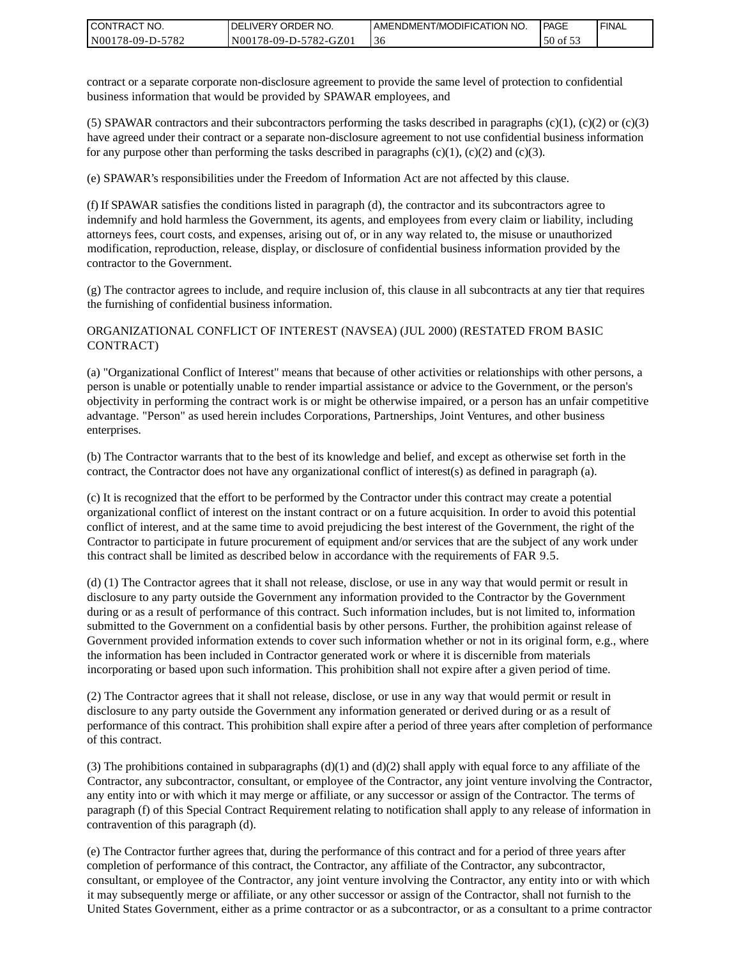| I CONTRACT NO.   | <b>IDELIVERY ORDER NO.</b> | AMENDMENT/MODIFICATION NO. | <b>PAGE</b> | 'FINAL |
|------------------|----------------------------|----------------------------|-------------|--------|
| N00178-09-D-5782 | N00178-09-D-5782-GZ01      | -30                        | 50 of 53    |        |

contract or a separate corporate non-disclosure agreement to provide the same level of protection to confidential business information that would be provided by SPAWAR employees, and

(5) SPAWAR contractors and their subcontractors performing the tasks described in paragraphs  $(c)(1)$ ,  $(c)(2)$  or  $(c)(3)$ have agreed under their contract or a separate non-disclosure agreement to not use confidential business information for any purpose other than performing the tasks described in paragraphs  $(c)(1)$ ,  $(c)(2)$  and  $(c)(3)$ .

(e) SPAWAR's responsibilities under the Freedom of Information Act are not affected by this clause.

(f) If SPAWAR satisfies the conditions listed in paragraph (d), the contractor and its subcontractors agree to indemnify and hold harmless the Government, its agents, and employees from every claim or liability, including attorneys fees, court costs, and expenses, arising out of, or in any way related to, the misuse or unauthorized modification, reproduction, release, display, or disclosure of confidential business information provided by the contractor to the Government.

(g) The contractor agrees to include, and require inclusion of, this clause in all subcontracts at any tier that requires the furnishing of confidential business information.

#### ORGANIZATIONAL CONFLICT OF INTEREST (NAVSEA) (JUL 2000) (RESTATED FROM BASIC CONTRACT)

(a) "Organizational Conflict of Interest" means that because of other activities or relationships with other persons, a person is unable or potentially unable to render impartial assistance or advice to the Government, or the person's objectivity in performing the contract work is or might be otherwise impaired, or a person has an unfair competitive advantage. "Person" as used herein includes Corporations, Partnerships, Joint Ventures, and other business enterprises.

(b) The Contractor warrants that to the best of its knowledge and belief, and except as otherwise set forth in the contract, the Contractor does not have any organizational conflict of interest(s) as defined in paragraph (a).

(c) It is recognized that the effort to be performed by the Contractor under this contract may create a potential organizational conflict of interest on the instant contract or on a future acquisition. In order to avoid this potential conflict of interest, and at the same time to avoid prejudicing the best interest of the Government, the right of the Contractor to participate in future procurement of equipment and/or services that are the subject of any work under this contract shall be limited as described below in accordance with the requirements of FAR 9.5.

(d) (1) The Contractor agrees that it shall not release, disclose, or use in any way that would permit or result in disclosure to any party outside the Government any information provided to the Contractor by the Government during or as a result of performance of this contract. Such information includes, but is not limited to, information submitted to the Government on a confidential basis by other persons. Further, the prohibition against release of Government provided information extends to cover such information whether or not in its original form, e.g., where the information has been included in Contractor generated work or where it is discernible from materials incorporating or based upon such information. This prohibition shall not expire after a given period of time.

(2) The Contractor agrees that it shall not release, disclose, or use in any way that would permit or result in disclosure to any party outside the Government any information generated or derived during or as a result of performance of this contract. This prohibition shall expire after a period of three years after completion of performance of this contract.

(3) The prohibitions contained in subparagraphs  $(d)(1)$  and  $(d)(2)$  shall apply with equal force to any affiliate of the Contractor, any subcontractor, consultant, or employee of the Contractor, any joint venture involving the Contractor, any entity into or with which it may merge or affiliate, or any successor or assign of the Contractor. The terms of paragraph (f) of this Special Contract Requirement relating to notification shall apply to any release of information in contravention of this paragraph (d).

(e) The Contractor further agrees that, during the performance of this contract and for a period of three years after completion of performance of this contract, the Contractor, any affiliate of the Contractor, any subcontractor, consultant, or employee of the Contractor, any joint venture involving the Contractor, any entity into or with which it may subsequently merge or affiliate, or any other successor or assign of the Contractor, shall not furnish to the United States Government, either as a prime contractor or as a subcontractor, or as a consultant to a prime contractor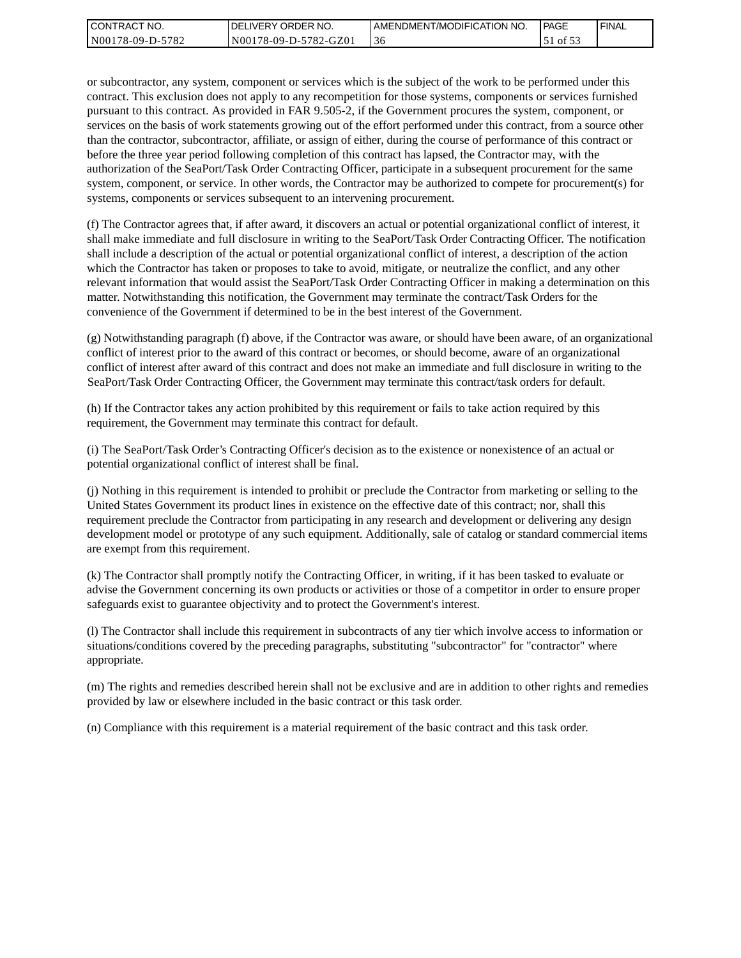| CONTRACT<br>" NO. | `NO.<br><b>DELIVERY ORDER</b> | AMENDMENT/MODIFICATION NO. | <b>PAGE</b> | ' FINAL |
|-------------------|-------------------------------|----------------------------|-------------|---------|
| N00178-09-D-5782  | N00178-09-D-5782-GZ01         | -30                        | N 01 DU     |         |

or subcontractor, any system, component or services which is the subject of the work to be performed under this contract. This exclusion does not apply to any recompetition for those systems, components or services furnished pursuant to this contract. As provided in FAR 9.505-2, if the Government procures the system, component, or services on the basis of work statements growing out of the effort performed under this contract, from a source other than the contractor, subcontractor, affiliate, or assign of either, during the course of performance of this contract or before the three year period following completion of this contract has lapsed, the Contractor may, with the authorization of the SeaPort/Task Order Contracting Officer, participate in a subsequent procurement for the same system, component, or service. In other words, the Contractor may be authorized to compete for procurement(s) for systems, components or services subsequent to an intervening procurement.

(f) The Contractor agrees that, if after award, it discovers an actual or potential organizational conflict of interest, it shall make immediate and full disclosure in writing to the SeaPort/Task Order Contracting Officer. The notification shall include a description of the actual or potential organizational conflict of interest, a description of the action which the Contractor has taken or proposes to take to avoid, mitigate, or neutralize the conflict, and any other relevant information that would assist the SeaPort/Task Order Contracting Officer in making a determination on this matter. Notwithstanding this notification, the Government may terminate the contract/Task Orders for the convenience of the Government if determined to be in the best interest of the Government.

(g) Notwithstanding paragraph (f) above, if the Contractor was aware, or should have been aware, of an organizational conflict of interest prior to the award of this contract or becomes, or should become, aware of an organizational conflict of interest after award of this contract and does not make an immediate and full disclosure in writing to the SeaPort/Task Order Contracting Officer, the Government may terminate this contract/task orders for default.

(h) If the Contractor takes any action prohibited by this requirement or fails to take action required by this requirement, the Government may terminate this contract for default.

(i) The SeaPort/Task Order's Contracting Officer's decision as to the existence or nonexistence of an actual or potential organizational conflict of interest shall be final.

(j) Nothing in this requirement is intended to prohibit or preclude the Contractor from marketing or selling to the United States Government its product lines in existence on the effective date of this contract; nor, shall this requirement preclude the Contractor from participating in any research and development or delivering any design development model or prototype of any such equipment. Additionally, sale of catalog or standard commercial items are exempt from this requirement.

(k) The Contractor shall promptly notify the Contracting Officer, in writing, if it has been tasked to evaluate or advise the Government concerning its own products or activities or those of a competitor in order to ensure proper safeguards exist to guarantee objectivity and to protect the Government's interest.

(l) The Contractor shall include this requirement in subcontracts of any tier which involve access to information or situations/conditions covered by the preceding paragraphs, substituting "subcontractor" for "contractor" where appropriate.

(m) The rights and remedies described herein shall not be exclusive and are in addition to other rights and remedies provided by law or elsewhere included in the basic contract or this task order.

(n) Compliance with this requirement is a material requirement of the basic contract and this task order.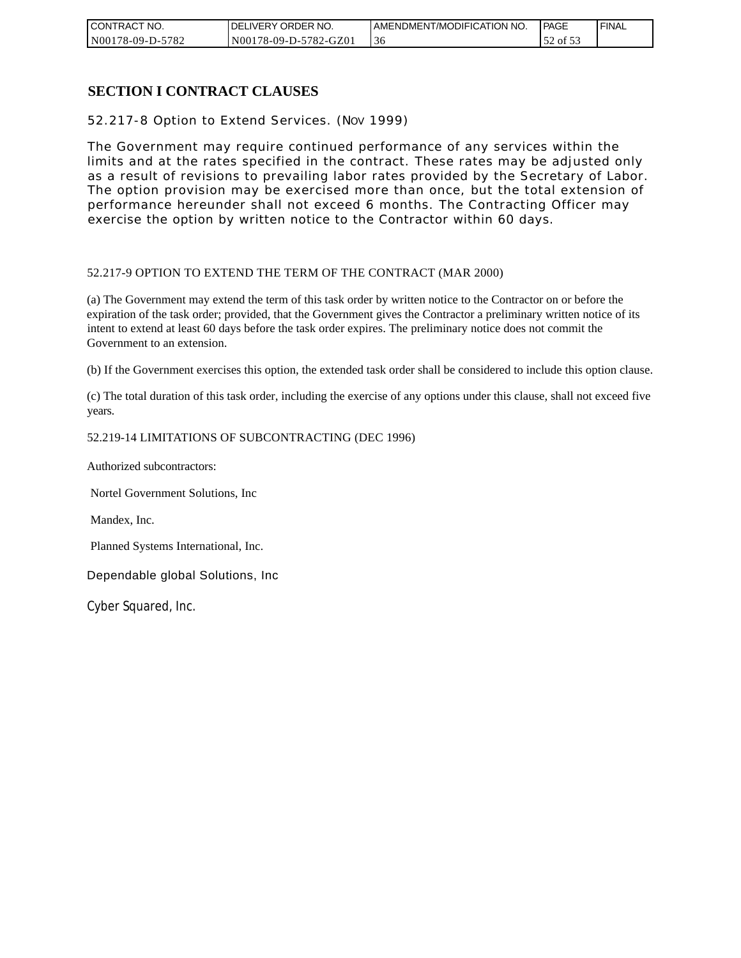| CONTRACT NO.     | DELIVERY ORDER NO.    | I AMENDMENT/MODIFICATION NO. | <b>PAGE</b> | ' FINAL |
|------------------|-----------------------|------------------------------|-------------|---------|
| N00178-09-D-5782 | N00178-09-D-5782-GZ01 | -50                          | of $53$     |         |

## **SECTION I CONTRACT CLAUSES**

52.217-8 Option to Extend Services. (NOV 1999)

The Government may require continued performance of any services within the limits and at the rates specified in the contract. These rates may be adjusted only as a result of revisions to prevailing labor rates provided by the Secretary of Labor. The option provision may be exercised more than once, but the total extension of performance hereunder shall not exceed 6 months. The Contracting Officer may exercise the option by written notice to the Contractor within 60 days.

#### 52.217-9 OPTION TO EXTEND THE TERM OF THE CONTRACT (MAR 2000)

(a) The Government may extend the term of this task order by written notice to the Contractor on or before the expiration of the task order; provided, that the Government gives the Contractor a preliminary written notice of its intent to extend at least 60 days before the task order expires. The preliminary notice does not commit the Government to an extension.

(b) If the Government exercises this option, the extended task order shall be considered to include this option clause.

(c) The total duration of this task order, including the exercise of any options under this clause, shall not exceed five years.

#### 52.219-14 LIMITATIONS OF SUBCONTRACTING (DEC 1996)

Authorized subcontractors:

Nortel Government Solutions, Inc

Mandex, Inc.

Planned Systems International, Inc.

Dependable global Solutions, Inc

Cyber Squared, Inc.